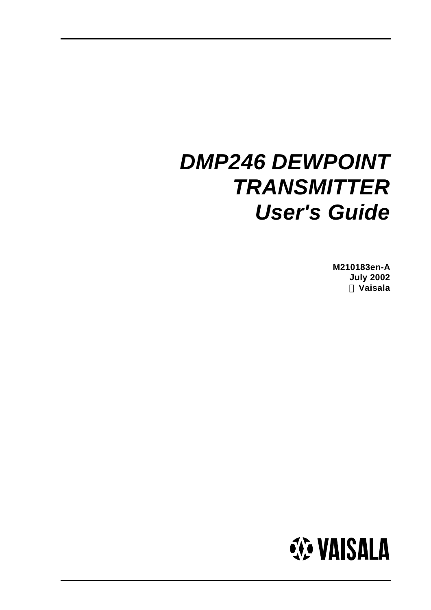# *DMP246 DEWPOINT TRANSMITTER User's Guide*

**M210183en-A July 2002 Ó Vaisala**

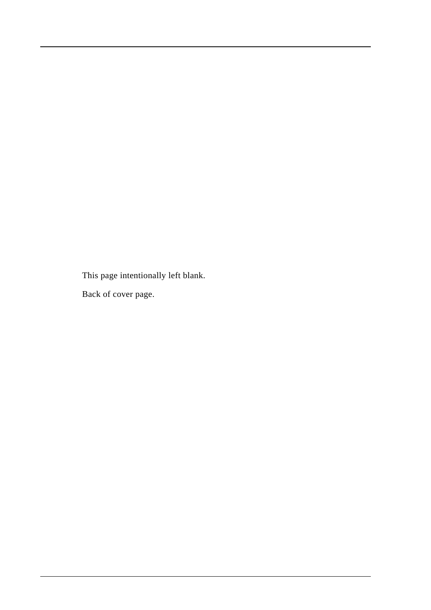This page intentionally left blank.

Back of cover page.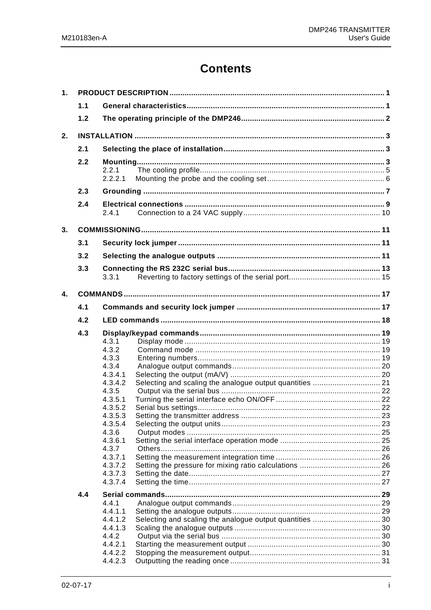# **Contents**

| 1.             |     |                                                                                |  |
|----------------|-----|--------------------------------------------------------------------------------|--|
|                | 1.1 |                                                                                |  |
|                | 1.2 |                                                                                |  |
| 2.             |     |                                                                                |  |
|                | 2.1 |                                                                                |  |
|                | 2.2 | 2.2.1<br>2.2.2.1                                                               |  |
|                | 2.3 |                                                                                |  |
|                | 2.4 |                                                                                |  |
|                |     | 2.4.1                                                                          |  |
| 3.             |     |                                                                                |  |
|                | 3.1 |                                                                                |  |
|                | 3.2 |                                                                                |  |
|                | 3.3 | 3.3.1                                                                          |  |
| $\mathbf{4}$ . |     |                                                                                |  |
|                | 4.1 |                                                                                |  |
|                | 4.2 |                                                                                |  |
|                | 4.3 |                                                                                |  |
|                |     | 4.3.1                                                                          |  |
|                |     | 4.3.2                                                                          |  |
|                |     | 4.3.3<br>4.3.4                                                                 |  |
|                |     | 4.3.4.1                                                                        |  |
|                |     | 4.3.4.2                                                                        |  |
|                |     | 4.3.5                                                                          |  |
|                |     | 4.3.5.1                                                                        |  |
|                |     | 4.3.5.2                                                                        |  |
|                |     | 4.3.5.3                                                                        |  |
|                |     | 4.3.5.4<br>4.3.6                                                               |  |
|                |     | 4.3.6.1                                                                        |  |
|                |     | 4.3.7                                                                          |  |
|                |     | 4.3.7.1                                                                        |  |
|                |     | 4.3.7.2                                                                        |  |
|                |     | 4.3.7.3                                                                        |  |
|                |     | 4.3.7.4                                                                        |  |
|                | 4.4 |                                                                                |  |
|                |     | 4.4.1                                                                          |  |
|                |     | 4.4.1.1                                                                        |  |
|                |     | Selecting and scaling the analogue output quantities  30<br>4.4.1.2<br>4.4.1.3 |  |
|                |     | 4.4.2                                                                          |  |
|                |     | 4.4.2.1                                                                        |  |
|                |     | 4.4.2.2                                                                        |  |
|                |     | 4.4.2.3                                                                        |  |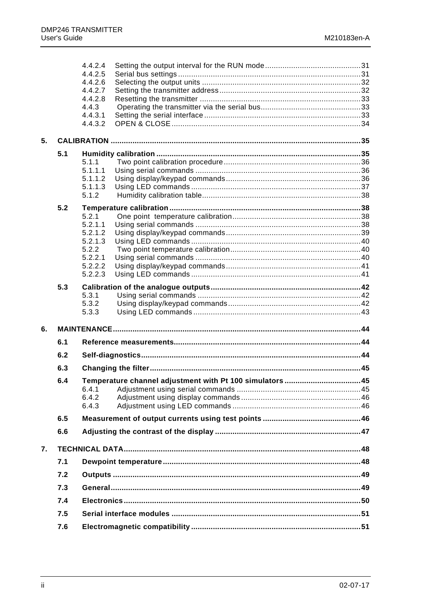|    |     | 4.4.2.4            |                                                           |  |
|----|-----|--------------------|-----------------------------------------------------------|--|
|    |     | 4.4.2.5            |                                                           |  |
|    |     | 4.4.2.6            |                                                           |  |
|    |     | 4.4.2.7<br>4.4.2.8 |                                                           |  |
|    |     | 4.4.3              |                                                           |  |
|    |     | 4.4.3.1            |                                                           |  |
|    |     | 4.4.3.2            |                                                           |  |
|    |     |                    |                                                           |  |
| 5. |     |                    |                                                           |  |
|    | 5.1 |                    |                                                           |  |
|    |     | 5.1.1              |                                                           |  |
|    |     | 5.1.1.1            |                                                           |  |
|    |     | 5.1.1.2<br>5.1.1.3 |                                                           |  |
|    |     | 5.1.2              |                                                           |  |
|    | 5.2 |                    |                                                           |  |
|    |     | 5.2.1              |                                                           |  |
|    |     | 5.2.1.1            |                                                           |  |
|    |     | 5.2.1.2            |                                                           |  |
|    |     | 5.2.1.3            |                                                           |  |
|    |     | 5.2.2              |                                                           |  |
|    |     | 5.2.2.1<br>5.2.2.2 |                                                           |  |
|    |     | 5.2.2.3            |                                                           |  |
|    | 5.3 |                    |                                                           |  |
|    |     | 5.3.1              |                                                           |  |
|    |     | 5.3.2              |                                                           |  |
|    |     | 5.3.3              |                                                           |  |
| 6. |     |                    |                                                           |  |
|    | 6.1 |                    |                                                           |  |
|    | 6.2 |                    |                                                           |  |
|    |     |                    |                                                           |  |
|    | 6.3 |                    |                                                           |  |
|    | 6.4 |                    | Temperature channel adjustment with Pt 100 simulators  45 |  |
|    |     | 6.4.1              |                                                           |  |
|    |     | 6.4.2<br>6.4.3     |                                                           |  |
|    | 6.5 |                    |                                                           |  |
|    |     |                    |                                                           |  |
|    | 6.6 |                    |                                                           |  |
| 7. |     |                    |                                                           |  |
|    | 7.1 |                    |                                                           |  |
|    | 7.2 |                    |                                                           |  |
|    | 7.3 |                    |                                                           |  |
|    | 7.4 |                    |                                                           |  |
|    | 7.5 |                    |                                                           |  |
|    |     |                    |                                                           |  |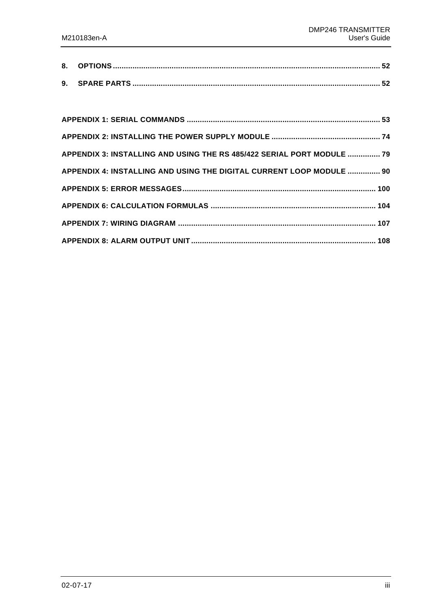| APPENDIX 3: INSTALLING AND USING THE RS 485/422 SERIAL PORT MODULE  79 |  |
|------------------------------------------------------------------------|--|
| APPENDIX 4: INSTALLING AND USING THE DIGITAL CURRENT LOOP MODULE  90   |  |
|                                                                        |  |
|                                                                        |  |
|                                                                        |  |
|                                                                        |  |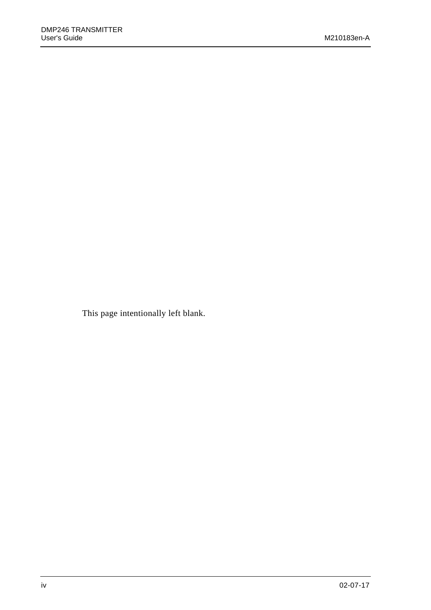This page intentionally left blank.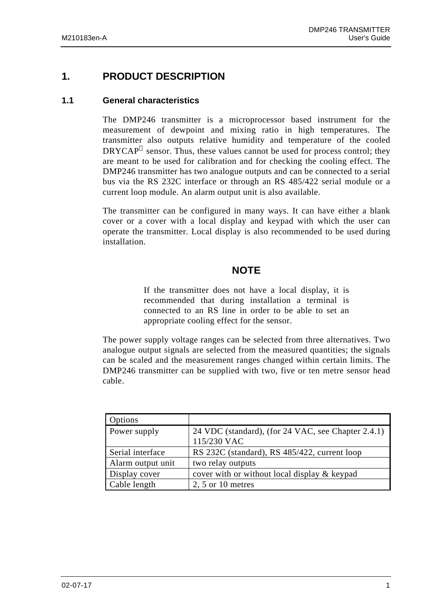# **1. PRODUCT DESCRIPTION**

# **1.1 General characteristics**

The DMP246 transmitter is a microprocessor based instrument for the measurement of dewpoint and mixing ratio in high temperatures. The transmitter also outputs relative humidity and temperature of the cooled  $DRYCAP^{\circledast}$  sensor. Thus, these values cannot be used for process control; they are meant to be used for calibration and for checking the cooling effect. The DMP246 transmitter has two analogue outputs and can be connected to a serial bus via the RS 232C interface or through an RS 485/422 serial module or a current loop module. An alarm output unit is also available.

The transmitter can be configured in many ways. It can have either a blank cover or a cover with a local display and keypad with which the user can operate the transmitter. Local display is also recommended to be used during installation.

# **NOTE**

If the transmitter does not have a local display, it is recommended that during installation a terminal is connected to an RS line in order to be able to set an appropriate cooling effect for the sensor.

The power supply voltage ranges can be selected from three alternatives. Two analogue output signals are selected from the measured quantities; the signals can be scaled and the measurement ranges changed within certain limits. The DMP246 transmitter can be supplied with two, five or ten metre sensor head cable.

| Options           |                                                    |
|-------------------|----------------------------------------------------|
| Power supply      | 24 VDC (standard), (for 24 VAC, see Chapter 2.4.1) |
|                   | 115/230 VAC                                        |
| Serial interface  | RS 232C (standard), RS 485/422, current loop       |
| Alarm output unit | two relay outputs                                  |
| Display cover     | cover with or without local display & keypad       |
| Cable length      | $2, 5$ or 10 metres                                |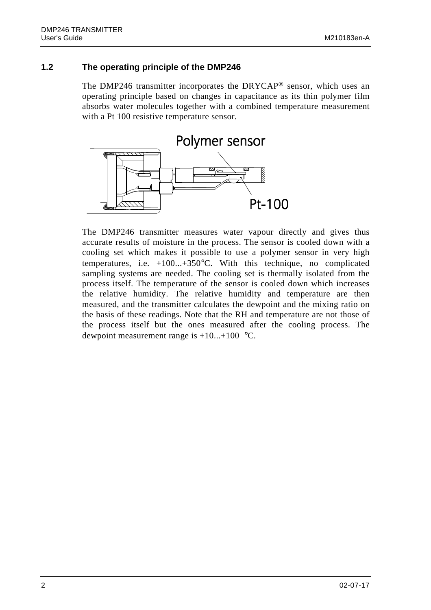# **1.2 The operating principle of the DMP246**

The DMP246 transmitter incorporates the DRYCAP® sensor, which uses an operating principle based on changes in capacitance as its thin polymer film absorbs water molecules together with a combined temperature measurement with a Pt 100 resistive temperature sensor.



The DMP246 transmitter measures water vapour directly and gives thus accurate results of moisture in the process. The sensor is cooled down with a cooling set which makes it possible to use a polymer sensor in very high temperatures, i.e.  $+100...+350$ °C. With this technique, no complicated sampling systems are needed. The cooling set is thermally isolated from the process itself. The temperature of the sensor is cooled down which increases the relative humidity. The relative humidity and temperature are then measured, and the transmitter calculates the dewpoint and the mixing ratio on the basis of these readings. Note that the RH and temperature are not those of the process itself but the ones measured after the cooling process. The dewpoint measurement range is  $+10...+100$  °C.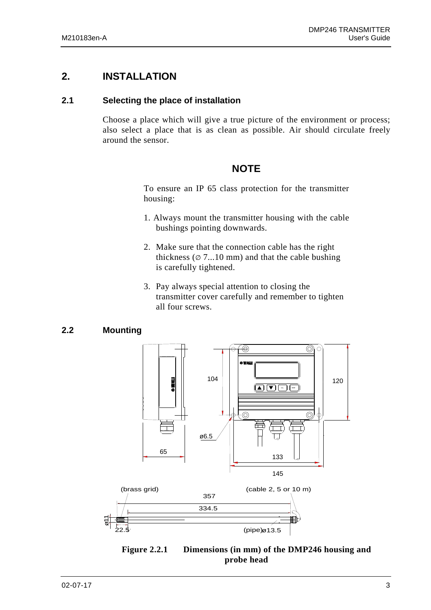# **2. INSTALLATION**

# **2.1 Selecting the place of installation**

Choose a place which will give a true picture of the environment or process; also select a place that is as clean as possible. Air should circulate freely around the sensor.

# **NOTE**

To ensure an IP 65 class protection for the transmitter housing:

- 1. Always mount the transmitter housing with the cable bushings pointing downwards.
- 2. Make sure that the connection cable has the right thickness ( $\varnothing$  7...10 mm) and that the cable bushing is carefully tightened.
- 3. Pay always special attention to closing the transmitter cover carefully and remember to tighten all four screws.

# **2.2 Mounting**



**Figure 2.2.1 Dimensions (in mm) of the DMP246 housing and probe head**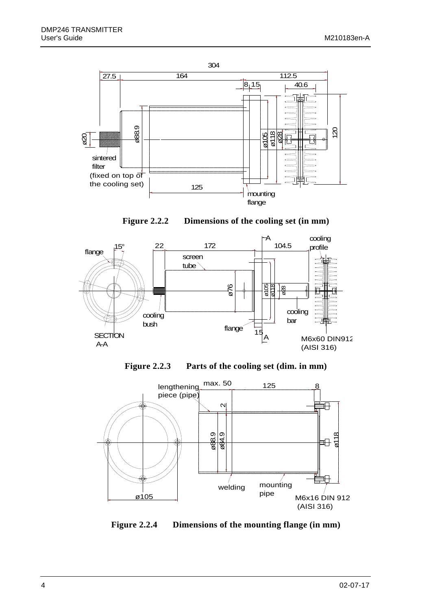





**Figure 2.2.3 Parts of the cooling set (dim. in mm)**



**Figure 2.2.4 Dimensions of the mounting flange (in mm)**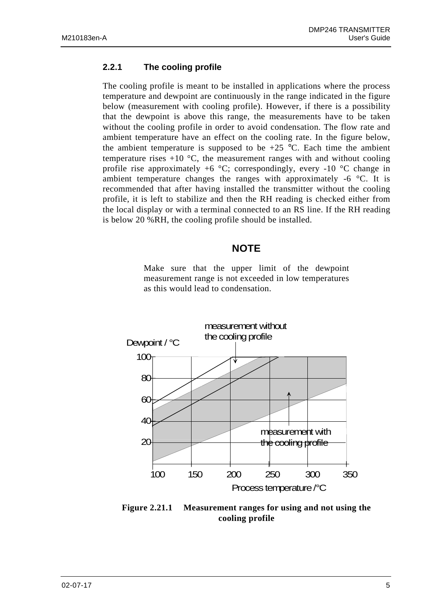# **2.2.1 The cooling profile**

The cooling profile is meant to be installed in applications where the process temperature and dewpoint are continuously in the range indicated in the figure below (measurement with cooling profile). However, if there is a possibility that the dewpoint is above this range, the measurements have to be taken without the cooling profile in order to avoid condensation. The flow rate and ambient temperature have an effect on the cooling rate. In the figure below, the ambient temperature is supposed to be  $+25$  °C. Each time the ambient temperature rises  $+10$  °C, the measurement ranges with and without cooling profile rise approximately  $+6$  °C; correspondingly, every  $-10$  °C change in ambient temperature changes the ranges with approximately  $-6$  °C. It is recommended that after having installed the transmitter without the cooling profile, it is left to stabilize and then the RH reading is checked either from the local display or with a terminal connected to an RS line. If the RH reading is below 20 %RH, the cooling profile should be installed.

# **NOTE**

Make sure that the upper limit of the dewpoint measurement range is not exceeded in low temperatures as this would lead to condensation.



**Figure 2.21.1 Measurement ranges for using and not using the cooling profile**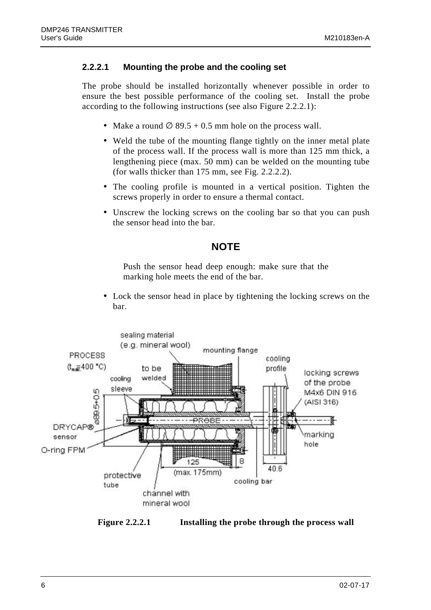# **2.2.2.1 Mounting the probe and the cooling set**

The probe should be installed horizontally whenever possible in order to ensure the best possible performance of the cooling set. Install the probe according to the following instructions (see also Figure 2.2.2.1):

- Make a round  $\varnothing$  89.5 + 0.5 mm hole on the process wall.
- Weld the tube of the mounting flange tightly on the inner metal plate of the process wall. If the process wall is more than 125 mm thick, a lengthening piece (max. 50 mm) can be welded on the mounting tube (for walls thicker than 175 mm, see Fig. 2.2.2.2).
- The cooling profile is mounted in a vertical position. Tighten the screws properly in order to ensure a thermal contact.
- Unscrew the locking screws on the cooling bar so that you can push the sensor head into the bar.

# **NOTE**

Push the sensor head deep enough: make sure that the marking hole meets the end of the bar.

• Lock the sensor head in place by tightening the locking screws on the bar.



**Figure 2.2.2.1 Installing the probe through the process wall**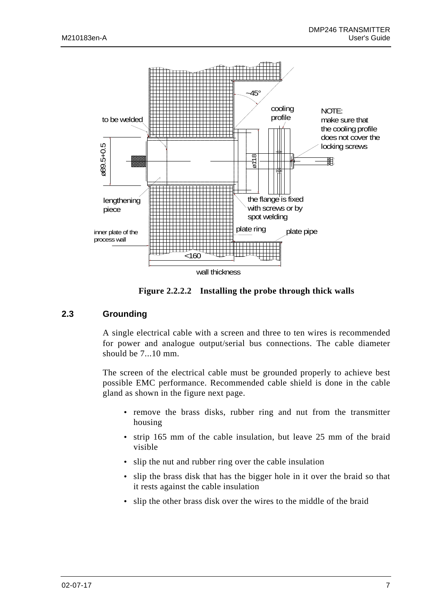

**Figure 2.2.2.2 Installing the probe through thick walls**

# **2.3 Grounding**

A single electrical cable with a screen and three to ten wires is recommended for power and analogue output/serial bus connections. The cable diameter should be 7...10 mm.

The screen of the electrical cable must be grounded properly to achieve best possible EMC performance. Recommended cable shield is done in the cable gland as shown in the figure next page.

- remove the brass disks, rubber ring and nut from the transmitter housing
- strip 165 mm of the cable insulation, but leave 25 mm of the braid visible
- slip the nut and rubber ring over the cable insulation
- slip the brass disk that has the bigger hole in it over the braid so that it rests against the cable insulation
- slip the other brass disk over the wires to the middle of the braid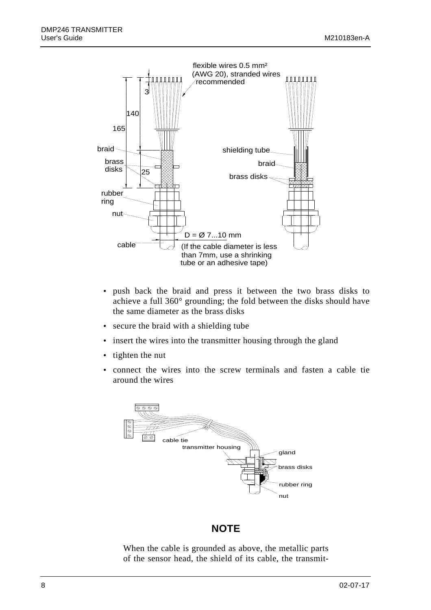

- push back the braid and press it between the two brass disks to achieve a full 360° grounding; the fold between the disks should have the same diameter as the brass disks
- secure the braid with a shielding tube
- insert the wires into the transmitter housing through the gland
- tighten the nut
- connect the wires into the screw terminals and fasten a cable tie around the wires



# **NOTE**

When the cable is grounded as above, the metallic parts of the sensor head, the shield of its cable, the transmit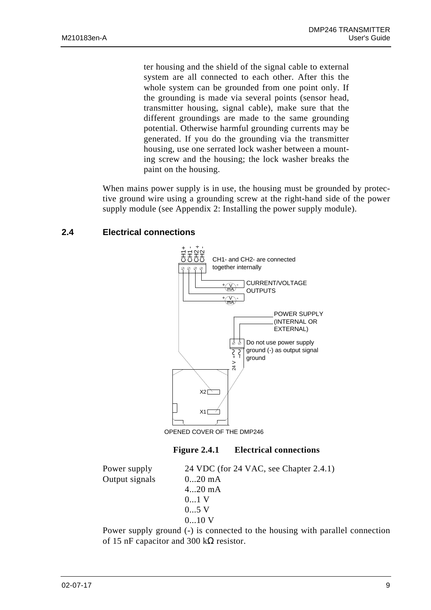ter housing and the shield of the signal cable to external system are all connected to each other. After this the whole system can be grounded from one point only. If the grounding is made via several points (sensor head, transmitter housing, signal cable), make sure that the different groundings are made to the same grounding potential. Otherwise harmful grounding currents may be generated. If you do the grounding via the transmitter housing, use one serrated lock washer between a mounting screw and the housing; the lock washer breaks the paint on the housing.

When mains power supply is in use, the housing must be grounded by protective ground wire using a grounding screw at the right-hand side of the power supply module (see Appendix 2: Installing the power supply module).

# **2.4 Electrical connections**



#### **Figure 2.4.1 Electrical connections**

Output signals 0...20 mA

Power supply 24 VDC (for 24 VAC, see Chapter 2.4.1) 4...20 mA  $0...1$  V  $0...5$  V 0...10 V

Power supply ground (-) is connected to the housing with parallel connection of 15 nF capacitor and 300 k $\Omega$  resistor.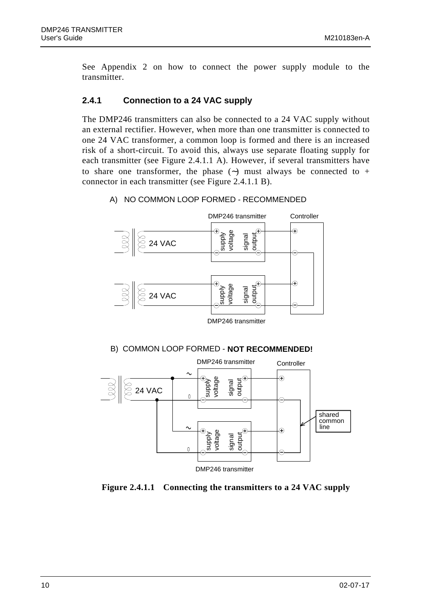See Appendix 2 on how to connect the power supply module to the transmitter.

# **2.4.1 Connection to a 24 VAC supply**

The DMP246 transmitters can also be connected to a 24 VAC supply without an external rectifier. However, when more than one transmitter is connected to one 24 VAC transformer, a common loop is formed and there is an increased risk of a short-circuit. To avoid this, always use separate floating supply for each transmitter (see Figure 2.4.1.1 A). However, if several transmitters have to share one transformer, the phase (∼) must always be connected to + connector in each transmitter (see Figure 2.4.1.1 B).



#### A) NO COMMON LOOP FORMED - RECOMMENDED



**Figure 2.4.1.1 Connecting the transmitters to a 24 VAC supply**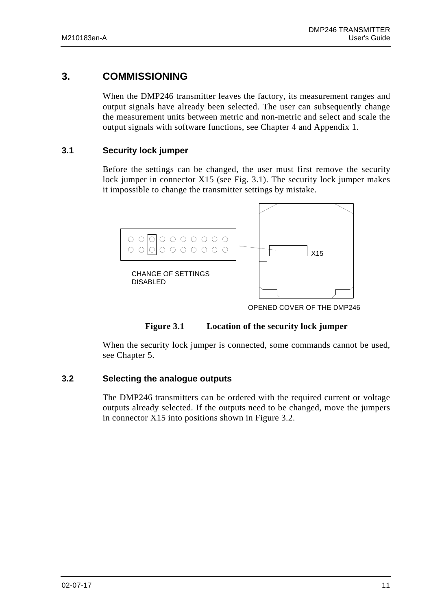# **3. COMMISSIONING**

When the DMP246 transmitter leaves the factory, its measurement ranges and output signals have already been selected. The user can subsequently change the measurement units between metric and non-metric and select and scale the output signals with software functions, see Chapter 4 and Appendix 1.

# **3.1 Security lock jumper**

Before the settings can be changed, the user must first remove the security lock jumper in connector X15 (see Fig. 3.1). The security lock jumper makes it impossible to change the transmitter settings by mistake.



**Figure 3.1 Location of the security lock jumper**

When the security lock jumper is connected, some commands cannot be used. see Chapter 5.

### **3.2 Selecting the analogue outputs**

The DMP246 transmitters can be ordered with the required current or voltage outputs already selected. If the outputs need to be changed, move the jumpers in connector X15 into positions shown in Figure 3.2.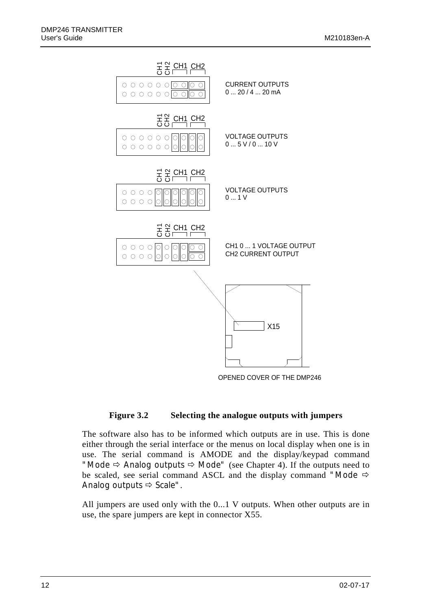

OPENED COVER OF THE DMP246

#### **Figure 3.2 Selecting the analogue outputs with jumpers**

The software also has to be informed which outputs are in use. This is done either through the serial interface or the menus on local display when one is in use. The serial command is AMODE and the display/keypad command "Mode  $\Rightarrow$  Analog outputs  $\Rightarrow$  Mode" (see Chapter 4). If the outputs need to be scaled, see serial command ASCL and the display command "Mode  $\Rightarrow$ Analog outputs  $\Rightarrow$  Scale".

All jumpers are used only with the 0...1 V outputs. When other outputs are in use, the spare jumpers are kept in connector X55.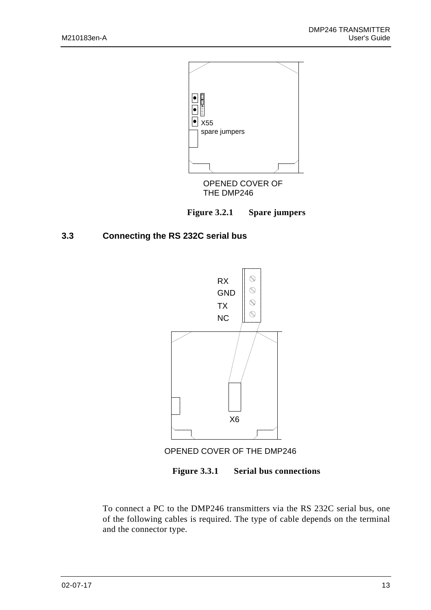





# **3.3 Connecting the RS 232C serial bus**



OPENED COVER OF THE DMP246

**Figure 3.3.1 Serial bus connections**

To connect a PC to the DMP246 transmitters via the RS 232C serial bus, one of the following cables is required. The type of cable depends on the terminal and the connector type.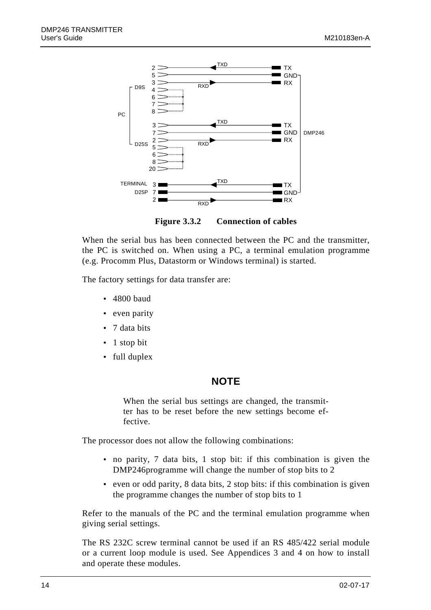

**Figure 3.3.2 Connection of cables**

When the serial bus has been connected between the PC and the transmitter, the PC is switched on. When using a PC, a terminal emulation programme (e.g. Procomm Plus, Datastorm or Windows terminal) is started.

The factory settings for data transfer are:

- 4800 baud
- even parity
- 7 data bits
- 1 stop bit
- full duplex

#### **NOTE**

When the serial bus settings are changed, the transmitter has to be reset before the new settings become effective.

The processor does not allow the following combinations:

- no parity, 7 data bits, 1 stop bit: if this combination is given the DMP246programme will change the number of stop bits to 2
- even or odd parity, 8 data bits, 2 stop bits: if this combination is given the programme changes the number of stop bits to 1

Refer to the manuals of the PC and the terminal emulation programme when giving serial settings.

The RS 232C screw terminal cannot be used if an RS 485/422 serial module or a current loop module is used. See Appendices 3 and 4 on how to install and operate these modules.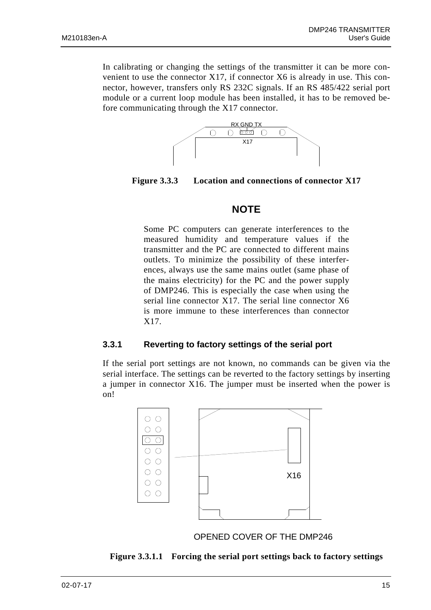In calibrating or changing the settings of the transmitter it can be more convenient to use the connector  $X17$ , if connector  $X6$  is already in use. This connector, however, transfers only RS 232C signals. If an RS 485/422 serial port module or a current loop module has been installed, it has to be removed before communicating through the X17 connector.



**Figure 3.3.3 Location and connections of connector X17**

# **NOTE**

Some PC computers can generate interferences to the measured humidity and temperature values if the transmitter and the PC are connected to different mains outlets. To minimize the possibility of these interferences, always use the same mains outlet (same phase of the mains electricity) for the PC and the power supply of DMP246. This is especially the case when using the serial line connector X17. The serial line connector X6 is more immune to these interferences than connector X17.

#### **3.3.1 Reverting to factory settings of the serial port**

If the serial port settings are not known, no commands can be given via the serial interface. The settings can be reverted to the factory settings by inserting a jumper in connector X16. The jumper must be inserted when the power is on!



OPENED COVER OF THE DMP246

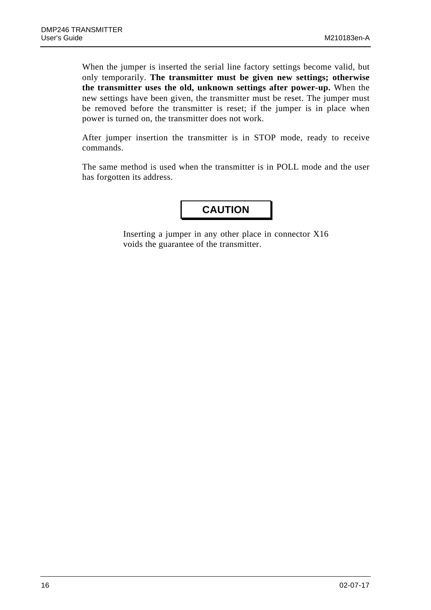When the jumper is inserted the serial line factory settings become valid, but only temporarily. **The transmitter must be given new settings; otherwise the transmitter uses the old, unknown settings after power-up.** When the new settings have been given, the transmitter must be reset. The jumper must be removed before the transmitter is reset; if the jumper is in place when power is turned on, the transmitter does not work.

After jumper insertion the transmitter is in STOP mode, ready to receive commands.

The same method is used when the transmitter is in POLL mode and the user has forgotten its address.

# **CAUTION**

Inserting a jumper in any other place in connector X16 voids the guarantee of the transmitter.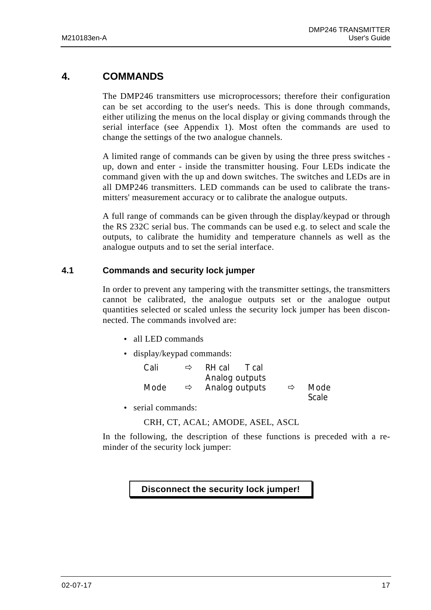# **4. COMMANDS**

The DMP246 transmitters use microprocessors; therefore their configuration can be set according to the user's needs. This is done through commands, either utilizing the menus on the local display or giving commands through the serial interface (see Appendix 1). Most often the commands are used to change the settings of the two analogue channels.

A limited range of commands can be given by using the three press switches up, down and enter - inside the transmitter housing. Four LEDs indicate the command given with the up and down switches. The switches and LEDs are in all DMP246 transmitters. LED commands can be used to calibrate the transmitters' measurement accuracy or to calibrate the analogue outputs.

A full range of commands can be given through the display/keypad or through the RS 232C serial bus. The commands can be used e.g. to select and scale the outputs, to calibrate the humidity and temperature channels as well as the analogue outputs and to set the serial interface.

# **4.1 Commands and security lock jumper**

In order to prevent any tampering with the transmitter settings, the transmitters cannot be calibrated, the analogue outputs set or the analogue output quantities selected or scaled unless the security lock jumper has been disconnected. The commands involved are:

- all LED commands
- display/keypad commands:

| Cali | ⇨             | RH cal         | - T cal |               |       |
|------|---------------|----------------|---------|---------------|-------|
|      |               | Analog outputs |         |               |       |
| Mode | $\Rightarrow$ | Analog outputs |         | $\Rightarrow$ | Mode  |
|      |               |                |         |               | Scale |

• serial commands:

CRH, CT, ACAL; AMODE, ASEL, ASCL

In the following, the description of these functions is preceded with a reminder of the security lock jumper:

**Disconnect the security lock jumper!**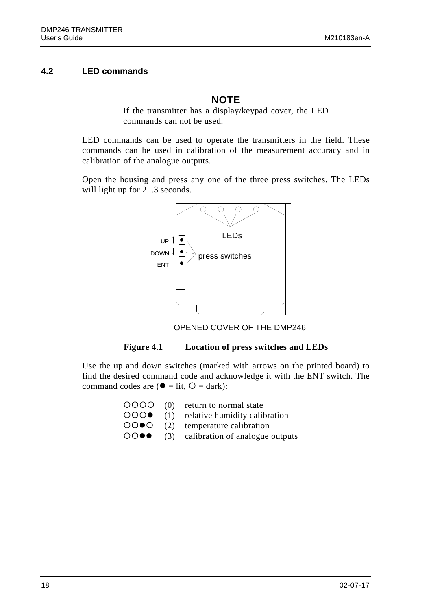# **4.2 LED commands**

# **NOTE**

If the transmitter has a display/keypad cover, the LED commands can not be used.

LED commands can be used to operate the transmitters in the field. These commands can be used in calibration of the measurement accuracy and in calibration of the analogue outputs.

Open the housing and press any one of the three press switches. The LEDs will light up for 2...3 seconds.



OPENED COVER OF THE DMP246

#### **Figure 4.1 Location of press switches and LEDs**

Use the up and down switches (marked with arrows on the printed board) to find the desired command code and acknowledge it with the ENT switch. The command codes are  $(\bullet = \text{lit}, O = \text{dark})$ :

- °°°° (0) return to normal state
- $\bigcirc$  OO (1) relative humidity calibration
- ○○●○ (2) temperature calibration
- $\bigcirc \bigcirc \bullet \bullet$  (3) calibration of analogue outputs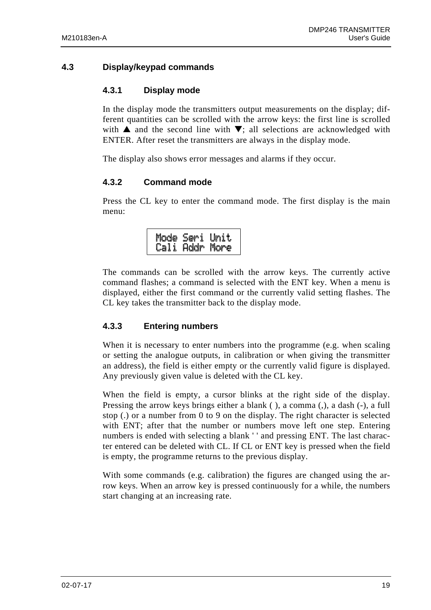# **4.3 Display/keypad commands**

# **4.3.1 Display mode**

In the display mode the transmitters output measurements on the display; different quantities can be scrolled with the arrow keys: the first line is scrolled with  $\blacktriangle$  and the second line with  $\nabla$ ; all selections are acknowledged with ENTER. After reset the transmitters are always in the display mode.

The display also shows error messages and alarms if they occur.

# **4.3.2 Command mode**

Press the CL key to enter the command mode. The first display is the main menu:



The commands can be scrolled with the arrow keys. The currently active command flashes; a command is selected with the ENT key. When a menu is displayed, either the first command or the currently valid setting flashes. The CL key takes the transmitter back to the display mode.

# **4.3.3 Entering numbers**

When it is necessary to enter numbers into the programme (e.g. when scaling or setting the analogue outputs, in calibration or when giving the transmitter an address), the field is either empty or the currently valid figure is displayed. Any previously given value is deleted with the CL key.

When the field is empty, a cursor blinks at the right side of the display. Pressing the arrow keys brings either a blank ( ), a comma (,), a dash (-), a full stop (.) or a number from 0 to 9 on the display. The right character is selected with ENT; after that the number or numbers move left one step. Entering numbers is ended with selecting a blank ' ' and pressing ENT. The last character entered can be deleted with CL. If CL or ENT key is pressed when the field is empty, the programme returns to the previous display.

With some commands (e.g. calibration) the figures are changed using the arrow keys. When an arrow key is pressed continuously for a while, the numbers start changing at an increasing rate.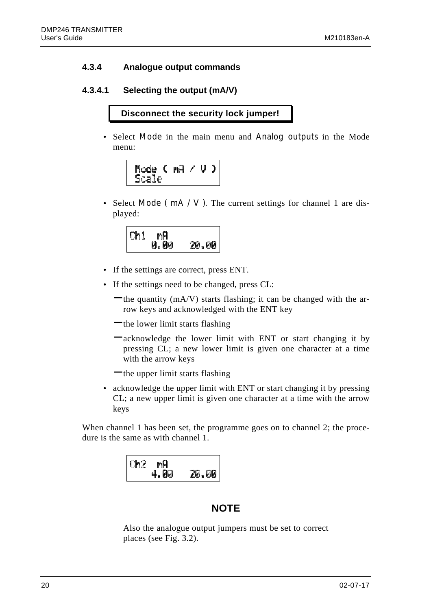#### **4.3.4 Analogue output commands**

#### **4.3.4.1 Selecting the output (mA/V)**

```
Disconnect the security lock jumper!
```
• Select Mode in the main menu and Analog outputs in the Mode menu:

| E<br>$^{\rm{m}}$<br>ш<br>疅<br>≞<br>œ<br>ᄪ<br>₩ | ٥ |  |  |  |
|------------------------------------------------|---|--|--|--|
|------------------------------------------------|---|--|--|--|

• Select Mode (  $mA / V$  ). The current settings for channel 1 are displayed:



- If the settings are correct, press ENT.
- If the settings need to be changed, press CL:
	- − the quantity (mA/V) starts flashing; it can be changed with the arrow keys and acknowledged with the ENT key
	- − the lower limit starts flashing
	- − acknowledge the lower limit with ENT or start changing it by pressing CL; a new lower limit is given one character at a time with the arrow keys
	- − the upper limit starts flashing
- acknowledge the upper limit with ENT or start changing it by pressing CL; a new upper limit is given one character at a time with the arrow keys

When channel 1 has been set, the programme goes on to channel 2; the procedure is the same as with channel 1.

$$
\begin{array}{|c|c|c|}\n\hline\n\text{Ch2} & \text{m} \\
\hline\n\text{4.00} & \text{20.00}\n\end{array}
$$

# **NOTE**

Also the analogue output jumpers must be set to correct places (see Fig. 3.2).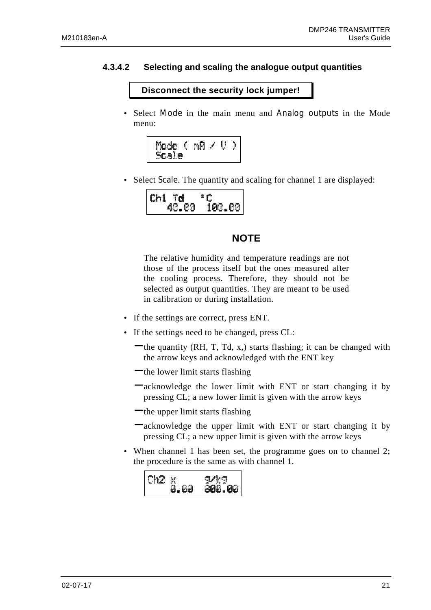# **4.3.4.2 Selecting and scaling the analogue output quantities**

# **Disconnect the security lock jumper!**

• Select Mode in the main menu and Analog outputs in the Mode menu:



• Select Scale. The quantity and scaling for channel 1 are displayed:



# **NOTE**

The relative humidity and temperature readings are not those of the process itself but the ones measured after the cooling process. Therefore, they should not be selected as output quantities. They are meant to be used in calibration or during installation.

- If the settings are correct, press ENT.
- If the settings need to be changed, press CL:
	- − the quantity (RH, T, Td, x,) starts flashing; it can be changed with the arrow keys and acknowledged with the ENT key
	- − the lower limit starts flashing
	- − acknowledge the lower limit with ENT or start changing it by pressing CL; a new lower limit is given with the arrow keys
	- − the upper limit starts flashing
	- − acknowledge the upper limit with ENT or start changing it by pressing CL; a new upper limit is given with the arrow keys
- When channel 1 has been set, the programme goes on to channel 2; the procedure is the same as with channel 1.

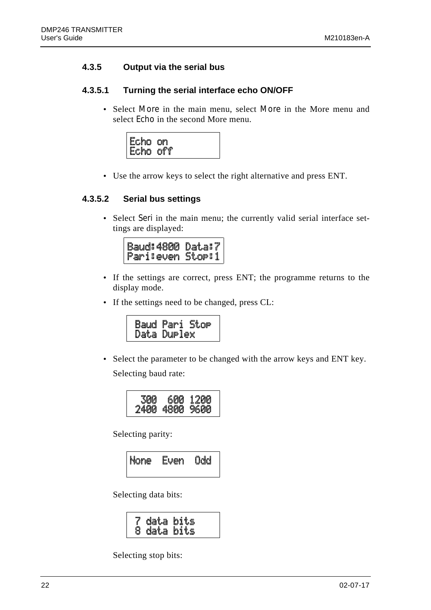# **4.3.5 Output via the serial bus**

#### **4.3.5.1 Turning the serial interface echo ON/OFF**

• Select More in the main menu, select More in the More menu and select Echo in the second More menu.



• Use the arrow keys to select the right alternative and press ENT.

#### **4.3.5.2 Serial bus settings**

• Select Seri in the main menu; the currently valid serial interface settings are displayed:



- If the settings are correct, press ENT; the programme returns to the display mode.
- If the settings need to be changed, press CL:



• Select the parameter to be changed with the arrow keys and ENT key. Selecting baud rate:

| mm<br><br>≖<br>तीक<br>▥<br>o<br>m<br>σ |  |
|----------------------------------------|--|
|----------------------------------------|--|

Selecting parity:

| я<br>A<br>B<br>tm | $_{\rm{mm}}$<br>Њш<br>Ü<br>ետո<br>н<br>π | ÆН<br>Ë<br>mt |
|-------------------|------------------------------------------|---------------|
|                   |                                          |               |

Selecting data bits:

| <b>COLOR</b><br>H<br>₩<br>₩<br>ш<br>m | ۰<br>≞<br>▥<br>шm<br>o<br>m<br>dЬ<br>m |  |
|---------------------------------------|----------------------------------------|--|
|---------------------------------------|----------------------------------------|--|

Selecting stop bits: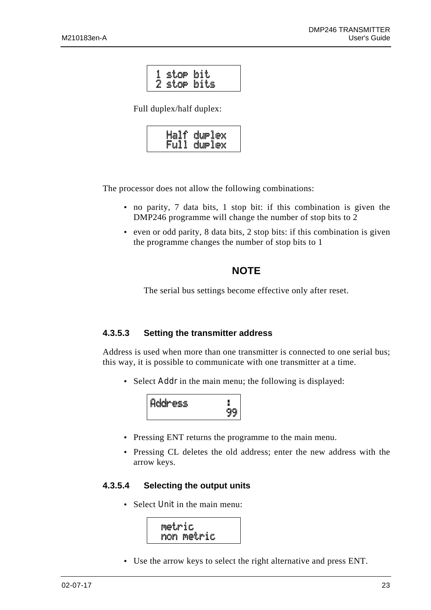| m    | ₩ | n<br>ᆊ<br>ᄪ<br>D |
|------|---|------------------|
| din. | œ | Ш<br>۰H          |

Full duplex/half duplex:

| 1<br>1<br>t<br>甼<br>胛<br>刪<br>曲黒<br>۱<br>1<br>m<br>۱<br>F<br>$\mathbf{H}$<br>. 一<br>門<br>A<br>曲軍 |
|--------------------------------------------------------------------------------------------------|
|--------------------------------------------------------------------------------------------------|

The processor does not allow the following combinations:

- no parity, 7 data bits, 1 stop bit: if this combination is given the DMP246 programme will change the number of stop bits to 2
- even or odd parity, 8 data bits, 2 stop bits: if this combination is given the programme changes the number of stop bits to 1

# **NOTE**

The serial bus settings become effective only after reset.

# **4.3.5.3 Setting the transmitter address**

Address is used when more than one transmitter is connected to one serial bus; this way, it is possible to communicate with one transmitter at a time.

• Select Addr in the main menu; the following is displayed:



- Pressing ENT returns the programme to the main menu.
- Pressing CL deletes the old address; enter the new address with the arrow keys.

# **4.3.5.4 Selecting the output units**

• Select Unit in the main menu:



• Use the arrow keys to select the right alternative and press ENT.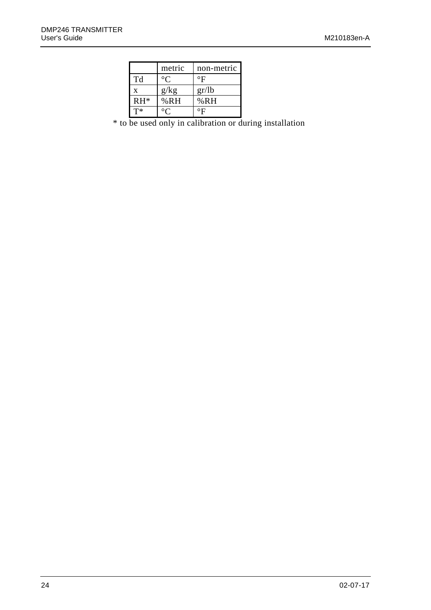|        | metric    | non-metric            |
|--------|-----------|-----------------------|
| Td     | $\circ$ C | $^{\circ} \mathsf{F}$ |
| X      | g/kg      | gr/lb                 |
| $RH^*$ | %RH       | %RH                   |
| T*     |           | °F                    |

\* to be used only in calibration or during installation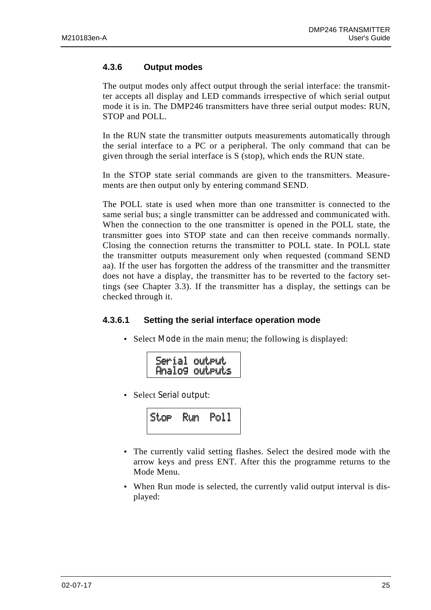# **4.3.6 Output modes**

The output modes only affect output through the serial interface: the transmitter accepts all display and LED commands irrespective of which serial output mode it is in. The DMP246 transmitters have three serial output modes: RUN, STOP and POLL.

In the RUN state the transmitter outputs measurements automatically through the serial interface to a PC or a peripheral. The only command that can be given through the serial interface is S (stop), which ends the RUN state.

In the STOP state serial commands are given to the transmitters. Measurements are then output only by entering command SEND.

The POLL state is used when more than one transmitter is connected to the same serial bus; a single transmitter can be addressed and communicated with. When the connection to the one transmitter is opened in the POLL state, the transmitter goes into STOP state and can then receive commands normally. Closing the connection returns the transmitter to POLL state. In POLL state the transmitter outputs measurement only when requested (command SEND aa). If the user has forgotten the address of the transmitter and the transmitter does not have a display, the transmitter has to be reverted to the factory settings (see Chapter 3.3). If the transmitter has a display, the settings can be checked through it.

#### **4.3.6.1 Setting the serial interface operation mode**

• Select Mode in the main menu; the following is displayed:

• Select Serial output:



- The currently valid setting flashes. Select the desired mode with the arrow keys and press ENT. After this the programme returns to the Mode Menu.
- When Run mode is selected, the currently valid output interval is displayed: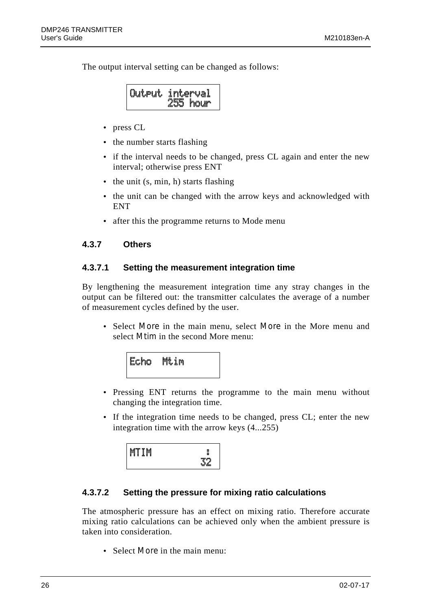The output interval setting can be changed as follows:

- press CL
- the number starts flashing
- if the interval needs to be changed, press CL again and enter the new interval; otherwise press ENT
- the unit (s, min, h) starts flashing
- the unit can be changed with the arrow keys and acknowledged with ENT
- after this the programme returns to Mode menu

#### **4.3.7 Others**

#### **4.3.7.1 Setting the measurement integration time**

By lengthening the measurement integration time any stray changes in the output can be filtered out: the transmitter calculates the average of a number of measurement cycles defined by the user.

• Select More in the main menu, select More in the More menu and select Mtim in the second More menu:



- Pressing ENT returns the programme to the main menu without changing the integration time.
- If the integration time needs to be changed, press CL; enter the new integration time with the arrow keys (4...255)

| F<br>Ö<br>Ü<br>8<br>B<br>ы<br>œ | ⊞<br>⊞<br>mm m<br>۵tm |
|---------------------------------|-----------------------|
|                                 |                       |

# **4.3.7.2 Setting the pressure for mixing ratio calculations**

The atmospheric pressure has an effect on mixing ratio. Therefore accurate mixing ratio calculations can be achieved only when the ambient pressure is taken into consideration.

• Select More in the main menu: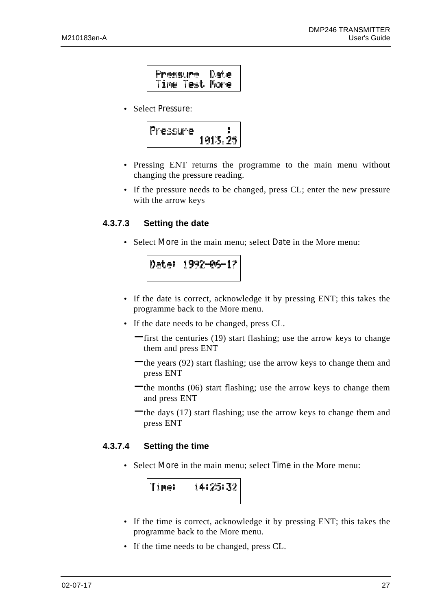• Select Pressure:

| ш<br>B<br>ш<br>m<br>m | œ<br>æ<br>m<br>ሐ<br>⊞<br>n<br>Գա⊅<br>гth<br>ա<br>₩<br>m |
|-----------------------|---------------------------------------------------------|
|                       |                                                         |

- Pressing ENT returns the programme to the main menu without changing the pressure reading.
- If the pressure needs to be changed, press CL; enter the new pressure with the arrow keys

#### **4.3.7.3 Setting the date**

• Select More in the main menu; select Date in the More menu:

$$
\textbf{Date: } 1992 \text{--} \textbf{06--17}
$$

- If the date is correct, acknowledge it by pressing ENT; this takes the programme back to the More menu.
- If the date needs to be changed, press CL.
	- − first the centuries (19) start flashing; use the arrow keys to change them and press ENT
	- − the years (92) start flashing; use the arrow keys to change them and press ENT
	- − the months (06) start flashing; use the arrow keys to change them and press ENT
	- − the days (17) start flashing; use the arrow keys to change them and press ENT

#### **4.3.7.4 Setting the time**

• Select More in the main menu; select Time in the More menu:



- If the time is correct, acknowledge it by pressing ENT; this takes the programme back to the More menu.
- If the time needs to be changed, press CL.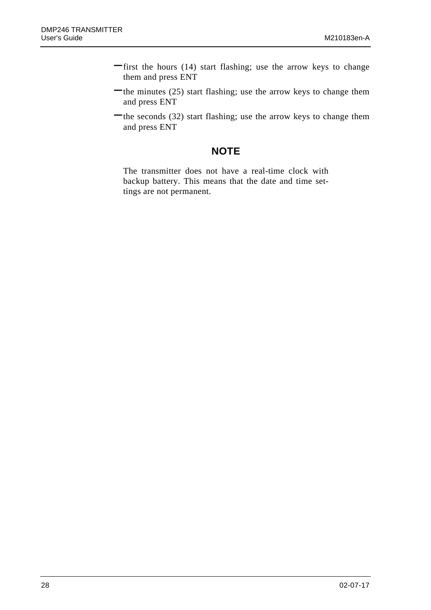- − first the hours (14) start flashing; use the arrow keys to change them and press ENT
- − the minutes (25) start flashing; use the arrow keys to change them and press ENT
- − the seconds (32) start flashing; use the arrow keys to change them and press ENT

# **NOTE**

The transmitter does not have a real-time clock with backup battery. This means that the date and time settings are not permanent.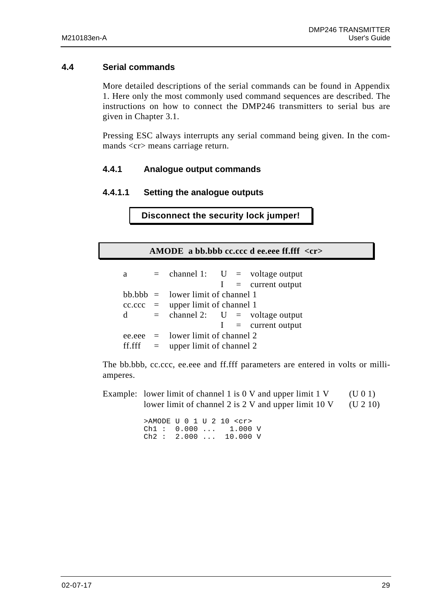#### **4.4 Serial commands**

More detailed descriptions of the serial commands can be found in Appendix 1. Here only the most commonly used command sequences are described. The instructions on how to connect the DMP246 transmitters to serial bus are given in Chapter 3.1.

Pressing ESC always interrupts any serial command being given. In the commands <cr> means carriage return.

#### **4.4.1 Analogue output commands**

#### **4.4.1.1 Setting the analogue outputs**

**Disconnect the security lock jumper!**

**AMODE a bb.bbb cc.ccc d ee.eee ff.fff <cr>**

| a        |                                                   |  | $=$ channel 1: $U =$ voltage output |
|----------|---------------------------------------------------|--|-------------------------------------|
|          |                                                   |  | $I =$ current output                |
|          | $bb \, bbb \, bbb$ = lower limit of channel 1     |  |                                     |
|          | $ccc \text{ } =$ upper limit of channel 1         |  |                                     |
| $d \Box$ |                                                   |  | $=$ channel 2: $U =$ voltage output |
|          |                                                   |  | $I =$ current output                |
|          | $\text{e}$ ee.eee = lower limit of channel 2      |  |                                     |
|          | $\text{ff.} \text{ff}$ = upper limit of channel 2 |  |                                     |

The bb.bbb, cc.ccc, ee.eee and ff.fff parameters are entered in volts or milliamperes.

Example: lower limit of channel 1 is  $0 \text{ V}$  and upper limit  $1 \text{ V}$  (U 0 1) lower limit of channel 2 is 2 V and upper limit  $10 V$  (U 2 10)

> >AMODE U 0 1 U 2 10 <cr> Ch1 : 0.000 ... 1.000 V Ch2 : 2.000 ... 10.000 V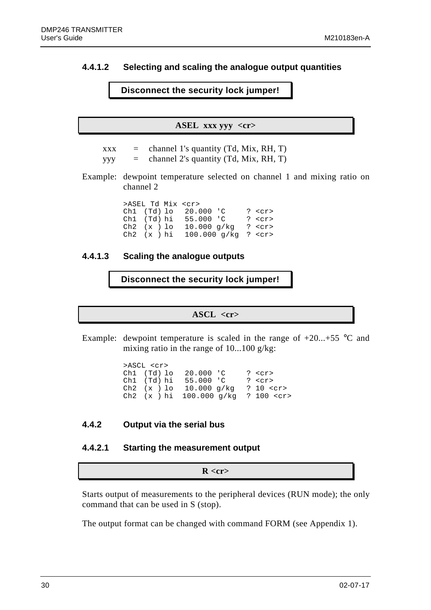# **4.4.1.2 Selecting and scaling the analogue output quantities**

**Disconnect the security lock jumper!**

**ASEL xxx yyy <cr>**

| <b>XXX</b> | $\equiv$ | channel 1's quantity (Td, Mix, RH, T) |
|------------|----------|---------------------------------------|
| ууу        | $=$ $-$  | channel 2's quantity (Td, Mix, RH, T) |

Example: dewpoint temperature selected on channel 1 and mixing ratio on channel 2

> >ASEL Td Mix <cr> Ch1 (Td) lo 20.000 'C ? <cr><br>Ch1 (Td) hi 55.000 'C ? <cr> Ch1 (Td) hi 55.000  $C$ <br>Ch2 (x) lo 10.000 q/k Ch2 (x ) lo  $10.000$  g/kg ? <cr><br>Ch2 (x ) hi  $100.000$  g/kg ? <cr>  $100.000$  g/kg ? <cr>

#### **4.4.1.3 Scaling the analogue outputs**

**Disconnect the security lock jumper!**

#### **ASCL <cr>**

Example: dewpoint temperature is scaled in the range of  $+20...+55$  °C and mixing ratio in the range of 10...100 g/kg:

> >ASCL <cr> Ch1 (Td) lo 20.000 'C ? <cr><br>Ch1 (Td) hi 55.000 'C ? <cr>  $Ch1$  (Td) hi  $55.000$  <sup>'</sup>C Ch2 (x ) lo 10.000 g/kg ? 10 <cr> Ch2 (x ) hi 100.000 g/kg ? 100 <cr>

# **4.4.2 Output via the serial bus**

#### **4.4.2.1 Starting the measurement output**

**R <cr>**

Starts output of measurements to the peripheral devices (RUN mode); the only command that can be used in S (stop).

The output format can be changed with command FORM (see Appendix 1).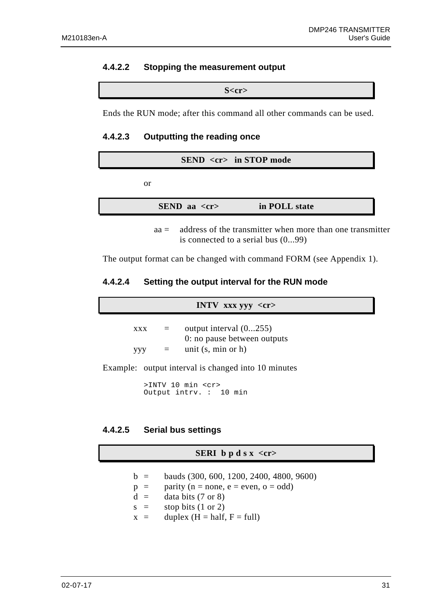### **4.4.2.2 Stopping the measurement output**

**S<cr>**

Ends the RUN mode; after this command all other commands can be used.

#### **4.4.2.3 Outputting the reading once**

|  | <b>SEND</b> <cr> in STOP mode</cr> |  |
|--|------------------------------------|--|
|  |                                    |  |

or

| SEND aa $\langle cr \rangle$ | in POLL state |
|------------------------------|---------------|
|                              |               |

 $aa = a$ ddress of the transmitter when more than one transmitter is connected to a serial bus (0...99)

The output format can be changed with command FORM (see Appendix 1).

# **4.4.2.4 Setting the output interval for the RUN mode**

### **INTV xxx yyy <cr>**

 $xxxx = output interval (0...255)$ 0: no pause between outputs yyy = unit (s, min or h)

Example: output interval is changed into 10 minutes

>INTV 10 min <cr> Output intrv. : 10 min

### **4.4.2.5 Serial bus settings**

#### **SERI b p d s x <cr>**

- b = bauds (300, 600, 1200, 2400, 4800, 9600)
- $p =$  parity (n = none, e = even, o = odd)
- $d =$  data bits (7 or 8)
- $s =$  stop bits  $(1 \text{ or } 2)$
- $x = \text{duplex} (H = \text{half}, F = \text{full})$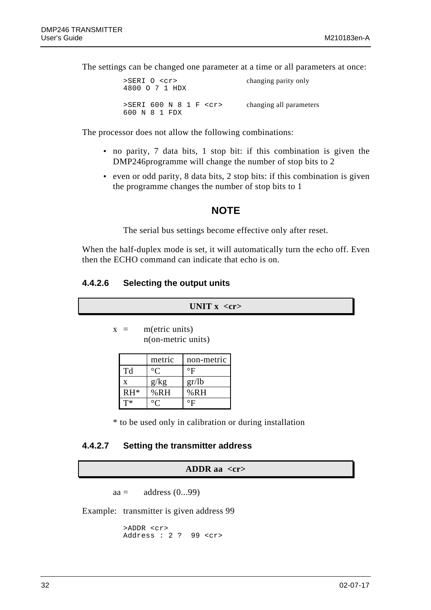The settings can be changed one parameter at a time or all parameters at once:

| $>$ SERI $0$ <cr><br/>4800 O 7 1 HDX</cr>              | changing parity only    |
|--------------------------------------------------------|-------------------------|
| $>$ SERI 600 N 8 1 F $\langle$ cr $>$<br>600 N 8 1 FDX | changing all parameters |

The processor does not allow the following combinations:

- no parity, 7 data bits, 1 stop bit: if this combination is given the DMP246programme will change the number of stop bits to 2
- even or odd parity, 8 data bits, 2 stop bits: if this combination is given the programme changes the number of stop bits to 1

# **NOTE**

The serial bus settings become effective only after reset.

When the half-duplex mode is set, it will automatically turn the echo off. Even then the ECHO command can indicate that echo is on.

### **4.4.2.6 Selecting the output units**

#### **UNIT x <cr>**

 $x = m(\text{etric units})$ n(on-metric units)

|        | metric | non-metric   |
|--------|--------|--------------|
| Td     |        | $^{\circ}$ F |
| X      | g/kg   | gr/lb        |
| $RH^*$ | %RH    | %RH          |
| $T^*$  |        | °F           |

\* to be used only in calibration or during installation

### **4.4.2.7 Setting the transmitter address**

#### **ADDR aa <cr>**

 $aa = \text{address}(0...99)$ 

Example: transmitter is given address 99

>ADDR <cr> Address : 2 ? 99 <cr>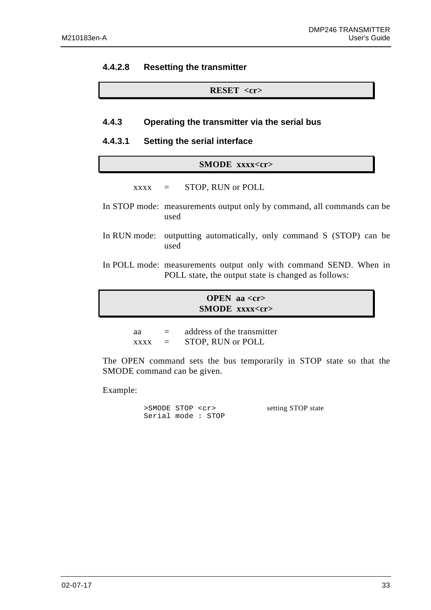# **4.4.2.8 Resetting the transmitter**

### **RESET <cr>**

# **4.4.3 Operating the transmitter via the serial bus**

### **4.4.3.1 Setting the serial interface**

#### **SMODE xxxx<cr>**

 $xxxx = STOP$ , RUN or POLL

- In STOP mode: measurements output only by command, all commands can be used
- In RUN mode: outputting automatically, only command S (STOP) can be used
- In POLL mode: measurements output only with command SEND. When in POLL state, the output state is changed as follows:

### **OPEN aa <cr>** SMODE xxxx<cr>

aa  $=$  address of the transmitter  $xxxx = STOP, RUN or POLL$ 

The OPEN command sets the bus temporarily in STOP state so that the SMODE command can be given.

Example:

>SMODE STOP <cr>
setting STOP state Serial mode : STOP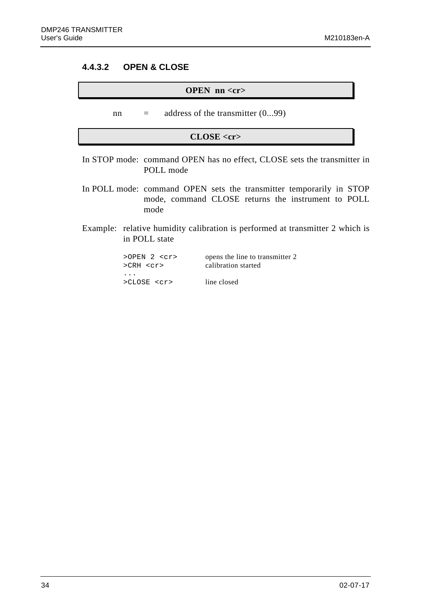# **4.4.3.2 OPEN & CLOSE**

#### **OPEN nn <cr>**

nn  $=$  address of the transmitter  $(0...99)$ 

### **CLOSE <cr>**

- In STOP mode: command OPEN has no effect, CLOSE sets the transmitter in POLL mode
- In POLL mode: command OPEN sets the transmitter temporarily in STOP mode, command CLOSE returns the instrument to POLL mode
- Example: relative humidity calibration is performed at transmitter 2 which is in POLL state

| $>$ OPEN 2 $\langle$ cr $>$                 | opens the line to transmitter 2 |
|---------------------------------------------|---------------------------------|
| $>$ CRH $\leq$ cr $>$                       | calibration started             |
| $\cdot$ $\cdot$ $\cdot$<br>>CLOSE <cr></cr> | line closed                     |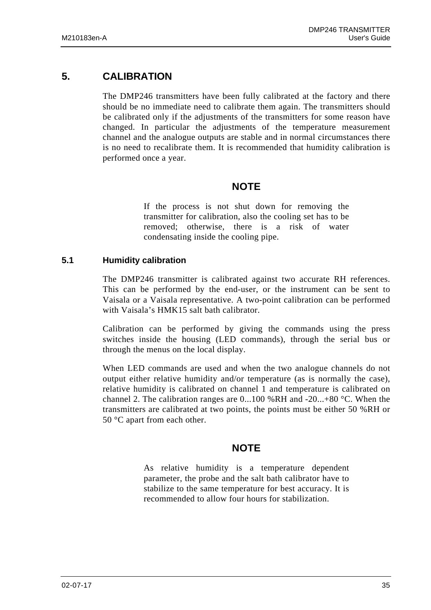# **5. CALIBRATION**

The DMP246 transmitters have been fully calibrated at the factory and there should be no immediate need to calibrate them again. The transmitters should be calibrated only if the adjustments of the transmitters for some reason have changed. In particular the adjustments of the temperature measurement channel and the analogue outputs are stable and in normal circumstances there is no need to recalibrate them. It is recommended that humidity calibration is performed once a year.

# **NOTE**

If the process is not shut down for removing the transmitter for calibration, also the cooling set has to be removed; otherwise, there is a risk of water condensating inside the cooling pipe.

# **5.1 Humidity calibration**

The DMP246 transmitter is calibrated against two accurate RH references. This can be performed by the end-user, or the instrument can be sent to Vaisala or a Vaisala representative. A two-point calibration can be performed with Vaisala's HMK15 salt bath calibrator.

Calibration can be performed by giving the commands using the press switches inside the housing (LED commands), through the serial bus or through the menus on the local display.

When LED commands are used and when the two analogue channels do not output either relative humidity and/or temperature (as is normally the case), relative humidity is calibrated on channel 1 and temperature is calibrated on channel 2. The calibration ranges are 0...100 %RH and -20...+80 °C. When the transmitters are calibrated at two points, the points must be either 50 %RH or 50 °C apart from each other.

# **NOTE**

As relative humidity is a temperature dependent parameter, the probe and the salt bath calibrator have to stabilize to the same temperature for best accuracy. It is recommended to allow four hours for stabilization.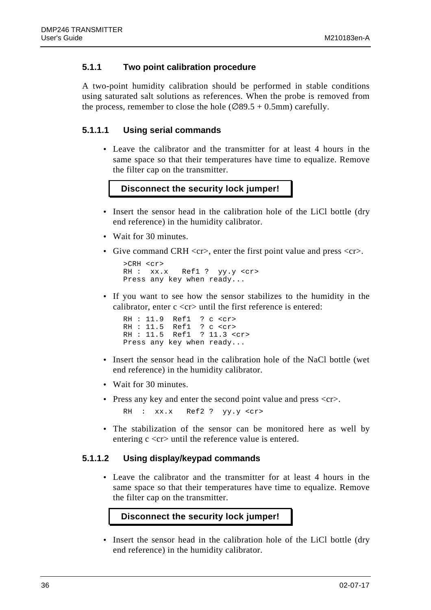# **5.1.1 Two point calibration procedure**

A two-point humidity calibration should be performed in stable conditions using saturated salt solutions as references. When the probe is removed from the process, remember to close the hole ( $\varnothing$ 89.5 + 0.5mm) carefully.

# **5.1.1.1 Using serial commands**

• Leave the calibrator and the transmitter for at least 4 hours in the same space so that their temperatures have time to equalize. Remove the filter cap on the transmitter.

```
Disconnect the security lock jumper!
```
- Insert the sensor head in the calibration hole of the LiCl bottle (dry end reference) in the humidity calibrator.
- Wait for 30 minutes.
- Give command CRH  $\langle cr \rangle$ , enter the first point value and press  $\langle cr \rangle$ .

```
>CRH <cr>
RH : xx.x Ref1 ? yy.y <cr>
Press any key when ready...
```
• If you want to see how the sensor stabilizes to the humidity in the calibrator, enter  $c \ll r$  until the first reference is entered:

RH : 11.9 Ref1 ? c <cr> RH : 11.5 Ref1 ? c <cr> RH : 11.5 Ref1 ? 11.3 <cr> Press any key when ready...

- Insert the sensor head in the calibration hole of the NaCl bottle (wet end reference) in the humidity calibrator.
- Wait for 30 minutes.
- Press any key and enter the second point value and press  $\langle cr \rangle$ .

RH : xx.x Ref2 ? yy.y <cr>

• The stabilization of the sensor can be monitored here as well by entering  $c \ll r$  until the reference value is entered.

# **5.1.1.2 Using display/keypad commands**

• Leave the calibrator and the transmitter for at least 4 hours in the same space so that their temperatures have time to equalize. Remove the filter cap on the transmitter.

```
Disconnect the security lock jumper!
```
• Insert the sensor head in the calibration hole of the LiCl bottle (dry end reference) in the humidity calibrator.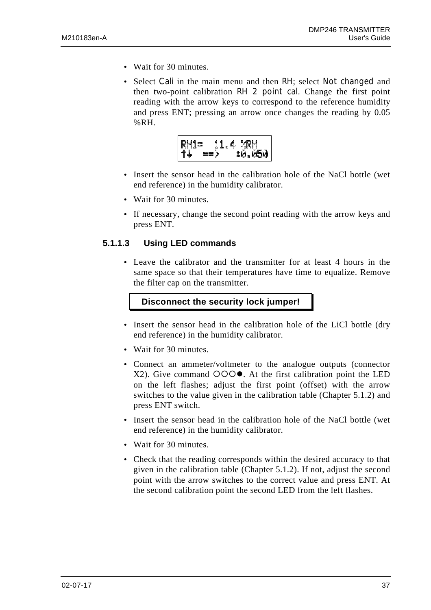- Wait for 30 minutes.
- Select Cali in the main menu and then RH; select Not changed and then two-point calibration RH 2 point cal. Change the first point reading with the arrow keys to correspond to the reference humidity and press ENT; pressing an arrow once changes the reading by 0.05 %RH.



- Insert the sensor head in the calibration hole of the NaCl bottle (wet end reference) in the humidity calibrator.
- Wait for 30 minutes.
- If necessary, change the second point reading with the arrow keys and press ENT.

# **5.1.1.3 Using LED commands**

• Leave the calibrator and the transmitter for at least 4 hours in the same space so that their temperatures have time to equalize. Remove the filter cap on the transmitter.



- Insert the sensor head in the calibration hole of the LiCl bottle (dry end reference) in the humidity calibrator.
- Wait for 30 minutes.
- Connect an ammeter/voltmeter to the analogue outputs (connector  $X2$ ). Give command  $000\bullet$ . At the first calibration point the LED on the left flashes; adjust the first point (offset) with the arrow switches to the value given in the calibration table (Chapter 5.1.2) and press ENT switch.
- Insert the sensor head in the calibration hole of the NaCl bottle (wet end reference) in the humidity calibrator.
- Wait for 30 minutes.
- Check that the reading corresponds within the desired accuracy to that given in the calibration table (Chapter 5.1.2). If not, adjust the second point with the arrow switches to the correct value and press ENT. At the second calibration point the second LED from the left flashes.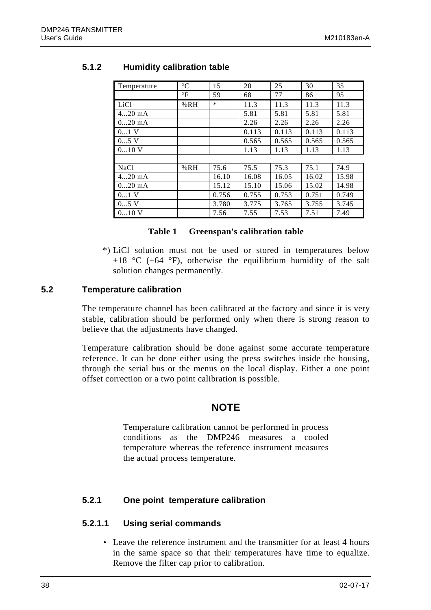| Temperature      | $\rm ^{\circ}C$ | 15    | 20    | 25    | 30    | 35    |
|------------------|-----------------|-------|-------|-------|-------|-------|
|                  | $\rm ^{\circ}F$ | 59    | 68    | 77    | 86    | 95    |
| LiC <sub>1</sub> | %RH             | *     | 11.3  | 11.3  | 11.3  | 11.3  |
| $420$ mA         |                 |       | 5.81  | 5.81  | 5.81  | 5.81  |
| $020$ mA         |                 |       | 2.26  | 2.26  | 2.26  | 2.26  |
| $01$ V           |                 |       | 0.113 | 0.113 | 0.113 | 0.113 |
| $05$ V           |                 |       | 0.565 | 0.565 | 0.565 | 0.565 |
| $010$ V          |                 |       | 1.13  | 1.13  | 1.13  | 1.13  |
|                  |                 |       |       |       |       |       |
| <b>NaCl</b>      | %RH             | 75.6  | 75.5  | 75.3  | 75.1  | 74.9  |
| $420$ mA         |                 | 16.10 | 16.08 | 16.05 | 16.02 | 15.98 |
| $020$ mA         |                 | 15.12 | 15.10 | 15.06 | 15.02 | 14.98 |
| $01$ V           |                 | 0.756 | 0.755 | 0.753 | 0.751 | 0.749 |
| $05$ V           |                 | 3.780 | 3.775 | 3.765 | 3.755 | 3.745 |
| $010$ V          |                 | 7.56  | 7.55  | 7.53  | 7.51  | 7.49  |

# **5.1.2 Humidity calibration table**

#### **Table 1 Greenspan's calibration table**

\*) LiCl solution must not be used or stored in temperatures below +18  $\degree$ C (+64  $\degree$ F), otherwise the equilibrium humidity of the salt solution changes permanently.

### **5.2 Temperature calibration**

The temperature channel has been calibrated at the factory and since it is very stable, calibration should be performed only when there is strong reason to believe that the adjustments have changed.

Temperature calibration should be done against some accurate temperature reference. It can be done either using the press switches inside the housing, through the serial bus or the menus on the local display. Either a one point offset correction or a two point calibration is possible.

# **NOTE**

Temperature calibration cannot be performed in process conditions as the DMP246 measures a cooled temperature whereas the reference instrument measures the actual process temperature.

# **5.2.1 One point temperature calibration**

# **5.2.1.1 Using serial commands**

• Leave the reference instrument and the transmitter for at least 4 hours in the same space so that their temperatures have time to equalize. Remove the filter cap prior to calibration.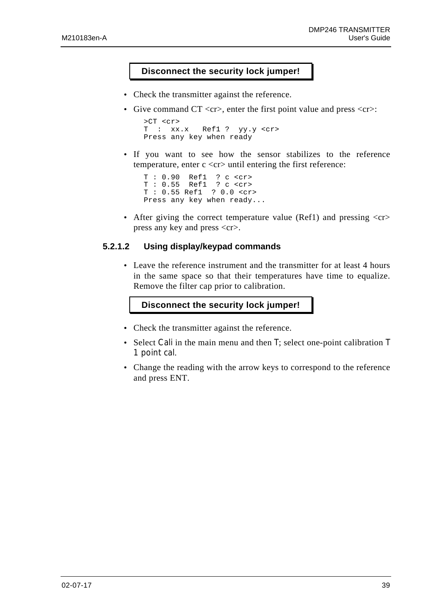# **Disconnect the security lock jumper!**

- Check the transmitter against the reference.
- Give command  $CT \langle cr \rangle$ , enter the first point value and press  $\langle cr \rangle$ :

```
>CT <cr><br>T : xx.x
            Ref1 ? yy.y <cr>
Press any key when ready
```
• If you want to see how the sensor stabilizes to the reference temperature, enter  $c \ll c$ r $>$  until entering the first reference:

```
T : 0.90 Ref1 ? c <cr>
T : 0.55 Ref1 ? c <cr>
T : 0.55 Ref1 ? 0.0 <cr>
Press any key when ready...
```
• After giving the correct temperature value (Ref1) and pressing  $\langle cr \rangle$ press any key and press <cr>.

### **5.2.1.2 Using display/keypad commands**

• Leave the reference instrument and the transmitter for at least 4 hours in the same space so that their temperatures have time to equalize. Remove the filter cap prior to calibration.

# **Disconnect the security lock jumper!**

- Check the transmitter against the reference.
- Select Cali in the main menu and then T; select one-point calibration T 1 point cal.
- Change the reading with the arrow keys to correspond to the reference and press ENT.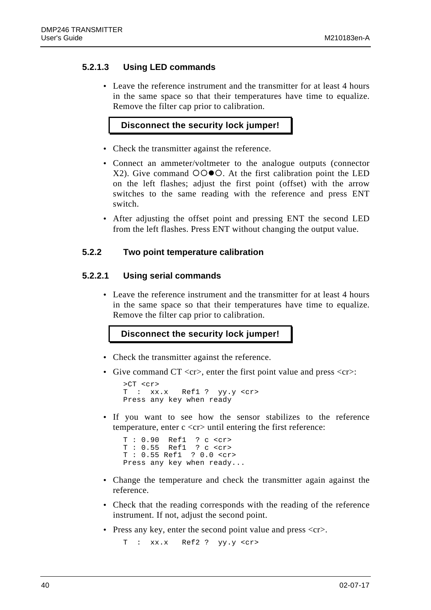# **5.2.1.3 Using LED commands**

• Leave the reference instrument and the transmitter for at least 4 hours in the same space so that their temperatures have time to equalize. Remove the filter cap prior to calibration.

```
Disconnect the security lock jumper!
```
- Check the transmitter against the reference.
- Connect an ammeter/voltmeter to the analogue outputs (connector  $X2$ ). Give command  $\bigcirc$   $\bigcirc$   $\bullet$   $\bigcirc$ . At the first calibration point the LED on the left flashes; adjust the first point (offset) with the arrow switches to the same reading with the reference and press ENT switch.
- After adjusting the offset point and pressing ENT the second LED from the left flashes. Press ENT without changing the output value.

### **5.2.2 Two point temperature calibration**

### **5.2.2.1 Using serial commands**

• Leave the reference instrument and the transmitter for at least 4 hours in the same space so that their temperatures have time to equalize. Remove the filter cap prior to calibration.

### **Disconnect the security lock jumper!**

- Check the transmitter against the reference.
- Give command  $CT \langle cr \rangle$ , enter the first point value and press  $\langle cr \rangle$ :

```
>CT <cr>
T : xx.x Ref1 ? yy.y <cr>
Press any key when ready
```
• If you want to see how the sensor stabilizes to the reference temperature, enter  $c \ll r$  until entering the first reference:

```
T : 0.90 Ref1 ? c <cr>
T : 0.55 Ref1 ? c <cr>
T : 0.55 Ref1 ? 0.0 <cr>
Press any key when ready...
```
- Change the temperature and check the transmitter again against the reference.
- Check that the reading corresponds with the reading of the reference instrument. If not, adjust the second point.
- Press any key, enter the second point value and press  $\langle cr \rangle$ .

T : xx.x Ref2 ? yy.y <cr>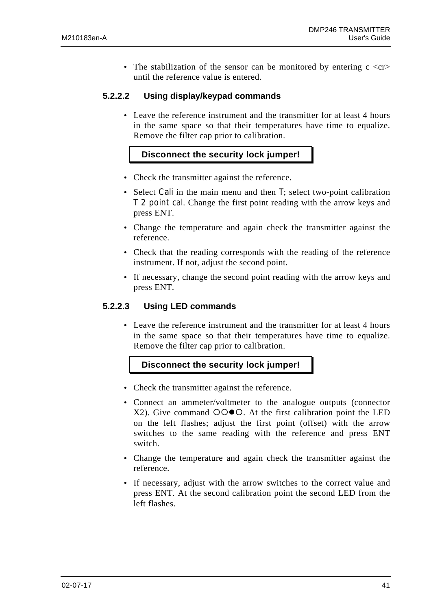• The stabilization of the sensor can be monitored by entering  $c \ll cr$ until the reference value is entered.

# **5.2.2.2 Using display/keypad commands**

• Leave the reference instrument and the transmitter for at least 4 hours in the same space so that their temperatures have time to equalize. Remove the filter cap prior to calibration.

# **Disconnect the security lock jumper!**

- Check the transmitter against the reference.
- Select Cali in the main menu and then T; select two-point calibration T 2 point cal. Change the first point reading with the arrow keys and press ENT.
- Change the temperature and again check the transmitter against the reference.
- Check that the reading corresponds with the reading of the reference instrument. If not, adjust the second point.
- If necessary, change the second point reading with the arrow keys and press ENT.

# **5.2.2.3 Using LED commands**

• Leave the reference instrument and the transmitter for at least 4 hours in the same space so that their temperatures have time to equalize. Remove the filter cap prior to calibration.

# **Disconnect the security lock jumper!**

- Check the transmitter against the reference.
- Connect an ammeter/voltmeter to the analogue outputs (connector  $X2$ ). Give command  $\bigcirc$   $\bigcirc$   $\bullet$   $\bigcirc$ . At the first calibration point the LED on the left flashes; adjust the first point (offset) with the arrow switches to the same reading with the reference and press ENT switch.
- Change the temperature and again check the transmitter against the reference.
- If necessary, adjust with the arrow switches to the correct value and press ENT. At the second calibration point the second LED from the left flashes.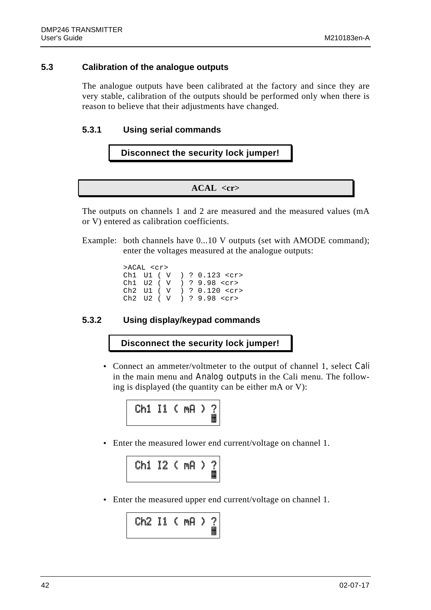# **5.3 Calibration of the analogue outputs**

The analogue outputs have been calibrated at the factory and since they are very stable, calibration of the outputs should be performed only when there is reason to believe that their adjustments have changed.

## **5.3.1 Using serial commands**

**Disconnect the security lock jumper!**

**ACAL <cr>**

The outputs on channels 1 and 2 are measured and the measured values (mA or V) entered as calibration coefficients.

Example: both channels have 0...10 V outputs (set with AMODE command); enter the voltages measured at the analogue outputs:

> >ACAL <cr><br>Ch1 U1 ( V  $)$  ? 0.123 <cr>  $Ch1$  U2 ( V ) ? 9.98 <cr> Ch2 U1 ( V ) ? 0.120 <cr> Ch2 U2 ( V ) ? 9.98  $\langle$  cr>

### **5.3.2 Using display/keypad commands**

**Disconnect the security lock jumper!**

• Connect an ammeter/voltmeter to the output of channel 1, select Cali in the main menu and Analog outputs in the Cali menu. The following is displayed (the quantity can be either mA or V):

| н<br>Ł. | ᇚ<br>1<br>I<br>Ф | - | m<br>B | σ | u<br>o<br>∎ |
|---------|------------------|---|--------|---|-------------|
|---------|------------------|---|--------|---|-------------|

• Enter the measured lower end current/voltage on channel 1.

• Enter the measured upper end current/voltage on channel 1.

| Ë<br>4<br>÷π | T<br>1<br>۰Œ | u | mn<br>U | ď | ۰<br>o<br>ŦH.<br>▦ |
|--------------|--------------|---|---------|---|--------------------|
|--------------|--------------|---|---------|---|--------------------|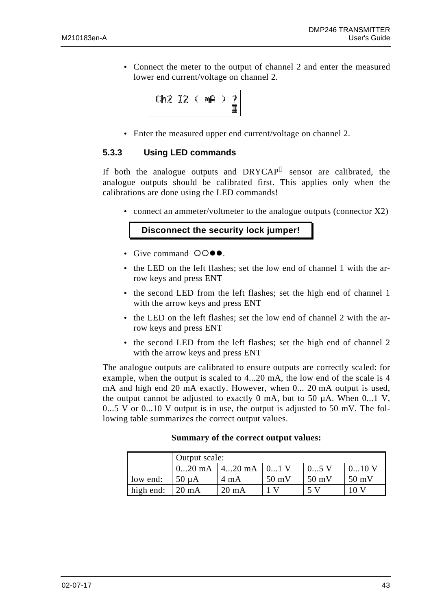• Connect the meter to the output of channel 2 and enter the measured lower end current/voltage on channel 2.



• Enter the measured upper end current/voltage on channel 2.

### **5.3.3 Using LED commands**

If both the analogue outputs and  $DRYCAP^{\circledast}$  sensor are calibrated, the analogue outputs should be calibrated first. This applies only when the calibrations are done using the LED commands!

• connect an ammeter/voltmeter to the analogue outputs (connector  $X2$ )

# **Disconnect the security lock jumper!**

- Give command  $\bigcirc \bigcirc \bullet \bullet$ .
- the LED on the left flashes; set the low end of channel 1 with the arrow keys and press ENT
- the second LED from the left flashes; set the high end of channel 1 with the arrow keys and press ENT
- the LED on the left flashes; set the low end of channel 2 with the arrow keys and press ENT
- the second LED from the left flashes; set the high end of channel 2 with the arrow keys and press ENT

The analogue outputs are calibrated to ensure outputs are correctly scaled: for example, when the output is scaled to 4...20 mA, the low end of the scale is 4 mA and high end 20 mA exactly. However, when 0... 20 mA output is used, the output cannot be adjusted to exactly 0 mA, but to 50  $\mu$ A. When 0...1 V, 0...5 V or  $0...10$  V output is in use, the output is adjusted to 50 mV. The following table summarizes the correct output values.

| Summary of the correct output values: |  |  |  |  |  |
|---------------------------------------|--|--|--|--|--|
|---------------------------------------|--|--|--|--|--|

|           | Output scale:   |                          |                 |                 |                 |  |  |
|-----------|-----------------|--------------------------|-----------------|-----------------|-----------------|--|--|
|           |                 | $020$ mA   420 mA   01 V |                 | $05$ V          | $010$ V         |  |  |
| low end:  | $50 \mu A$      | 4 mA                     | $50 \text{ mV}$ | $50 \text{ mV}$ | $50 \text{ mV}$ |  |  |
| high end: | $20 \text{ mA}$ | $20 \text{ mA}$          |                 |                 | 10 V            |  |  |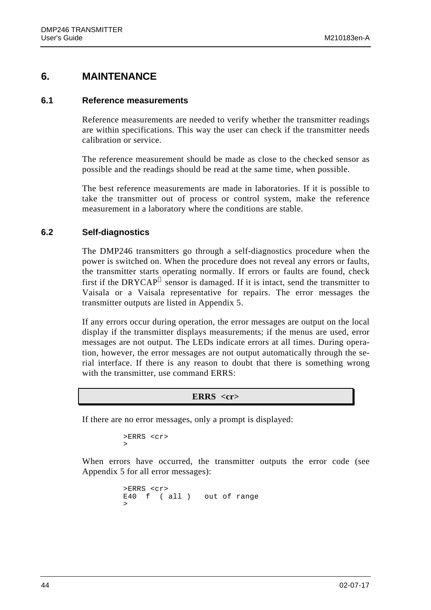# **6. MAINTENANCE**

### **6.1 Reference measurements**

Reference measurements are needed to verify whether the transmitter readings are within specifications. This way the user can check if the transmitter needs calibration or service.

The reference measurement should be made as close to the checked sensor as possible and the readings should be read at the same time, when possible.

The best reference measurements are made in laboratories. If it is possible to take the transmitter out of process or control system, make the reference measurement in a laboratory where the conditions are stable.

### **6.2 Self-diagnostics**

The DMP246 transmitters go through a self-diagnostics procedure when the power is switched on. When the procedure does not reveal any errors or faults, the transmitter starts operating normally. If errors or faults are found, check first if the DRYCAP<sup>®</sup> sensor is damaged. If it is intact, send the transmitter to Vaisala or a Vaisala representative for repairs. The error messages the transmitter outputs are listed in Appendix 5.

If any errors occur during operation, the error messages are output on the local display if the transmitter displays measurements; if the menus are used, error messages are not output. The LEDs indicate errors at all times. During operation, however, the error messages are not output automatically through the serial interface. If there is any reason to doubt that there is something wrong with the transmitter, use command ERRS:

#### **ERRS <cr>**

If there are no error messages, only a prompt is displayed:

```
>ERRS <cr>
\overline{\phantom{a}}
```
When errors have occurred, the transmitter outputs the error code (see Appendix 5 for all error messages):

> >ERRS <cr> E40 f ( all ) out of range >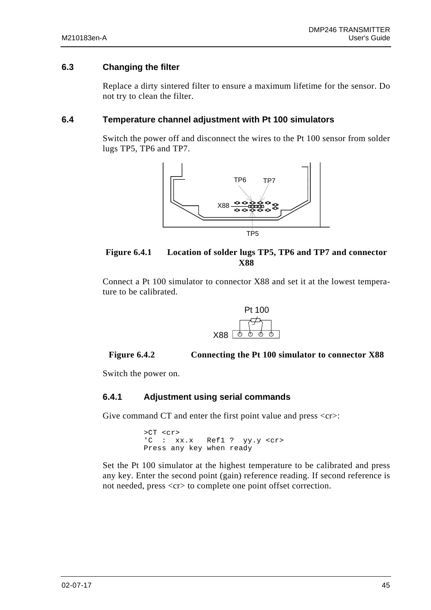## **6.3 Changing the filter**

Replace a dirty sintered filter to ensure a maximum lifetime for the sensor. Do not try to clean the filter.

### **6.4 Temperature channel adjustment with Pt 100 simulators**

Switch the power off and disconnect the wires to the Pt 100 sensor from solder lugs TP5, TP6 and TP7.



### **Figure 6.4.1 Location of solder lugs TP5, TP6 and TP7 and connector X88**

Connect a Pt 100 simulator to connector X88 and set it at the lowest temperature to be calibrated.



# **Figure 6.4.2 Connecting the Pt 100 simulator to connector X88**

Switch the power on.

# **6.4.1 Adjustment using serial commands**

Give command CT and enter the first point value and press  $\langle cr \rangle$ :

>CT <cr><br>'C : xx.x  $Ref1$  ?  $yy.y$  <cr> Press any key when ready

Set the Pt 100 simulator at the highest temperature to be calibrated and press any key. Enter the second point (gain) reference reading. If second reference is not needed, press  $\langle cr \rangle$  to complete one point offset correction.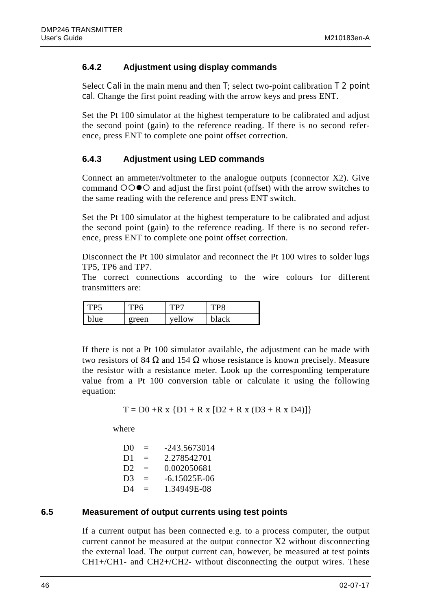# **6.4.2 Adjustment using display commands**

Select Cali in the main menu and then T; select two-point calibration T 2 point cal. Change the first point reading with the arrow keys and press ENT.

Set the Pt 100 simulator at the highest temperature to be calibrated and adjust the second point (gain) to the reference reading. If there is no second reference, press ENT to complete one point offset correction.

# **6.4.3 Adjustment using LED commands**

Connect an ammeter/voltmeter to the analogue outputs (connector X2). Give command  $\bigcirc$   $\bigcirc$   $\bigcirc$  and adjust the first point (offset) with the arrow switches to the same reading with the reference and press ENT switch.

Set the Pt 100 simulator at the highest temperature to be calibrated and adjust the second point (gain) to the reference reading. If there is no second reference, press ENT to complete one point offset correction.

Disconnect the Pt 100 simulator and reconnect the Pt 100 wires to solder lugs TP5, TP6 and TP7.

The correct connections according to the wire colours for different transmitters are:

| $\mathbf{I}$<br>יטי |      | --                                        |  |
|---------------------|------|-------------------------------------------|--|
| $n$ e               | een. | $\mathbf{X}$<br>$\mathbf{V}$ $\mathbf{A}$ |  |

If there is not a Pt 100 simulator available, the adjustment can be made with two resistors of 84  $\Omega$  and 154  $\Omega$  whose resistance is known precisely. Measure the resistor with a resistance meter. Look up the corresponding temperature value from a Pt 100 conversion table or calculate it using the following equation:

 $T = D0 + R x \{D1 + R x [D2 + R x (D3 + R x D4)]\}$ 

where

| D0 | $=$ | -243.5673014 |
|----|-----|--------------|
| D1 | $=$ | 2.278542701  |
| D2 | $=$ | 0.002050681  |
| D3 | $=$ | -6.15025E-06 |
| D4 | $=$ | 1.34949E-08  |

## **6.5 Measurement of output currents using test points**

If a current output has been connected e.g. to a process computer, the output current cannot be measured at the output connector X2 without disconnecting the external load. The output current can, however, be measured at test points CH1+/CH1- and CH2+/CH2- without disconnecting the output wires. These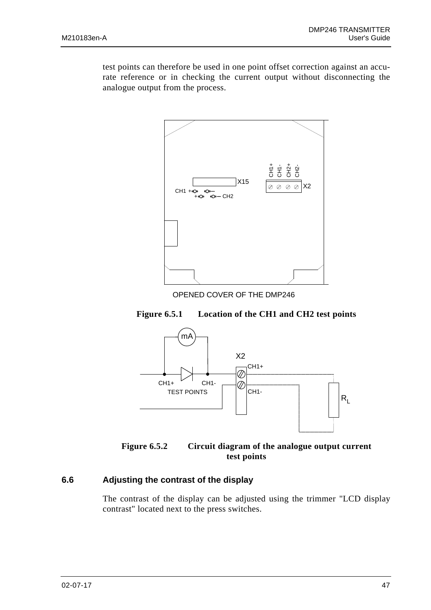test points can therefore be used in one point offset correction against an accurate reference or in checking the current output without disconnecting the analogue output from the process.



OPENED COVER OF THE DMP246





**Figure 6.5.2 Circuit diagram of the analogue output current test points**

# **6.6 Adjusting the contrast of the display**

The contrast of the display can be adjusted using the trimmer "LCD display contrast" located next to the press switches.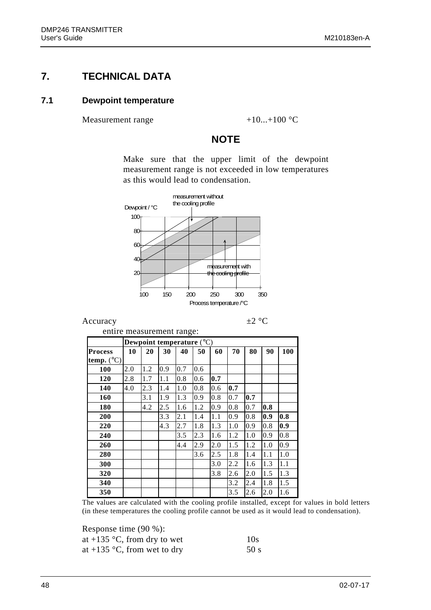# **7. TECHNICAL DATA**

# **7.1 Dewpoint temperature**

Measurement range  $+10...+100$  °C

# **NOTE**

Make sure that the upper limit of the dewpoint measurement range is not exceeded in low temperatures as this would lead to condensation.



# Accuracy  $\pm 2$  °C

entire measurement range:

|                |     | Dewpoint temperature $(^{\circ}C)$ |     |     |     |     |     |     |     |     |
|----------------|-----|------------------------------------|-----|-----|-----|-----|-----|-----|-----|-----|
| <b>Process</b> | 10  | 20                                 | 30  | 40  | 50  | 60  | 70  | 80  | 90  | 100 |
| temp. (°C)     |     |                                    |     |     |     |     |     |     |     |     |
| 100            | 2.0 | 1.2                                | 0.9 | 0.7 | 0.6 |     |     |     |     |     |
| 120            | 2.8 | 1.7                                | 1.1 | 0.8 | 0.6 | 0.7 |     |     |     |     |
| 140            | 4.0 | 2.3                                | 1.4 | 1.0 | 0.8 | 0.6 | 0.7 |     |     |     |
| 160            |     | 3.1                                | 1.9 | 1.3 | 0.9 | 0.8 | 0.7 | 0.7 |     |     |
| 180            |     | 4.2                                | 2.5 | 1.6 | 1.2 | 0.9 | 0.8 | 0.7 | 0.8 |     |
| 200            |     |                                    | 3.3 | 2.1 | 1.4 | 1.1 | 0.9 | 0.8 | 0.9 | 0.8 |
| 220            |     |                                    | 4.3 | 2.7 | 1.8 | 1.3 | 1.0 | 0.9 | 0.8 | 0.9 |
| 240            |     |                                    |     | 3.5 | 2.3 | 1.6 | 1.2 | 1.0 | 0.9 | 0.8 |
| 260            |     |                                    |     | 4.4 | 2.9 | 2.0 | 1.5 | 1.2 | 1.0 | 0.9 |
| 280            |     |                                    |     |     | 3.6 | 2.5 | 1.8 | 1.4 | 1.1 | 1.0 |
| 300            |     |                                    |     |     |     | 3.0 | 2.2 | 1.6 | 1.3 | 1.1 |
| 320            |     |                                    |     |     |     | 3.8 | 2.6 | 2.0 | 1.5 | 1.3 |
| 340            |     |                                    |     |     |     |     | 3.2 | 2.4 | 1.8 | 1.5 |
| 350            |     |                                    |     |     |     |     | 3.5 | 2.6 | 2.0 | 1.6 |

The values are calculated with the cooling profile installed, except for values in bold letters (in these temperatures the cooling profile cannot be used as it would lead to condensation).

Response time (90 %):

| $\ldots$                             |                 |
|--------------------------------------|-----------------|
| at +135 $\degree$ C, from dry to wet | 10 <sub>s</sub> |
| at +135 $\degree$ C, from wet to dry | 50 <sub>s</sub> |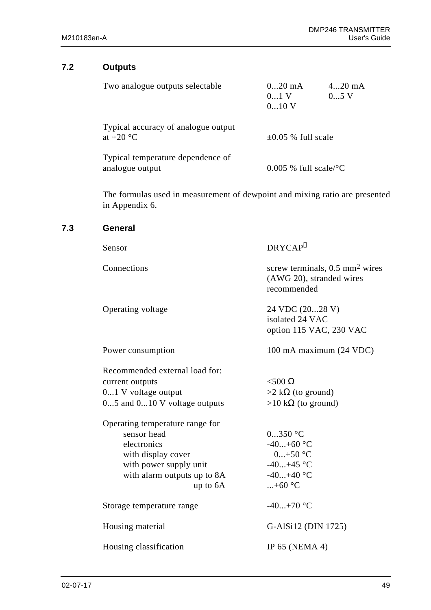# **7.2 Outputs**

| Two analogue outputs selectable                           | $020$ mA<br>$01$ V<br>$010$ V        | $420$ mA<br>$05$ V |
|-----------------------------------------------------------|--------------------------------------|--------------------|
| Typical accuracy of analogue output<br>at +20 $\degree$ C | $\pm 0.05$ % full scale              |                    |
| Typical temperature dependence of<br>analogue output      | $0.005$ % full scale/ <sup>o</sup> C |                    |

The formulas used in measurement of dewpoint and mixing ratio are presented in Appendix 6.

# **7.3 General**

| Sensor                                                                                                                                                                                                                                                       | $DRYCAP^{\circledR}$                                                                                                                                |
|--------------------------------------------------------------------------------------------------------------------------------------------------------------------------------------------------------------------------------------------------------------|-----------------------------------------------------------------------------------------------------------------------------------------------------|
| Connections                                                                                                                                                                                                                                                  | screw terminals, $0.5 \text{ mm}^2$ wires<br>(AWG 20), stranded wires<br>recommended                                                                |
| Operating voltage                                                                                                                                                                                                                                            | 24 VDC (2028 V)<br>isolated 24 VAC<br>option 115 VAC, 230 VAC                                                                                       |
| Power consumption                                                                                                                                                                                                                                            | 100 mA maximum (24 VDC)                                                                                                                             |
| Recommended external load for:<br>current outputs<br>01 V voltage output<br>$05$ and $010$ V voltage outputs<br>Operating temperature range for<br>sensor head<br>electronics<br>with display cover<br>with power supply unit<br>with alarm outputs up to 8A | $<$ 500 $\Omega$<br>$>2$ kΩ (to ground)<br>$>10 \text{ k}\Omega$ (to ground)<br>$0350$ °C<br>$-40+60$ °C<br>$0+50$ °C<br>$-40+45$ °C<br>$-40+40$ °C |
| up to 6A                                                                                                                                                                                                                                                     | $+60$ °C                                                                                                                                            |
| Storage temperature range                                                                                                                                                                                                                                    | $-40+70$ °C                                                                                                                                         |
| Housing material                                                                                                                                                                                                                                             | G-AlSi12 (DIN 1725)                                                                                                                                 |
| Housing classification                                                                                                                                                                                                                                       | IP 65 (NEMA 4)                                                                                                                                      |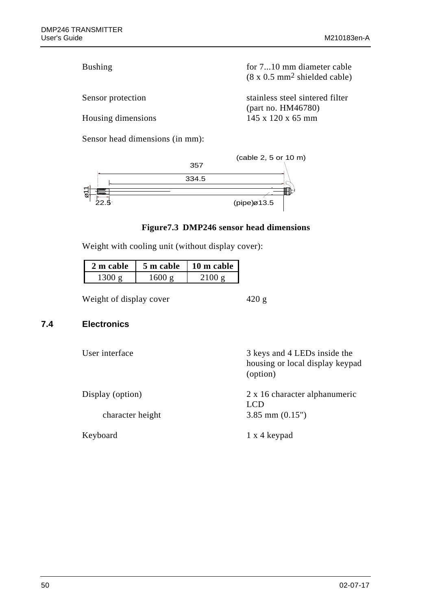Bushing for 7...10 mm diameter cable (8 x 0.5 mm2 shielded cable)

Sensor protection stainless steel sintered filter (part no. HM46780) Housing dimensions 145 x 120 x 65 mm

Sensor head dimensions (in mm):



# **Figure7.3 DMP246 sensor head dimensions**

Weight with cooling unit (without display cover):

| 2 m cable | 5 m cable   | 10 m cable |
|-----------|-------------|------------|
| -30K      | <b>1600</b> |            |

Weight of display cover 420 g

# **7.4 Electronics**

character height 3.85 mm (0.15")

User interface 3 keys and 4 LEDs inside the housing or local display keypad (option)

Display (option) 2 x 16 character alphanumeric LCD

Keyboard 1 x 4 keypad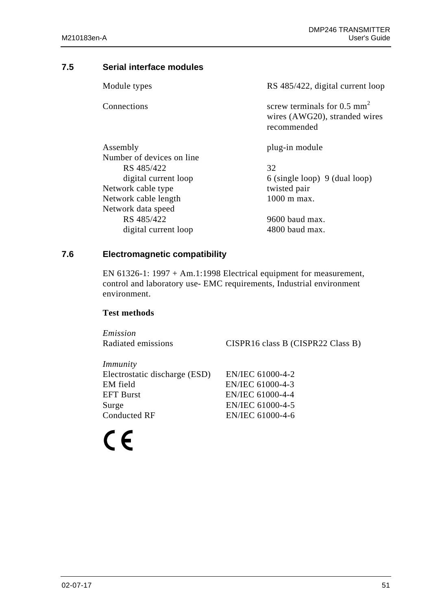# **7.5 Serial interface modules**

Module types RS 485/422, digital current loop

Connections screw terminals for  $0.5 \text{ mm}^2$ wires (AWG20), stranded wires recommended

Assembly plug-in module

RS 485/422 32 digital current loop 6 (single loop) 9 (dual loop) Network cable type twisted pair Network cable length 1000 m max.

RS 485/422 9600 baud max. digital current loop 4800 baud max.

# **7.6 Electromagnetic compatibility**

Network data speed

Number of devices on line

EN 61326-1: 1997 + Am.1:1998 Electrical equipment for measurement, control and laboratory use- EMC requirements, Industrial environment environment.

### **Test methods**

*Emission*

Radiated emissions CISPR16 class B (CISPR22 Class B)

*Immunity* Electrostatic discharge (ESD) EN/IEC 61000-4-2 EM field EN/IEC 61000-4-3 EFT Burst EN/IEC 61000-4-4 Surge EN/IEC 61000-4-5 Conducted RF EN/IEC 61000-4-6

 $\epsilon$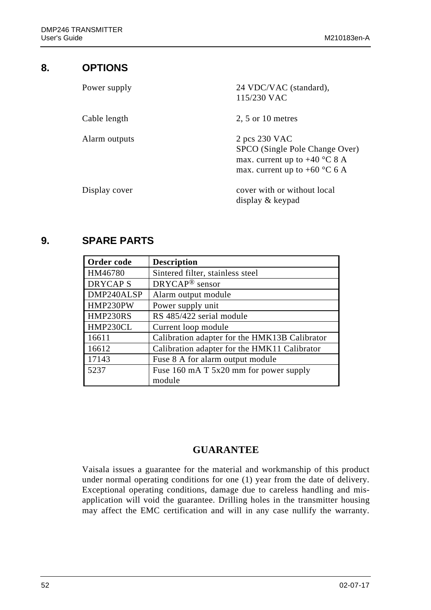# **8. OPTIONS**

| Power supply  | 24 VDC/VAC (standard),<br>115/230 VAC                                                                                 |
|---------------|-----------------------------------------------------------------------------------------------------------------------|
| Cable length  | $2, 5$ or 10 metres                                                                                                   |
| Alarm outputs | 2 pcs 230 VAC<br>SPCO (Single Pole Change Over)<br>max. current up to $+40$ °C 8 A<br>max. current up to $+60$ °C 6 A |
| Display cover | cover with or without local<br>display & keypad                                                                       |

# **9. SPARE PARTS**

| Order code          | <b>Description</b>                            |
|---------------------|-----------------------------------------------|
| HM46780             | Sintered filter, stainless steel              |
| DRYCAP <sub>S</sub> | DRYCAP <sup>®</sup> sensor                    |
| DMP240ALSP          | Alarm output module                           |
| HMP230PW            | Power supply unit                             |
| HMP230RS            | RS 485/422 serial module                      |
| HMP230CL            | Current loop module                           |
| 16611               | Calibration adapter for the HMK13B Calibrator |
| 16612               | Calibration adapter for the HMK11 Calibrator  |
| 17143               | Fuse 8 A for alarm output module              |
| 5237                | Fuse 160 mA T 5x20 mm for power supply        |
|                     | module                                        |

# **GUARANTEE**

Vaisala issues a guarantee for the material and workmanship of this product under normal operating conditions for one (1) year from the date of delivery. Exceptional operating conditions, damage due to careless handling and misapplication will void the guarantee. Drilling holes in the transmitter housing may affect the EMC certification and will in any case nullify the warranty.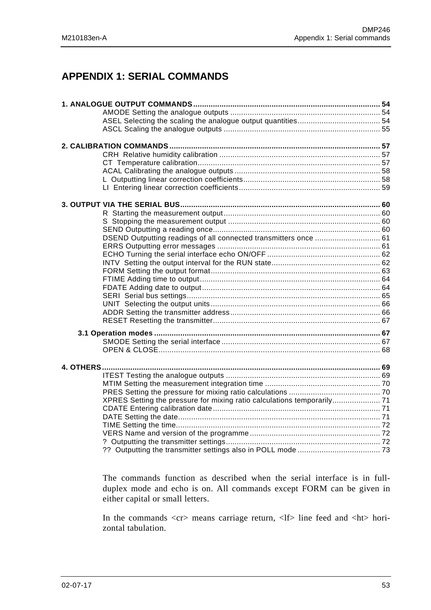# **APPENDIX 1: SERIAL COMMANDS**

| XPRES Setting the pressure for mixing ratio calculations temporarily 71 |  |  |
|-------------------------------------------------------------------------|--|--|
|                                                                         |  |  |
|                                                                         |  |  |
|                                                                         |  |  |
|                                                                         |  |  |
|                                                                         |  |  |
|                                                                         |  |  |
|                                                                         |  |  |
|                                                                         |  |  |
|                                                                         |  |  |
|                                                                         |  |  |
|                                                                         |  |  |
|                                                                         |  |  |
|                                                                         |  |  |
|                                                                         |  |  |
|                                                                         |  |  |
|                                                                         |  |  |
|                                                                         |  |  |
|                                                                         |  |  |
|                                                                         |  |  |
|                                                                         |  |  |
|                                                                         |  |  |
|                                                                         |  |  |
|                                                                         |  |  |
|                                                                         |  |  |
|                                                                         |  |  |
|                                                                         |  |  |
|                                                                         |  |  |
|                                                                         |  |  |
|                                                                         |  |  |
|                                                                         |  |  |
|                                                                         |  |  |
|                                                                         |  |  |
|                                                                         |  |  |
|                                                                         |  |  |
|                                                                         |  |  |
|                                                                         |  |  |
|                                                                         |  |  |
|                                                                         |  |  |
|                                                                         |  |  |
|                                                                         |  |  |

The commands function as described when the serial interface is in fullduplex mode and echo is on. All commands except FORM can be given in either capital or small letters.

In the commands <cr> means carriage return, <lf> line feed and <ht> horizontal tabulation.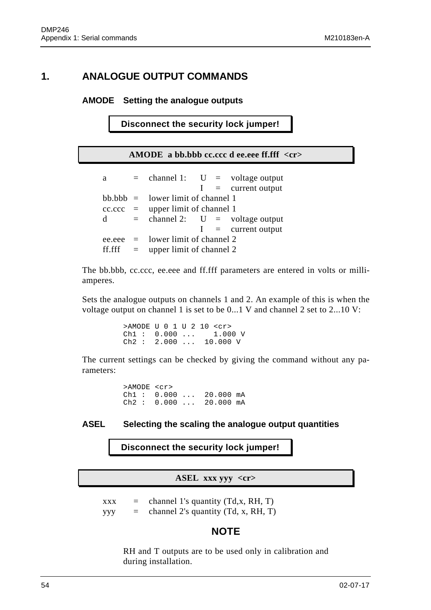# **1. ANALOGUE OUTPUT COMMANDS**

**AMODE Setting the analogue outputs**

**Disconnect the security lock jumper!**

**AMODE a bb.bbb cc.ccc d ee.eee ff.fff <cr>**

 $a = channel 1: U = voltage output$  $I =$  current output  $bb \text{ } =$  lower limit of channel 1  $c \cdot c \cdot c \cdot c = \text{upper limit of channel 1}$  $d =$  channel 2:  $U =$  voltage output  $I =$  current output ee.eee  $=$  lower limit of channel 2 ff.fff  $=$  upper limit of channel 2

The bb.bbb, cc.ccc, ee.eee and ff.fff parameters are entered in volts or milliamperes.

Sets the analogue outputs on channels 1 and 2. An example of this is when the voltage output on channel 1 is set to be 0...1 V and channel 2 set to 2...10 V:

> >AMODE U 0 1 U 2 10 <cr> Ch1 : 0.000 ... 1.000 V Ch2 : 2.000 ... 10.000 V

The current settings can be checked by giving the command without any parameters:

> >AMODE <cr> Ch1 : 0.000 ... 20.000 mA Ch2 : 0.000 ... 20.000 mA

### **ASEL Selecting the scaling the analogue output quantities**

**Disconnect the security lock jumper!**

#### **ASEL xxx yyy <cr>**

 $xxxx = channel 1's quantity (Td, x, RH, T)$ yyy  $=$  channel 2's quantity (Td, x, RH, T)

# **NOTE**

RH and T outputs are to be used only in calibration and during installation.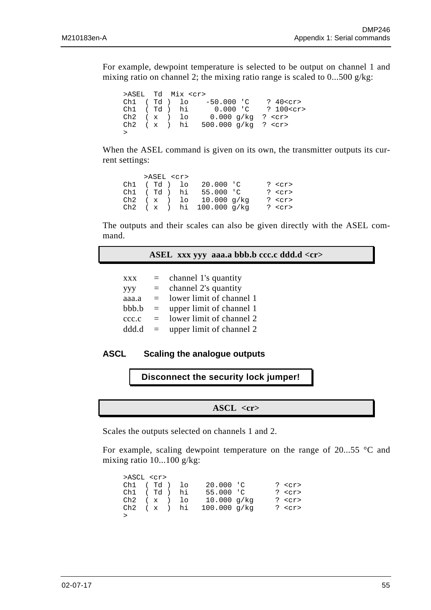For example, dewpoint temperature is selected to be output on channel 1 and mixing ratio on channel 2; the mixing ratio range is scaled to 0...500 g/kg:

>ASEL Td Mix <cr><br>Ch1 (Td) lo -50.000 'C Ch1 ( Td ) lo -50.000 'C ? 40<cr> Ch1 ( Td ) hi 0.000 'C ? 100<cr> Ch2 ( $\text{x}$ ) lo 0.000 g/kg ? <cr><br>Ch2 ( $\text{x}$ ) hi 500.000 g/kg ? <cr>  $500.000 \frac{9}{kg}$  ? <cr> >

When the ASEL command is given on its own, the transmitter outputs its current settings:

>ASEL <cr> Ch1 (Td ) lo 20.000 'C ? <cr><br>Ch1 (Td ) hi 55.000 'C ? <cr> Ch1 ( Td ) hi 55.000 'C ? <cr><br>Ch2 ( x ) lo 10.000 g/kg ? <cr> Ch2 ( $x$  ) lo 10.000 g/kg ? <cr>
Ch2 ( $x$  ) hi 100.000 g/kg ? <cr>  $(x)$  hi 100.000 g/kg

The outputs and their scales can also be given directly with the ASEL command.

**ASEL xxx yyy aaa.a bbb.b ccc.c ddd.d <cr>**

| <b>XXX</b> | $=$        | channel 1's quantity     |
|------------|------------|--------------------------|
| ууу        | $=$        | channel 2's quantity     |
| aaa.a      | $=$        | lower limit of channel 1 |
| bbb.b      | $\equiv$ . | upper limit of channel 1 |
| ccc.c      |            | lower limit of channel 2 |
| ddd.d      | $=$        | upper limit of channel 2 |
|            |            |                          |

**ASCL Scaling the analogue outputs**

**Disconnect the security lock jumper!**

#### **ASCL <cr>**

Scales the outputs selected on channels 1 and 2.

For example, scaling dewpoint temperature on the range of  $20...55$  °C and mixing ratio 10...100 g/kg:

| >ASCL <cr></cr>     |  |  |                         |  |             |
|---------------------|--|--|-------------------------|--|-------------|
| $Ch1$ (Td) $lo$     |  |  | $20.000 \degree$ C      |  | ? < c r     |
| Ch1 (Td) hi         |  |  | 55.000 'C               |  | ? < c r     |
| $ch2(x)$ ( $x$ ) lo |  |  | $10.000 \, \text{g/kg}$ |  | ? <cr></cr> |
| $ch2(x)$ $hx$ ) hi  |  |  | 100.000 q/kg            |  | ? <cr></cr> |
| $\geq$              |  |  |                         |  |             |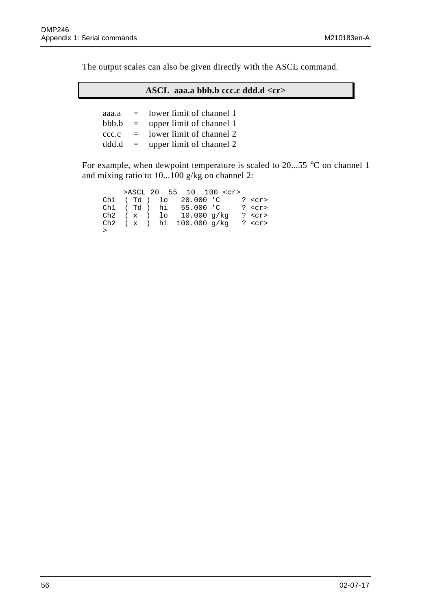The output scales can also be given directly with the ASCL command.

## **ASCL aaa.a bbb.b ccc.c ddd.d <cr>**

| aaa.a | $=$      | lower limit of channel 1 |
|-------|----------|--------------------------|
| bbb.b | $=$      | upper limit of channel 1 |
| ccc.c | $=$      | lower limit of channel 2 |
| ddd.d | $\equiv$ | upper limit of channel 2 |

For example, when dewpoint temperature is scaled to 20...55 °C on channel 1 and mixing ratio to 10...100 g/kg on channel 2:

>ASCL 20 55 10 100 <cr> Ch1 ( Td ) lo 20.000 'C ? <cr> Ch1 ( Td ) hi 55.000 'C ? <cr> Ch2 ( x ) lo 10.000 g/kg ? <cr> Ch2 ( x ) hi 100.000 g/kg ? <cr> >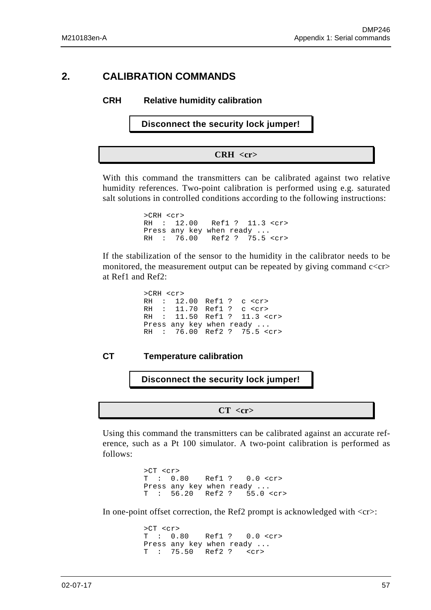# **2. CALIBRATION COMMANDS**

# **CRH Relative humidity calibration**

**Disconnect the security lock jumper!**

#### **CRH <cr>**

With this command the transmitters can be calibrated against two relative humidity references. Two-point calibration is performed using e.g. saturated salt solutions in controlled conditions according to the following instructions:

> >CRH <cr><br>RH : 12.00 Ref1 ? 11.3 <cr> Press any key when ready ...<br>RH : 76.00 Ref2 ? 75.5 Ref2 ? 75.5 <cr>

If the stabilization of the sensor to the humidity in the calibrator needs to be monitored, the measurement output can be repeated by giving command  $c < c r$ at Ref1 and Ref2:

> >CRH <cr> RH : 12.00 Ref1 ? c <cr> RH : 11.70 Ref1 ? c <cr> RH : 11.50 Ref1 ? 11.3 <cr> Press any key when ready RH : 76.00 Ref2 ? 75.5 <cr>

**CT Temperature calibration**

**Disconnect the security lock jumper!**

**CT <cr>**

Using this command the transmitters can be calibrated against an accurate reference, such as a Pt 100 simulator. A two-point calibration is performed as follows:

> >CT <cr> T : 0.80 Ref1 ? 0.0 <cr> Press any key when ready ... T : 56.20 Ref2 ? 55.0 <cr>

In one-point offset correction, the Ref2 prompt is acknowledged with  $\langle cr \rangle$ :

```
>CT <cr>
T : 0.80 Ref1 ? 0.0 <cr>
Press any key when ready ...
T : 75.50 Ref2 ? <cr>
```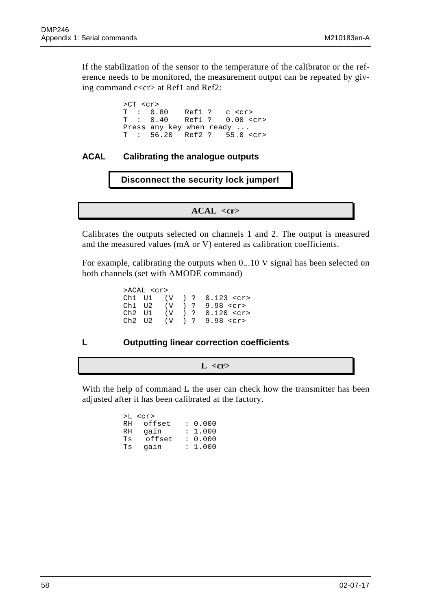If the stabilization of the sensor to the temperature of the calibrator or the reference needs to be monitored, the measurement output can be repeated by giving command c<cr> at Ref1 and Ref2:

> >CT <cr> T : 0.80 Ref1 ? c <cr><br>T : 0.40 Ref1 ? 0.00 <cr>  $T : 0.40$  Refl? Press any key when ready ...<br>T : 56.20 Ref2 ? 55.0 Ref2 ? 55.0 <cr>

**ACAL Calibrating the analogue outputs**

**Disconnect the security lock jumper!**

**ACAL <cr>**

Calibrates the outputs selected on channels 1 and 2. The output is measured and the measured values (mA or V) entered as calibration coefficients.

For example, calibrating the outputs when 0...10 V signal has been selected on both channels (set with AMODE command)

| $>\text{ACAL}$ < $\text{cr}$ |  |  |  |                                     |  |  |
|------------------------------|--|--|--|-------------------------------------|--|--|
|                              |  |  |  | Ch1 U1 $(V)$ ? 0.123 <cr></cr>      |  |  |
|                              |  |  |  | $Ch1$ U2 (V) ? 9.98 <cr></cr>       |  |  |
|                              |  |  |  | $ch2$ U1 (V ) ? 0.120 <cr></cr>     |  |  |
|                              |  |  |  | Ch2 $U2$ $(V)$ ? 9.98 $\langle$ cr> |  |  |

### **L Outputting linear correction coefficients**

#### **L <cr>**

With the help of command L the user can check how the transmitter has been adjusted after it has been calibrated at the factory.

|    | >L <cr></cr> |         |
|----|--------------|---------|
| RH | offset       | : 0.000 |
| RН | qain         | : 1.000 |
| Τs | offset       | : 0.000 |
| Τs | qain         | : 1.000 |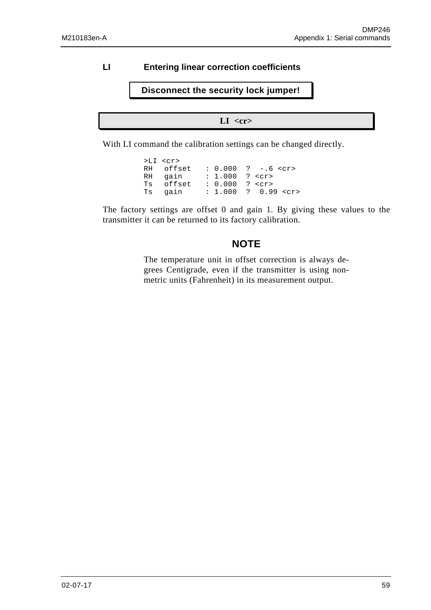## **LI Entering linear correction coefficients**

**Disconnect the security lock jumper!**

**LI <cr>**

With LI command the calibration settings can be changed directly.

>LI <cr> RH offset : 0.000 ? -.6 <cr> RH gain : 1.000 ? <cr> Ts offset : 0.000 ? <cr><br>Ts gain : 1.000 ? 0.9  $: 1.000$  ? 0.99 <cr>

The factory settings are offset 0 and gain 1. By giving these values to the transmitter it can be returned to its factory calibration.

# **NOTE**

The temperature unit in offset correction is always degrees Centigrade, even if the transmitter is using nonmetric units (Fahrenheit) in its measurement output.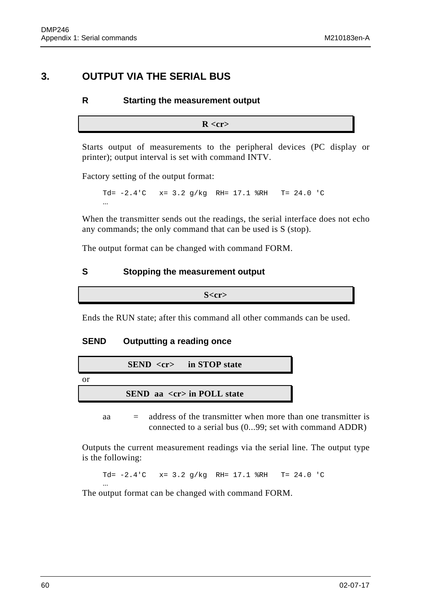# **3. OUTPUT VIA THE SERIAL BUS**

# **R Starting the measurement output**

 $R < c r$ 

Starts output of measurements to the peripheral devices (PC display or printer); output interval is set with command INTV.

Factory setting of the output format:

Td= -2.4'C x= 3.2 g/kg RH= 17.1 %RH T= 24.0 'C

When the transmitter sends out the readings, the serial interface does not echo any commands; the only command that can be used is S (stop).

The output format can be changed with command FORM.

# **S Stopping the measurement output**

**S<cr>**

Ends the RUN state; after this command all other commands can be used.

### **SEND Outputting a reading once**

...

**SEND <cr> in STOP state** or **SEND aa <cr> in POLL state** 

 $\alpha$  = address of the transmitter when more than one transmitter is connected to a serial bus (0...99; set with command ADDR)

Outputs the current measurement readings via the serial line. The output type is the following:

Td= -2.4'C x= 3.2 g/kg RH= 17.1 %RH T= 24.0 'C

The output format can be changed with command FORM.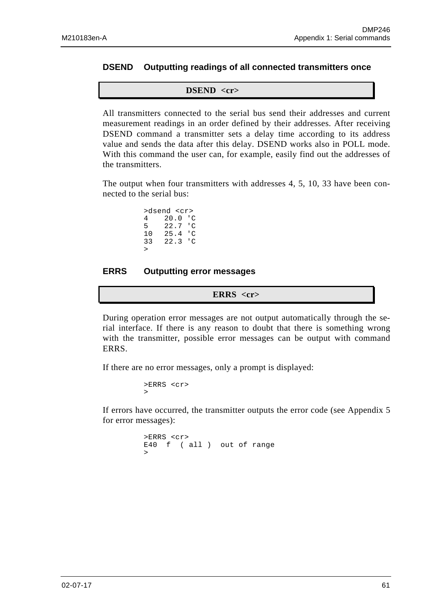# **DSEND Outputting readings of all connected transmitters once**

#### **DSEND <cr>**

All transmitters connected to the serial bus send their addresses and current measurement readings in an order defined by their addresses. After receiving DSEND command a transmitter sets a delay time according to its address value and sends the data after this delay. DSEND works also in POLL mode. With this command the user can, for example, easily find out the addresses of the transmitters.

The output when four transmitters with addresses 4, 5, 10, 33 have been connected to the serial bus:

> >dsend <cr> 4 20.0 'C<br>5 22.7 'C 5 22.7 'C<br>10 25.4 'C 10 25.4 'C<br>33 22.3 'C  $22.3 °C$ >

### **ERRS Outputting error messages**

**ERRS <cr>**

During operation error messages are not output automatically through the serial interface. If there is any reason to doubt that there is something wrong with the transmitter, possible error messages can be output with command ERRS.

If there are no error messages, only a prompt is displayed:

>ERRS <cr> >

If errors have occurred, the transmitter outputs the error code (see Appendix 5 for error messages):

```
>ERRS <cr>
E40 f ( all ) out of range
\rightarrow
```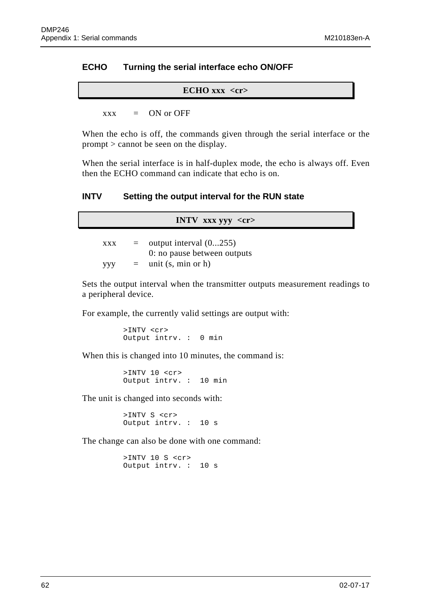# **ECHO Turning the serial interface echo ON/OFF**

```
ECHO xxx <cr>
```
 $xxxx = ON$  or OFF

When the echo is off, the commands given through the serial interface or the prompt > cannot be seen on the display.

When the serial interface is in half-duplex mode, the echo is always off. Even then the ECHO command can indicate that echo is on.

# **INTV Setting the output interval for the RUN state**

# **INTV xxx yyy <cr>**

| <b>XXX</b> | $=$ | output interval $(0255)$      |  |
|------------|-----|-------------------------------|--|
|            |     | 0: no pause between outputs   |  |
| yyy        | $=$ | unit $(s, min \text{ or } h)$ |  |

Sets the output interval when the transmitter outputs measurement readings to a peripheral device.

For example, the currently valid settings are output with:

>INTV <cr> Output intrv. : 0 min

When this is changed into 10 minutes, the command is:

>INTV 10 <cr> Output intrv. : 10 min

The unit is changed into seconds with:

>INTV S <cr> Output intrv. : 10 s

The change can also be done with one command:

>INTV 10 S <cr> Output intrv. : 10 s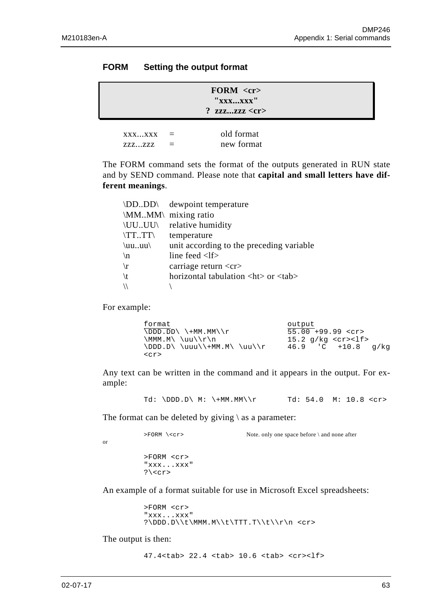| FORM | Setting the output format |
|------|---------------------------|
|------|---------------------------|

 $zzz...zzz =$  new format

|             | $FORM < c$ r><br>"xxxxxx"<br>? $\mathbf{ZZ} \cdot \mathbf{ZZ} \cdot \mathbf{ZZ} \leq \mathbf{CT}$ |  |
|-------------|---------------------------------------------------------------------------------------------------|--|
| $XXX$ $XXX$ | old format                                                                                        |  |

The FORM command sets the format of the outputs generated in RUN state and by SEND command. Please note that **capital and small letters have different meanings**.

| $\Delta$ .DD $\Delta$  | dewpoint temperature                           |
|------------------------|------------------------------------------------|
|                        | \MMMM\ mixing ratio                            |
| UU.UU                  | relative humidity                              |
| $\langle TTTT \rangle$ | temperature                                    |
| $\{uuuu\}$             | unit according to the preceding variable       |
| $\ln$                  | line feed $\langle$ lf $>$                     |
| $\mathbf{r}$           | carriage return $\langle cr \rangle$           |
| $\setminus t$          | horizontal tabulation <ht> or <tab></tab></ht> |
|                        |                                                |

For example:

or

| format                             | output                                    |
|------------------------------------|-------------------------------------------|
| $\DDD.DD\ \ HMM.MM\$               | $55.00 + 99.99 < c$ r>                    |
| $\MMM.M\ \nu\\rrbracket$           | $15.2$ q/kq <cr><lf></lf></cr>            |
| $\DDD.D\ \l{uuu}\+\MM.M\ \l{uu}\r$ | $46.9$ $^{\circ}$ $^{\circ}$ $+10.8$ q/kg |
| $<$ $cr$ $>$                       |                                           |

Any text can be written in the command and it appears in the output. For example:

Td: \DDD.D\ M: \+MM.MM\\r Td: 54.0 M: 10.8 <cr>

The format can be deleted by giving  $\ a$ s a parameter:

>FORM \<cr> Note. only one space before \ and none after >FORM <cr> "xxx...xxx"  $? \& c$ r>

An example of a format suitable for use in Microsoft Excel spreadsheets:

```
>FORM <cr>
"xxx...xxx"
?\DDD.D\\t\MMM.M\\t\TTT.T\\t\\r\n <cr>
```
The output is then:

47.4<tab> 22.4 <tab> 10.6 <tab> <cr><lf>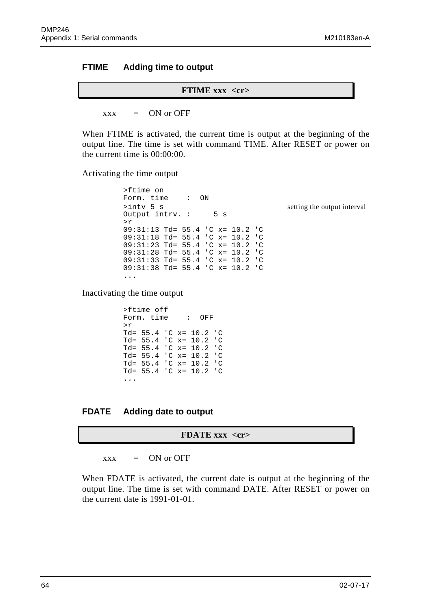### **FTIME Adding time to output**

**FTIME xxx <cr>**

 $xxxx = ON$  or OFF

When FTIME is activated, the current time is output at the beginning of the output line. The time is set with command TIME. After RESET or power on the current time is 00:00:00.

Activating the time output

>ftime on Form. time : ON >intv 5 s setting the output interval output interval output interval Output intrv. : >r 09:31:13 Td= 55.4 'C x= 10.2 'C 09:31:18 Td= 55.4 'C x= 10.2 'C 09:31:23 Td= 55.4 'C x= 10.2 'C 09:31:28 Td= 55.4 'C x= 10.2 'C 09:31:33 Td= 55.4 'C x= 10.2 'C 09:31:38 Td= 55.4 'C x= 10.2 'C ...

Inactivating the time output

>ftime off Form. time : OFF >r Td= 55.4 'C x= 10.2 'C Td= 55.4 'C x= 10.2 'C Td= 55.4 'C x= 10.2 'C Td= 55.4 'C x= 10.2 'C Td= 55.4 'C x= 10.2 'C Td= 55.4 'C x= 10.2 'C ...

**FDATE Adding date to output**

#### **FDATE xxx <cr>**

 $xxxx = ON$  or OFF

When FDATE is activated, the current date is output at the beginning of the output line. The time is set with command DATE. After RESET or power on the current date is 1991-01-01.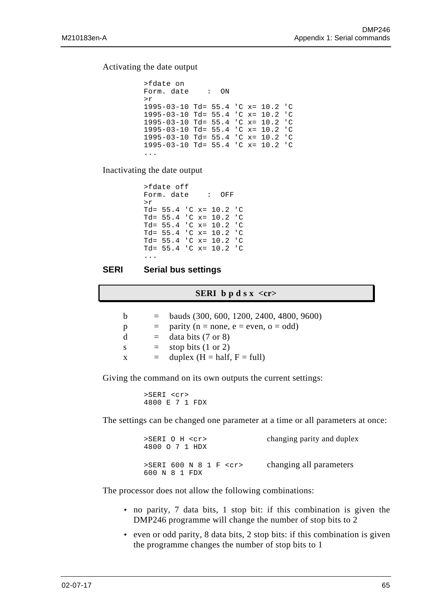Activating the date output

>fdate on Form. date : ON >r 1995-03-10 Td= 55.4 'C x= 10.2 'C 1995-03-10 Td= 55.4 'C x= 10.2 'C 1995-03-10 Td= 55.4 'C x= 10.2 'C 1995-03-10 Td= 55.4 'C x= 10.2 'C 1995-03-10 Td= 55.4 'C x= 10.2 'C 1995-03-10 Td= 55.4 'C x= 10.2 'C ...

Inactivating the date output

```
>fdate off
Form. date : OFF
>r
Td= 55.4 'C x= 10.2 'C
Td= 55.4 'C x= 10.2 'C
Td= 55.4 'C x= 10.2 'C
Td= 55.4 'C x= 10.2 'C
Td= 55.4 'C x= 10.2 'C
Td= 55.4 'C x= 10.2 'C
...
```

```
SERI Serial bus settings
```
#### **SERI b p d s x <cr>**

b  $=$  bauds (300, 600, 1200, 2400, 4800, 9600)  $p =$  parity (n = none, e = even, o = odd)  $d =$  data bits (7 or 8) s  $=$  stop bits  $(1 \text{ or } 2)$  $x = \text{duplex} (H = \text{half}, F = \text{full})$ 

Giving the command on its own outputs the current settings:

>SERI <cr> 4800 E 7 1 FDX

The settings can be changed one parameter at a time or all parameters at once:

| $>$ SERI O H $<$ cr $>$<br>4800 0 7 1 HDX     |  |  |  |  | changing parity and duplex |
|-----------------------------------------------|--|--|--|--|----------------------------|
| >SERI 600 N 8 1 F <cr><br/>600 N 8 1 FDX</cr> |  |  |  |  | changing all parameters    |

The processor does not allow the following combinations:

- no parity, 7 data bits, 1 stop bit: if this combination is given the DMP246 programme will change the number of stop bits to 2
- even or odd parity, 8 data bits, 2 stop bits: if this combination is given the programme changes the number of stop bits to 1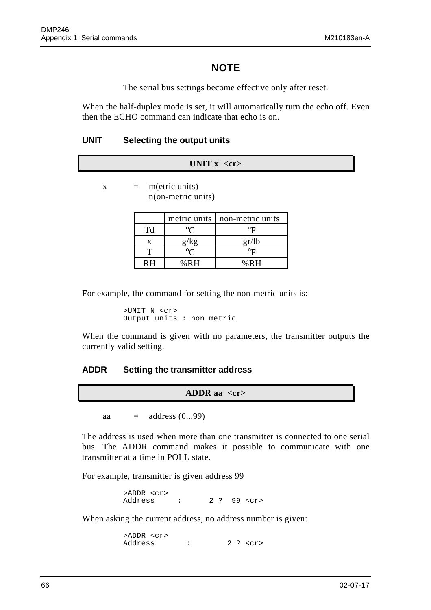# **NOTE**

The serial bus settings become effective only after reset.

When the half-duplex mode is set, it will automatically turn the echo off. Even then the ECHO command can indicate that echo is on.

### **UNIT Selecting the output units**

#### **UNIT x <cr>**

 $x = m(e$ etric units) n(on-metric units)

|     | metric units | non-metric units |
|-----|--------------|------------------|
| Td  |              | $\circ$ F        |
| X   | :/kg         | gr/lb            |
|     |              | $^{\circ}$ F     |
| RH. | % R H        | %RH              |

For example, the command for setting the non-metric units is:

>UNIT N <cr> Output units : non metric

When the command is given with no parameters, the transmitter outputs the currently valid setting.

### **ADDR Setting the transmitter address**

**ADDR aa <cr>**

aa  $=$  address  $(0...99)$ 

The address is used when more than one transmitter is connected to one serial bus. The ADDR command makes it possible to communicate with one transmitter at a time in POLL state.

For example, transmitter is given address 99

>ADDR <cr>  $2$  ? 99 <cr>

When asking the current address, no address number is given:

>ADDR <cr>  $2$  ? <cr>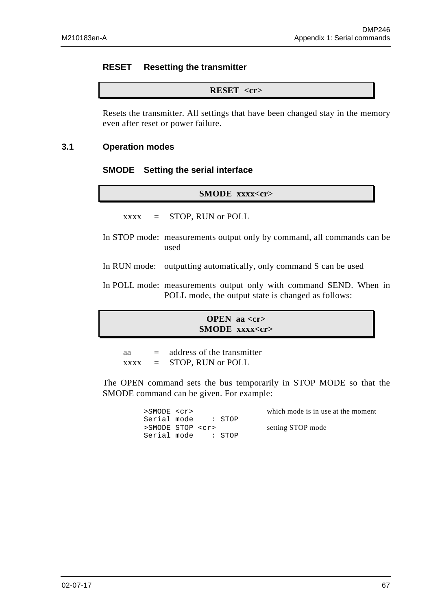### **RESET Resetting the transmitter**

#### **RESET <cr>**

Resets the transmitter. All settings that have been changed stay in the memory even after reset or power failure.

### **3.1 Operation modes**

#### **SMODE Setting the serial interface**

#### **SMODE xxxx<cr>**

 $xxxx = STOP, RUN or POLL$ 

- In STOP mode: measurements output only by command, all commands can be used
- In RUN mode: outputting automatically, only command S can be used
- In POLL mode: measurements output only with command SEND. When in POLL mode, the output state is changed as follows:

#### **OPEN aa <cr>** SMODE xxxx<cr>

aa = address of the transmitter  $xxxx = STOP, RUN or POLL$ 

The OPEN command sets the bus temporarily in STOP MODE so that the SMODE command can be given. For example:

| >SMODE <cr></cr>      |  | which mode is in use at the moment |
|-----------------------|--|------------------------------------|
| Serial mode : STOP    |  |                                    |
| >SMODE STOP <cr></cr> |  | setting STOP mode                  |
| Serial mode : STOP    |  |                                    |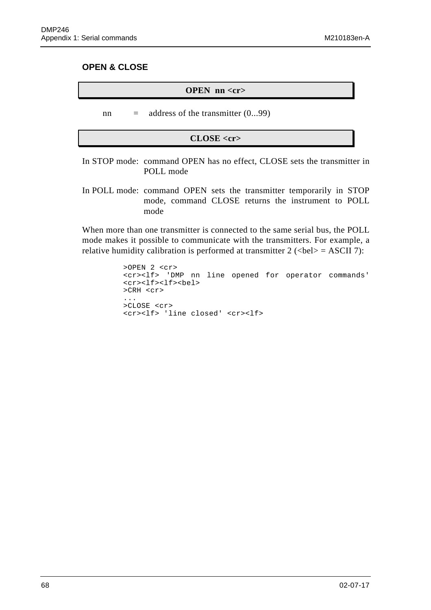### **OPEN & CLOSE**

#### **OPEN nn <cr>**

nn  $=$  address of the transmitter  $(0...99)$ 

#### **CLOSE <cr>**

- In STOP mode: command OPEN has no effect, CLOSE sets the transmitter in POLL mode
- In POLL mode: command OPEN sets the transmitter temporarily in STOP mode, command CLOSE returns the instrument to POLL mode

When more than one transmitter is connected to the same serial bus, the POLL mode makes it possible to communicate with the transmitters. For example, a relative humidity calibration is performed at transmitter  $2 \times \text{bel} > 2 \cdot \text{ASCII}$  7):

> >OPEN 2 <cr> <cr><lf> 'DMP nn line opened for operator commands' <cr><lf><lf><bel> >CRH <cr> ... >CLOSE <cr> <cr><lf> 'line closed' <cr><lf>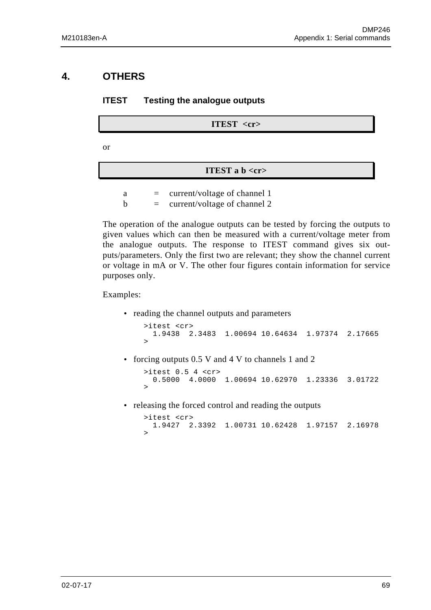## **4. OTHERS**

#### **ITEST <cr>**

or

#### **ITEST a b <cr>**

- $a = current/voltage of channel 1$
- $b = current/voltage of channel 2$

The operation of the analogue outputs can be tested by forcing the outputs to given values which can then be measured with a current/voltage meter from the analogue outputs. The response to ITEST command gives six outputs/parameters. Only the first two are relevant; they show the channel current or voltage in mA or V. The other four figures contain information for service purposes only.

Examples:

• reading the channel outputs and parameters

```
>itest <cr>
  1.9438 2.3483 1.00694 10.64634 1.97374 2.17665
>
```
• forcing outputs 0.5 V and 4 V to channels 1 and 2

```
\text{%} >itest 0.5 4 <cr>
   0.5000 4.0000 1.00694 10.62970 1.23336 3.01722
>
```
• releasing the forced control and reading the outputs

```
>itest <cr>
  1.9427 2.3392 1.00731 10.62428 1.97157 2.16978
\ddot{\phantom{0}}
```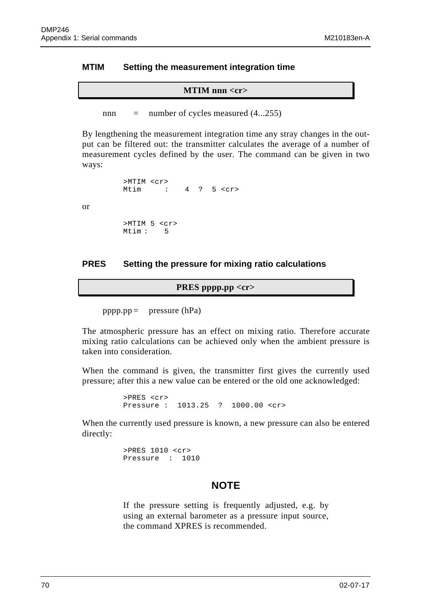or

### **MTIM Setting the measurement integration time**

#### **MTIM nnn <cr>**

nnn = number of cycles measured  $(4...255)$ 

By lengthening the measurement integration time any stray changes in the output can be filtered out: the transmitter calculates the average of a number of measurement cycles defined by the user. The command can be given in two ways:

```
>MTIM <cr>
Mtim
:
      : 4 ? 5 < cr>
>MTIM 5 <cr>
Mtim : 5
```
#### **PRES Setting the pressure for mixing ratio calculations**

#### **PRES pppp.pp <cr>**

 $pppp$ .pp = pressure (hPa)

The atmospheric pressure has an effect on mixing ratio. Therefore accurate mixing ratio calculations can be achieved only when the ambient pressure is taken into consideration.

When the command is given, the transmitter first gives the currently used pressure; after this a new value can be entered or the old one acknowledged:

> >PRES <cr> Pressure : 1013.25 ? 1000.00 <cr>

When the currently used pressure is known, a new pressure can also be entered directly:

```
>PRES 1010 <cr>
Pressure : 1010
```
## **NOTE**

If the pressure setting is frequently adjusted, e.g. by using an external barometer as a pressure input source, the command XPRES is recommended.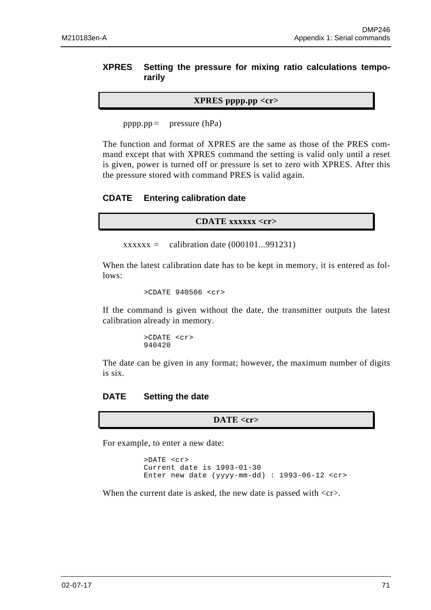#### **XPRES Setting the pressure for mixing ratio calculations temporarily**

#### **XPRES pppp.pp <cr>**

 $pppp, pp =$  pressure (hPa)

The function and format of XPRES are the same as those of the PRES command except that with XPRES command the setting is valid only until a reset is given, power is turned off or pressure is set to zero with XPRES. After this the pressure stored with command PRES is valid again.

#### **CDATE Entering calibration date**

#### **CDATE xxxxxx <cr>**

 $xxxxxx =$  calibration date (000101...991231)

When the latest calibration date has to be kept in memory, it is entered as follows:

```
>CDATE 940506 <cr>
```
If the command is given without the date, the transmitter outputs the latest calibration already in memory.

> >CDATE <cr> 940420

The date can be given in any format; however, the maximum number of digits is six.

#### **DATE Setting the date**

#### **DATE <cr>**

For example, to enter a new date:

```
>DATE <cr>
Current date is 1993-01-30
Enter new date (yyyy-mm-dd) : 1993-06-12 <cr>
```
When the current date is asked, the new date is passed with  $\langle cr \rangle$ .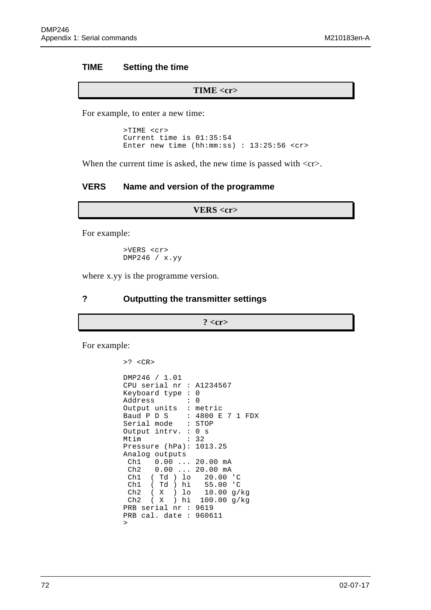### **TIME Setting the time**

#### **TIME <cr>**

For example, to enter a new time:

```
>TIME <cr>
Current time is 01:35:54
Enter new time (hh:mm:ss) : 13:25:56 <cr>
```
When the current time is asked, the new time is passed with  $\langle cr \rangle$ .

### **VERS Name and version of the programme**

**VERS <cr>**

For example:

>VERS <cr> DMP246 / x.yy

where x.yy is the programme version.

#### **? Outputting the transmitter settings**

**? <cr>**

For example:

```
>? <CR>
DMP246 / 1.01
CPU serial nr : A1234567
Keyboard type : 0<br>Address : 0
Address
Output units : metric<br>Baud P D S : 4800 E
               : 4800 E 7 1 FDX<br>: STOP
Serial mode
Output intrv. : 0 s<br>Mtim : 32
Mtim : 32
Pressure (hPa): 1013.25
Analog outputs<br>Chl 0.00 ...
       0.00 ... 20.00 mA
 Ch2 0.00 ... 20.00 mA
 Ch1 ( Td ) lo 20.00 'C
  Ch1 ( Td ) hi 55.00 'C
 Ch2 ( X ) lo 10.00 g/kg
 Ch2 ( X ) hi 100.00 g/kg
PRB serial nr : 9619
PRB cal. date : 960611
\ddotmark
```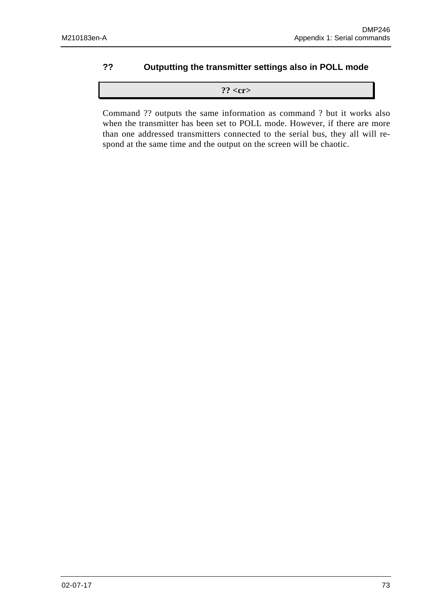#### **?? Outputting the transmitter settings also in POLL mode**

**?? <cr>**

Command ?? outputs the same information as command ? but it works also when the transmitter has been set to POLL mode. However, if there are more than one addressed transmitters connected to the serial bus, they all will respond at the same time and the output on the screen will be chaotic.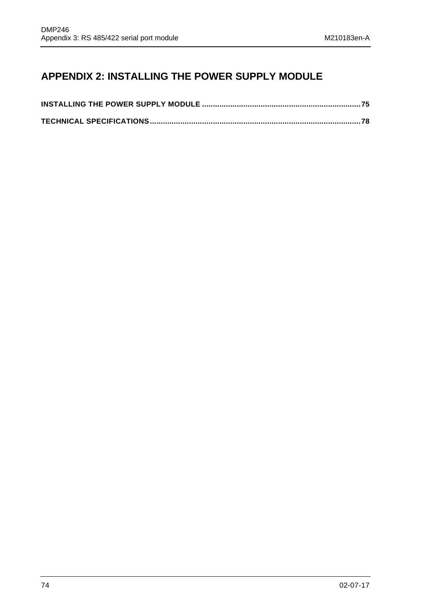# **APPENDIX 2: INSTALLING THE POWER SUPPLY MODULE**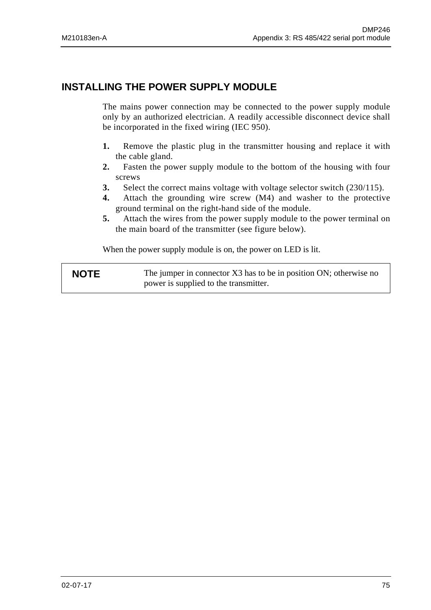## **INSTALLING THE POWER SUPPLY MODULE**

The mains power connection may be connected to the power supply module only by an authorized electrician. A readily accessible disconnect device shall be incorporated in the fixed wiring (IEC 950).

- **1.** Remove the plastic plug in the transmitter housing and replace it with the cable gland.
- **2.** Fasten the power supply module to the bottom of the housing with four screws
- **3.** Select the correct mains voltage with voltage selector switch (230/115).
- **4.** Attach the grounding wire screw (M4) and washer to the protective ground terminal on the right-hand side of the module.
- **5.** Attach the wires from the power supply module to the power terminal on the main board of the transmitter (see figure below).

When the power supply module is on, the power on LED is lit.

**NOTE** The jumper in connector X3 has to be in position ON; otherwise no power is supplied to the transmitter.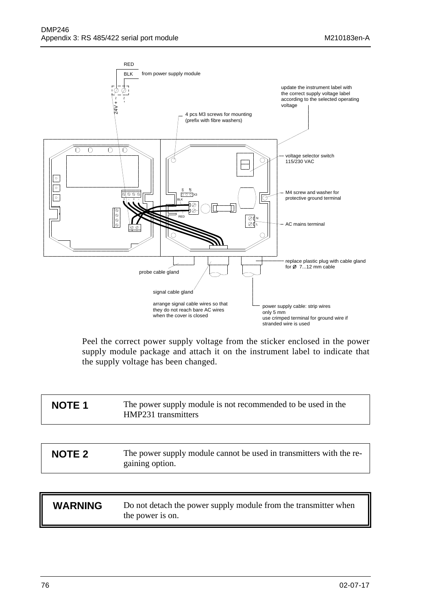

Peel the correct power supply voltage from the sticker enclosed in the power supply module package and attach it on the instrument label to indicate that the supply voltage has been changed.

| <b>NOTE 1</b>  | The power supply module is not recommended to be used in the<br>HMP231 transmitters    |
|----------------|----------------------------------------------------------------------------------------|
|                |                                                                                        |
| <b>NOTE 2</b>  | The power supply module cannot be used in transmitters with the re-<br>gaining option. |
|                |                                                                                        |
| <b>WARNING</b> | Do not detach the power supply module from the transmitter when<br>the power is on.    |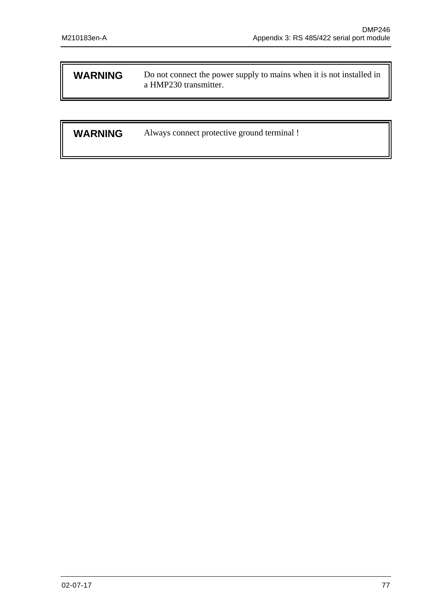## **WARNING** Do not connect the power supply to mains when it is not installed in a HMP230 transmitter.

**WARNING** Always connect protective ground terminal !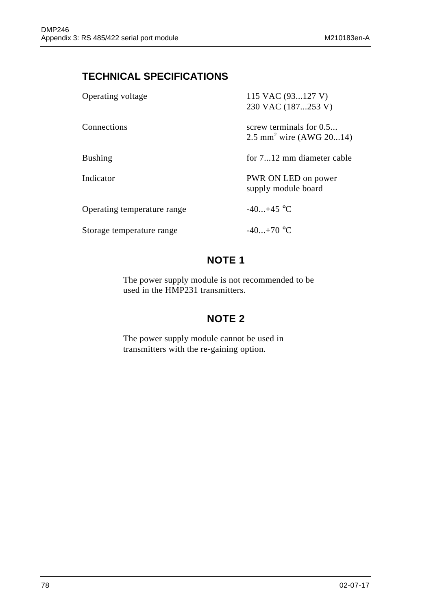## **TECHNICAL SPECIFICATIONS**

| Operating voltage           | 115 VAC (93127 V)<br>230 VAC (187253 V)                          |
|-----------------------------|------------------------------------------------------------------|
| Connections                 | screw terminals for $0.5$<br>2.5 mm <sup>2</sup> wire (AWG 2014) |
| Bushing                     | for 712 mm diameter cable                                        |
| Indicator                   | PWR ON LED on power<br>supply module board                       |
| Operating temperature range | $-40+45$ °C                                                      |
| Storage temperature range   | $-40+70$ °C                                                      |

# **NOTE 1**

The power supply module is not recommended to be used in the HMP231 transmitters.

# **NOTE 2**

The power supply module cannot be used in transmitters with the re-gaining option.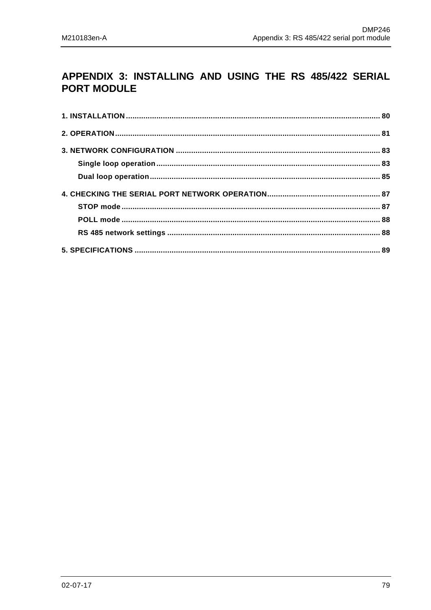## APPENDIX 3: INSTALLING AND USING THE RS 485/422 SERIAL **PORT MODULE**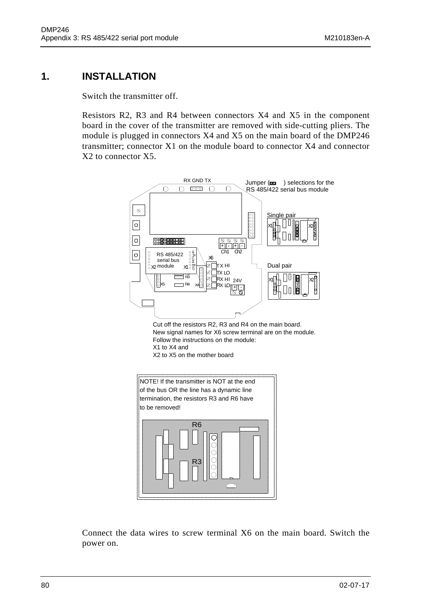## **1. INSTALLATION**

Switch the transmitter off.

Resistors R2, R3 and R4 between connectors X4 and X5 in the component board in the cover of the transmitter are removed with side-cutting pliers. The module is plugged in connectors X4 and X5 on the main board of the DMP246 transmitter; connector X1 on the module board to connector X4 and connector X2 to connector X5.



Connect the data wires to screw terminal X6 on the main board. Switch the power on.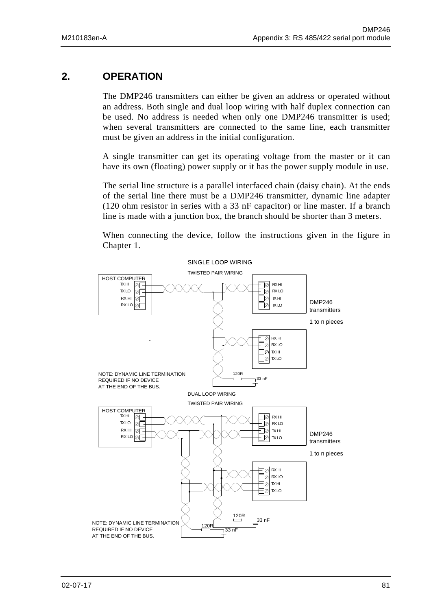# **2. OPERATION**

The DMP246 transmitters can either be given an address or operated without an address. Both single and dual loop wiring with half duplex connection can be used. No address is needed when only one DMP246 transmitter is used; when several transmitters are connected to the same line, each transmitter must be given an address in the initial configuration.

A single transmitter can get its operating voltage from the master or it can have its own (floating) power supply or it has the power supply module in use.

The serial line structure is a parallel interfaced chain (daisy chain). At the ends of the serial line there must be a DMP246 transmitter, dynamic line adapter (120 ohm resistor in series with a 33 nF capacitor) or line master. If a branch line is made with a junction box, the branch should be shorter than 3 meters.

When connecting the device, follow the instructions given in the figure in Chapter 1.

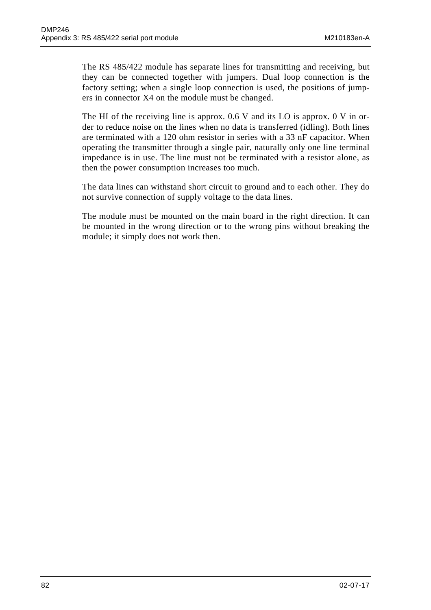The RS 485/422 module has separate lines for transmitting and receiving, but they can be connected together with jumpers. Dual loop connection is the factory setting; when a single loop connection is used, the positions of jumpers in connector X4 on the module must be changed.

The HI of the receiving line is approx. 0.6 V and its LO is approx. 0 V in order to reduce noise on the lines when no data is transferred (idling). Both lines are terminated with a 120 ohm resistor in series with a 33 nF capacitor. When operating the transmitter through a single pair, naturally only one line terminal impedance is in use. The line must not be terminated with a resistor alone, as then the power consumption increases too much.

The data lines can withstand short circuit to ground and to each other. They do not survive connection of supply voltage to the data lines.

The module must be mounted on the main board in the right direction. It can be mounted in the wrong direction or to the wrong pins without breaking the module; it simply does not work then.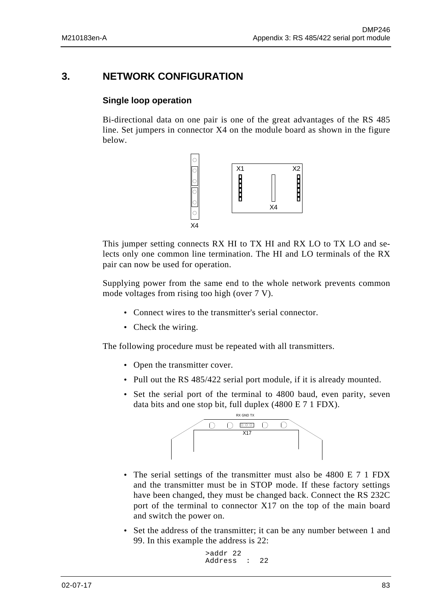## **3. NETWORK CONFIGURATION**

### **Single loop operation**

Bi-directional data on one pair is one of the great advantages of the RS 485 line. Set jumpers in connector X4 on the module board as shown in the figure below.



This jumper setting connects RX HI to TX HI and RX LO to TX LO and selects only one common line termination. The HI and LO terminals of the RX pair can now be used for operation.

Supplying power from the same end to the whole network prevents common mode voltages from rising too high (over 7 V).

- Connect wires to the transmitter's serial connector.
- Check the wiring.

The following procedure must be repeated with all transmitters.

- Open the transmitter cover.
- Pull out the RS 485/422 serial port module, if it is already mounted.
- Set the serial port of the terminal to 4800 baud, even parity, seven data bits and one stop bit, full duplex (4800 E 7 1 FDX).



- The serial settings of the transmitter must also be 4800 E 7 1 FDX and the transmitter must be in STOP mode. If these factory settings have been changed, they must be changed back. Connect the RS 232C port of the terminal to connector X17 on the top of the main board and switch the power on.
- Set the address of the transmitter; it can be any number between 1 and 99. In this example the address is 22:

```
>addr 22
Address : 22
```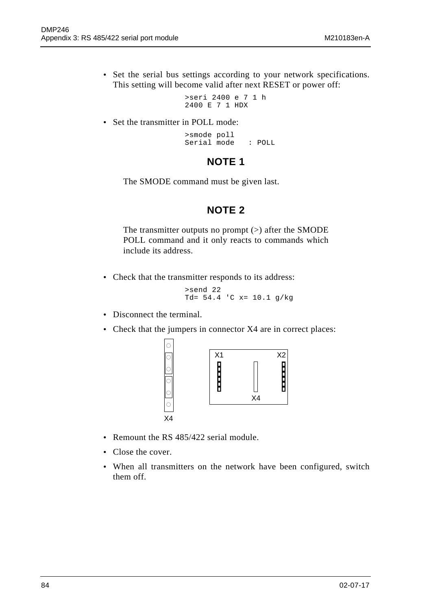• Set the serial bus settings according to your network specifications. This setting will become valid after next RESET or power off:

> >seri 2400 e 7 1 h 2400 E 7 1 HDX

• Set the transmitter in POLL mode:

>smode poll Serial mode : POLL

## **NOTE 1**

The SMODE command must be given last.

### **NOTE 2**

The transmitter outputs no prompt  $(>)$  after the SMODE POLL command and it only reacts to commands which include its address.

• Check that the transmitter responds to its address:

```
>send 22
Td= 54.4 'C x= 10.1 g/kg
```
- Disconnect the terminal.
- Check that the jumpers in connector X4 are in correct places:



- Remount the RS 485/422 serial module.
- Close the cover.
- When all transmitters on the network have been configured, switch them off.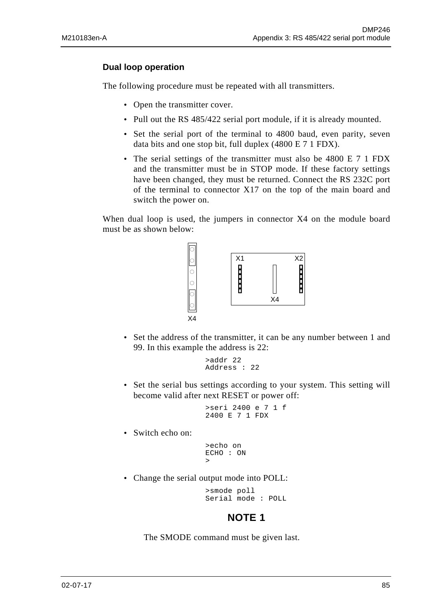#### **Dual loop operation**

The following procedure must be repeated with all transmitters.

- Open the transmitter cover.
- Pull out the RS 485/422 serial port module, if it is already mounted.
- Set the serial port of the terminal to 4800 baud, even parity, seven data bits and one stop bit, full duplex (4800 E 7 1 FDX).
- The serial settings of the transmitter must also be 4800 E 7 1 FDX and the transmitter must be in STOP mode. If these factory settings have been changed, they must be returned. Connect the RS 232C port of the terminal to connector X17 on the top of the main board and switch the power on.

When dual loop is used, the jumpers in connector X4 on the module board must be as shown below:



• Set the address of the transmitter, it can be any number between 1 and 99. In this example the address is 22:

> >addr 22 Address : 22

• Set the serial bus settings according to your system. This setting will become valid after next RESET or power off:

> >seri 2400 e 7 1 f 2400 E 7 1 FDX

• Switch echo on:

>echo on ECHO : ON >

• Change the serial output mode into POLL:

>smode poll Serial mode : POLL

### **NOTE 1**

The SMODE command must be given last.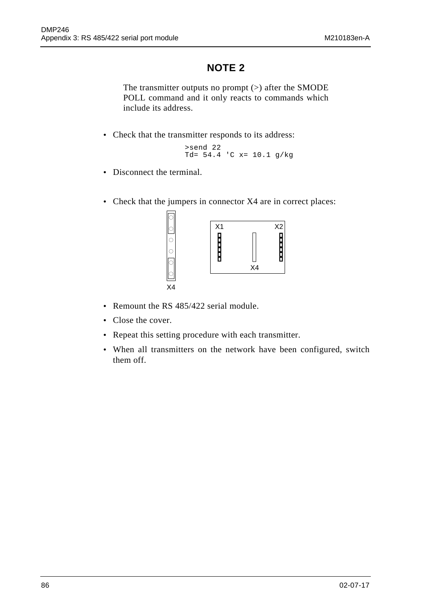## **NOTE 2**

The transmitter outputs no prompt  $(>)$  after the SMODE POLL command and it only reacts to commands which include its address.

• Check that the transmitter responds to its address:

>send 22 Td= 54.4 'C x= 10.1 g/kg

- Disconnect the terminal.
- Check that the jumpers in connector X4 are in correct places:



- Remount the RS 485/422 serial module.
- Close the cover.
- Repeat this setting procedure with each transmitter.
- When all transmitters on the network have been configured, switch them off.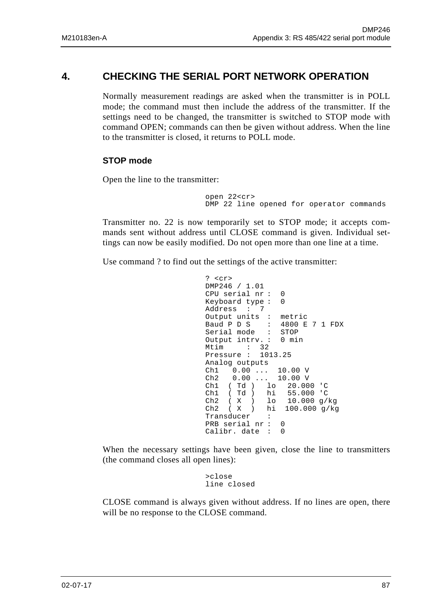## **4. CHECKING THE SERIAL PORT NETWORK OPERATION**

Normally measurement readings are asked when the transmitter is in POLL mode; the command must then include the address of the transmitter. If the settings need to be changed, the transmitter is switched to STOP mode with command OPEN; commands can then be given without address. When the line to the transmitter is closed, it returns to POLL mode.

### **STOP mode**

Open the line to the transmitter:

open 22<cr> DMP 22 line opened for operator commands

Transmitter no. 22 is now temporarily set to STOP mode; it accepts commands sent without address until CLOSE command is given. Individual settings can now be easily modified. Do not open more than one line at a time.

Use command ? to find out the settings of the active transmitter:

```
? <cr>
DMP246 / 1.01
CPU serial nr : 0
Keyboard type : 0
Address : 7
Output units : metric
Baud P D S : 4800 E 7 1 FDX<br>Serial mode : STOP
Serial mode : STOP<br>Output intry.: 0 min
Output intrv. :
Mtim : 32
Pressure : 1013.25
Analog outputs<br>Chl 0.00 ...
\begin{bmatrix} \text{Ch1} & \begin{bmatrix} 0.00 \end{bmatrix} & \dots & \text{10.00 V} \\ \text{Ch2} & \begin{bmatrix} 0.00 \end{bmatrix} & \dots & \text{10.00 V} \end{bmatrix}Ch2  0.00 ... 10.00 V<br>Ch1  (Td )  lo  20.000 'C
        ( Td ) lo<br>( Td ) hi
Ch1 ( Td ) hi 55.000 'C<br>Ch2 ( X ) lo 10.000 q/
Ch2 ( X ) lo 10.000 \frac{g}{kg}<br>Ch2 ( X ) hi 100.000 \frac{g}{kg}hi 100.000 g/kg
Transducer :
PRB serial nr : 0<br>Calibr, date : 0
Calibr. date :
```
When the necessary settings have been given, close the line to transmitters (the command closes all open lines):

> >close line closed

CLOSE command is always given without address. If no lines are open, there will be no response to the CLOSE command.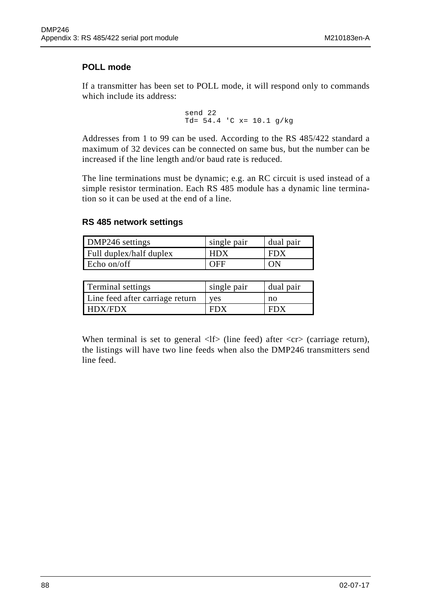### **POLL mode**

If a transmitter has been set to POLL mode, it will respond only to commands which include its address:

```
send 22
Td= 54.4 'C x= 10.1 g/kg
```
Addresses from 1 to 99 can be used. According to the RS 485/422 standard a maximum of 32 devices can be connected on same bus, but the number can be increased if the line length and/or baud rate is reduced.

The line terminations must be dynamic; e.g. an RC circuit is used instead of a simple resistor termination. Each RS 485 module has a dynamic line termination so it can be used at the end of a line.

### **RS 485 network settings**

| DMP246 settings         | single pair       | dual pair  |
|-------------------------|-------------------|------------|
| Full duplex/half duplex | <b>HDX</b>        | <b>FDX</b> |
| Echo on/off             | $\overline{O}$ FF | ON         |

| Terminal settings               | single pair | dual pair  |
|---------------------------------|-------------|------------|
| Line feed after carriage return | ves         | no         |
| HDX/FDX                         | <b>FDX</b>  | <b>FDX</b> |

When terminal is set to general  $\langle f \rangle$  (line feed) after  $\langle cr \rangle$  (carriage return), the listings will have two line feeds when also the DMP246 transmitters send line feed.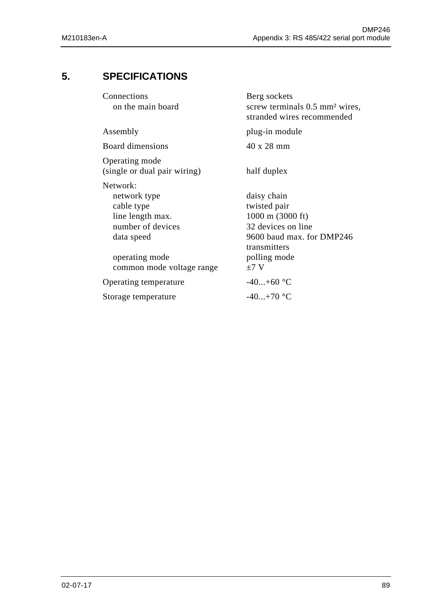# **5. SPECIFICATIONS**

| Connections<br>on the main board                                                                                | Berg sockets<br>screw terminals 0.5 mm <sup>2</sup> wires,<br>stranded wires recommended                                           |
|-----------------------------------------------------------------------------------------------------------------|------------------------------------------------------------------------------------------------------------------------------------|
| Assembly                                                                                                        | plug-in module                                                                                                                     |
| Board dimensions                                                                                                | 40 x 28 mm                                                                                                                         |
| Operating mode<br>(single or dual pair wiring)                                                                  | half duplex                                                                                                                        |
| Network:<br>network type<br>cable type<br>line length max.<br>number of devices<br>data speed<br>operating mode | daisy chain<br>twisted pair<br>1000 m (3000 ft)<br>32 devices on line<br>9600 baud max. for DMP246<br>transmitters<br>polling mode |
| common mode voltage range                                                                                       | $\pm 7$ V                                                                                                                          |
| Operating temperature                                                                                           | $-40+60$ °C                                                                                                                        |
| Storage temperature                                                                                             | $-40+70$ °C                                                                                                                        |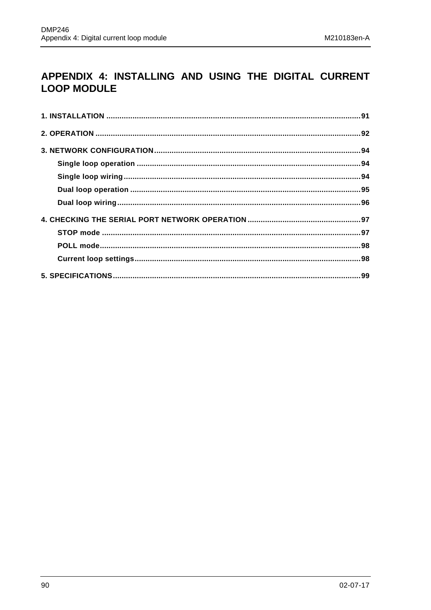# APPENDIX 4: INSTALLING AND USING THE DIGITAL CURRENT **LOOP MODULE**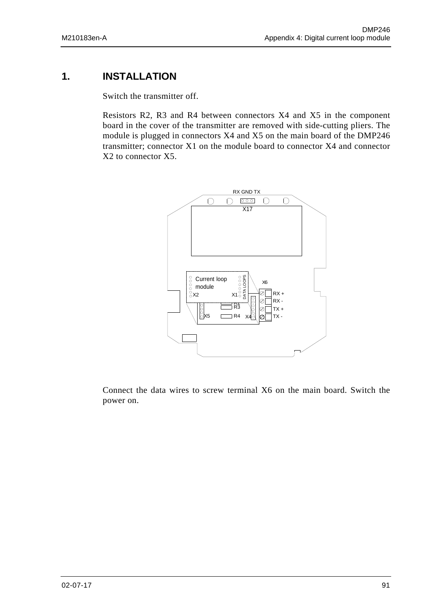## **1. INSTALLATION**

Switch the transmitter off.

Resistors R2, R3 and R4 between connectors X4 and X5 in the component board in the cover of the transmitter are removed with side-cutting pliers. The module is plugged in connectors X4 and X5 on the main board of the DMP246 transmitter; connector X1 on the module board to connector X4 and connector X2 to connector X5.



Connect the data wires to screw terminal X6 on the main board. Switch the power on.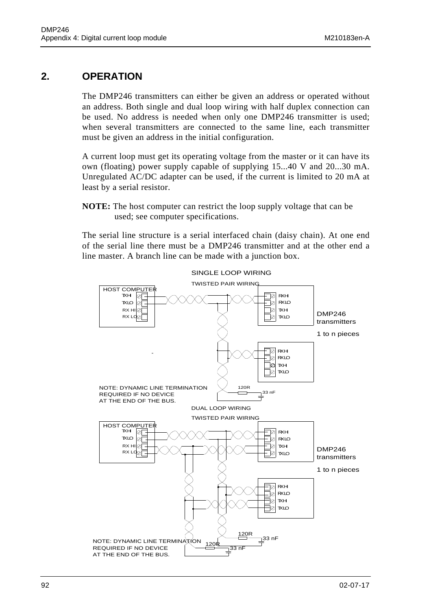## **2. OPERATION**

The DMP246 transmitters can either be given an address or operated without an address. Both single and dual loop wiring with half duplex connection can be used. No address is needed when only one DMP246 transmitter is used; when several transmitters are connected to the same line, each transmitter must be given an address in the initial configuration.

A current loop must get its operating voltage from the master or it can have its own (floating) power supply capable of supplying 15...40 V and 20...30 mA. Unregulated AC/DC adapter can be used, if the current is limited to 20 mA at least by a serial resistor.

**NOTE:** The host computer can restrict the loop supply voltage that can be used; see computer specifications.

The serial line structure is a serial interfaced chain (daisy chain). At one end of the serial line there must be a DMP246 transmitter and at the other end a line master. A branch line can be made with a junction box.

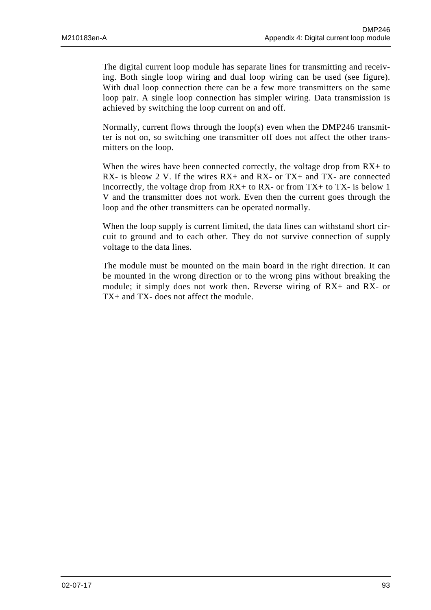The digital current loop module has separate lines for transmitting and receiving. Both single loop wiring and dual loop wiring can be used (see figure). With dual loop connection there can be a few more transmitters on the same loop pair. A single loop connection has simpler wiring. Data transmission is achieved by switching the loop current on and off.

Normally, current flows through the loop(s) even when the DMP246 transmitter is not on, so switching one transmitter off does not affect the other transmitters on the loop.

When the wires have been connected correctly, the voltage drop from RX+ to RX- is bleow 2 V. If the wires RX+ and RX- or TX+ and TX- are connected incorrectly, the voltage drop from  $RX$ + to  $RX$ - or from  $TX$ + to  $TX$ - is below 1 V and the transmitter does not work. Even then the current goes through the loop and the other transmitters can be operated normally.

When the loop supply is current limited, the data lines can withstand short circuit to ground and to each other. They do not survive connection of supply voltage to the data lines.

The module must be mounted on the main board in the right direction. It can be mounted in the wrong direction or to the wrong pins without breaking the module; it simply does not work then. Reverse wiring of RX+ and RX- or TX+ and TX- does not affect the module.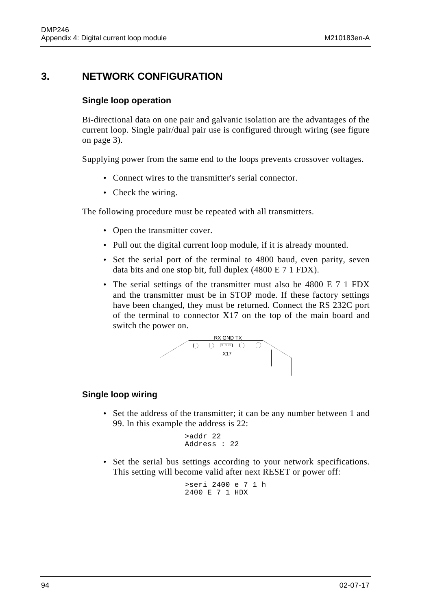# **3. NETWORK CONFIGURATION**

### **Single loop operation**

Bi-directional data on one pair and galvanic isolation are the advantages of the current loop. Single pair/dual pair use is configured through wiring (see figure on page 3).

Supplying power from the same end to the loops prevents crossover voltages.

- Connect wires to the transmitter's serial connector.
- Check the wiring.

The following procedure must be repeated with all transmitters.

- Open the transmitter cover.
- Pull out the digital current loop module, if it is already mounted.
- Set the serial port of the terminal to 4800 baud, even parity, seven data bits and one stop bit, full duplex (4800 E 7 1 FDX).
- The serial settings of the transmitter must also be 4800 E 7 1 FDX and the transmitter must be in STOP mode. If these factory settings have been changed, they must be returned. Connect the RS 232C port of the terminal to connector X17 on the top of the main board and switch the power on.



### **Single loop wiring**

• Set the address of the transmitter; it can be any number between 1 and 99. In this example the address is 22:

```
>addr 22
Address : 22
```
• Set the serial bus settings according to your network specifications. This setting will become valid after next RESET or power off:

```
>seri 2400 e 7 1 h
2400 E 7 1 HDX
```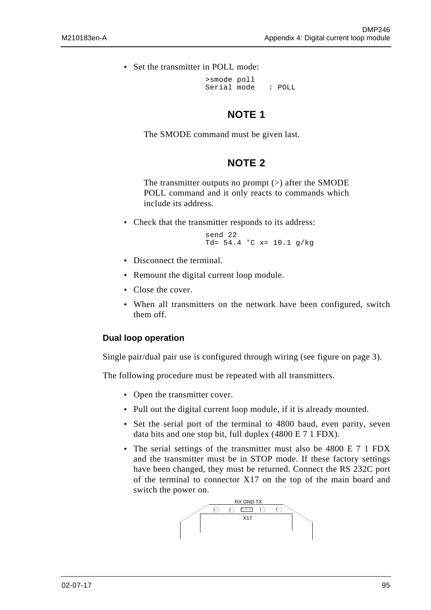• Set the transmitter in POLL mode:

```
>smode poll
Serial mode : POLL
```
### **NOTE 1**

The SMODE command must be given last.

### **NOTE 2**

The transmitter outputs no prompt  $(>)$  after the SMODE POLL command and it only reacts to commands which include its address.

• Check that the transmitter responds to its address:

send 22 Td= 54.4 'C x= 10.1 g/kg

- Disconnect the terminal.
- Remount the digital current loop module.
- Close the cover.
- When all transmitters on the network have been configured, switch them off.

#### **Dual loop operation**

Single pair/dual pair use is configured through wiring (see figure on page 3).

The following procedure must be repeated with all transmitters.

- Open the transmitter cover.
- Pull out the digital current loop module, if it is already mounted.
- Set the serial port of the terminal to 4800 baud, even parity, seven data bits and one stop bit, full duplex (4800 E 7 1 FDX).
- The serial settings of the transmitter must also be 4800 E 7 1 FDX and the transmitter must be in STOP mode. If these factory settings have been changed, they must be returned. Connect the RS 232C port of the terminal to connector X17 on the top of the main board and switch the power on.

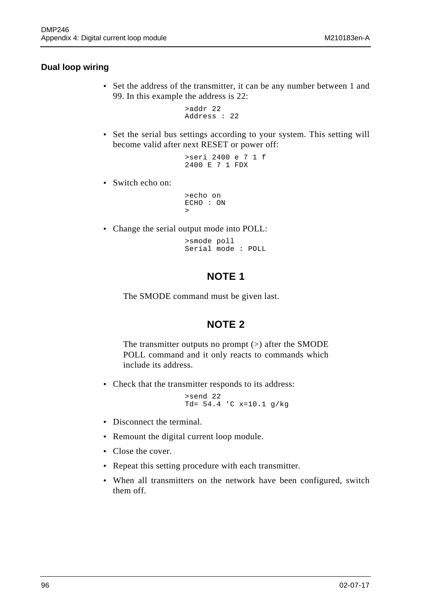### **Dual loop wiring**

• Set the address of the transmitter, it can be any number between 1 and 99. In this example the address is 22:

```
>addr 22
Address : 22
```
• Set the serial bus settings according to your system. This setting will become valid after next RESET or power off:

> >seri 2400 e 7 1 f 2400 E 7 1 FDX

• Switch echo on:

```
>echo on
ECHO : ON
\rightarrow
```
• Change the serial output mode into POLL:

>smode poll Serial mode : POLL

## **NOTE 1**

The SMODE command must be given last.

### **NOTE 2**

The transmitter outputs no prompt  $(>)$  after the SMODE POLL command and it only reacts to commands which include its address.

• Check that the transmitter responds to its address:

>send 22 Td= 54.4 'C x=10.1 g/kg

- Disconnect the terminal.
- Remount the digital current loop module.
- Close the cover.
- Repeat this setting procedure with each transmitter.
- When all transmitters on the network have been configured, switch them off.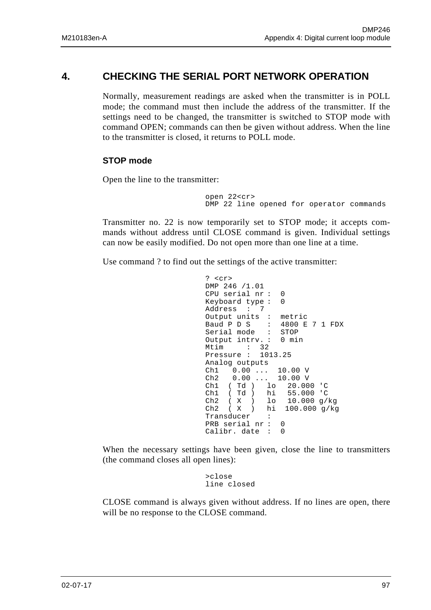## **4. CHECKING THE SERIAL PORT NETWORK OPERATION**

Normally, measurement readings are asked when the transmitter is in POLL mode; the command must then include the address of the transmitter. If the settings need to be changed, the transmitter is switched to STOP mode with command OPEN; commands can then be given without address. When the line to the transmitter is closed, it returns to POLL mode.

### **STOP mode**

Open the line to the transmitter:

open 22<cr> DMP 22 line opened for operator commands

Transmitter no. 22 is now temporarily set to STOP mode; it accepts commands without address until CLOSE command is given. Individual settings can now be easily modified. Do not open more than one line at a time.

Use command ? to find out the settings of the active transmitter:

```
? <cr>
DMP 246 /1.01
CPU serial nr : 0
Keyboard type : 0
Address : 7
Output units : metric
Baud P D S : 4800 E 7 1 FDX<br>Serial mode : STOP
Serial mode : STOP<br>Output intry.: 0 min
Output intrv. :
Mtim : 32
Pressure : 1013.25
Analog outputs<br>Chl 0.00 ...
\begin{bmatrix} \text{Ch1} & 0.00 & \dots & 10.00 & \text{V} \\ \text{Ch2} & 0.00 & \dots & 10.00 & \text{V} \end{bmatrix}Ch2  0.00 ... 10.00 V<br>Ch1  (Td )  lo  20.000 'C
       ( Td ) lo<br>( Td ) hi
Ch1 ( Td ) hi 55.000 'C<br>Ch2 ( X ) lo 10.000 q/
Ch2 ( X ) lo 10.000 \frac{g}{kg}<br>Ch2 ( X ) hi 100.000 \frac{g}{kg}hi 100.000 g/kg
Transducer :
PRB serial nr : 0<br>Calibr, date : 0
Calibr. date :
```
When the necessary settings have been given, close the line to transmitters (the command closes all open lines):

> >close line closed

CLOSE command is always given without address. If no lines are open, there will be no response to the CLOSE command.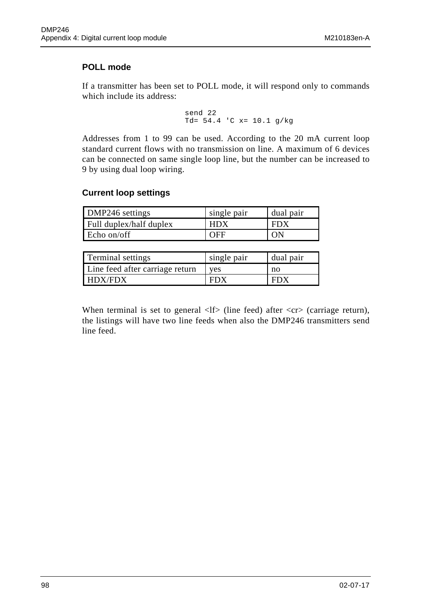### **POLL mode**

If a transmitter has been set to POLL mode, it will respond only to commands which include its address:

```
send 22
Td= 54.4 'C x= 10.1 g/kg
```
Addresses from 1 to 99 can be used. According to the 20 mA current loop standard current flows with no transmission on line. A maximum of 6 devices can be connected on same single loop line, but the number can be increased to 9 by using dual loop wiring.

### **Current loop settings**

| DMP246 settings         | single pair | dual pair  |
|-------------------------|-------------|------------|
| Full duplex/half duplex | <b>HDX</b>  | <b>FDX</b> |
| Echo on/off             | OEF         | ON         |

| Terminal settings               | single pair | dual pair  |
|---------------------------------|-------------|------------|
| Line feed after carriage return | <b>ves</b>  | no         |
| HDX/FDX                         | <b>FDX</b>  | <b>FDX</b> |

When terminal is set to general  $\langle f \rangle$  (line feed) after  $\langle cr \rangle$  (carriage return), the listings will have two line feeds when also the DMP246 transmitters send line feed.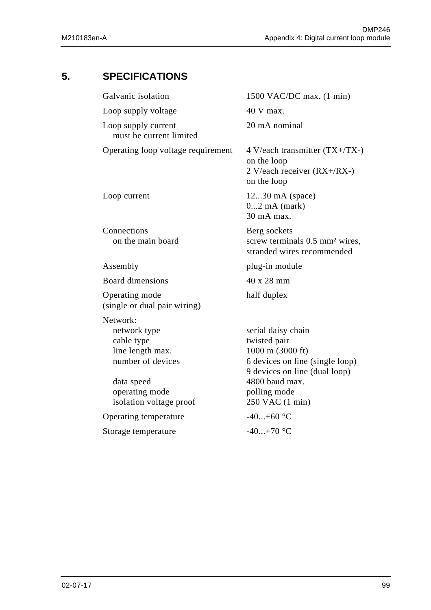# **5. SPECIFICATIONS**

| Galvanic isolation                                                                                                                                                  | 1500 VAC/DC max. (1 min)                                                                                                                                                                       |
|---------------------------------------------------------------------------------------------------------------------------------------------------------------------|------------------------------------------------------------------------------------------------------------------------------------------------------------------------------------------------|
| Loop supply voltage                                                                                                                                                 | 40 V max.                                                                                                                                                                                      |
| Loop supply current<br>must be current limited                                                                                                                      | 20 mA nominal                                                                                                                                                                                  |
| Operating loop voltage requirement                                                                                                                                  | 4 V/each transmitter $(TX+/TX-)$<br>on the loop<br>2 V/each receiver (RX+/RX-)<br>on the loop                                                                                                  |
| Loop current                                                                                                                                                        | $1230$ mA (space)<br>$02$ mA (mark)<br>30 mA max.                                                                                                                                              |
| Connections<br>on the main board                                                                                                                                    | Berg sockets<br>screw terminals 0.5 mm <sup>2</sup> wires,<br>stranded wires recommended                                                                                                       |
| Assembly                                                                                                                                                            | plug-in module                                                                                                                                                                                 |
| Board dimensions                                                                                                                                                    | $40 \times 28$ mm                                                                                                                                                                              |
| Operating mode<br>(single or dual pair wiring)                                                                                                                      | half duplex                                                                                                                                                                                    |
| Network:<br>network type<br>cable type<br>line length max.<br>number of devices<br>data speed<br>operating mode<br>isolation voltage proof<br>Operating temperature | serial daisy chain<br>twisted pair<br>1000 m (3000 ft)<br>6 devices on line (single loop)<br>9 devices on line (dual loop)<br>4800 baud max.<br>polling mode<br>250 VAC (1 min)<br>$-40+60$ °C |
| Storage temperature                                                                                                                                                 | $-40+70$ °C                                                                                                                                                                                    |
|                                                                                                                                                                     |                                                                                                                                                                                                |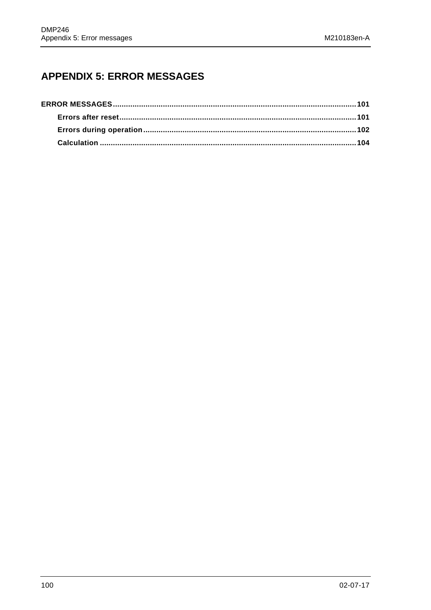# **APPENDIX 5: ERROR MESSAGES**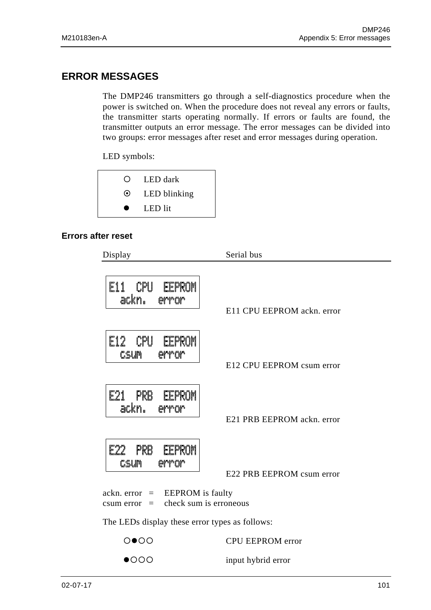## **ERROR MESSAGES**

The DMP246 transmitters go through a self-diagnostics procedure when the power is switched on. When the procedure does not reveal any errors or faults, the transmitter starts operating normally. If errors or faults are found, the transmitter outputs an error message. The error messages can be divided into two groups: error messages after reset and error messages during operation.

LED symbols:

|           | $O$ LED dark         |
|-----------|----------------------|
|           | $\odot$ LED blinking |
| $\bullet$ | LED lit              |

### **Errors after reset**

| Display                                                                         | Serial bus                 |
|---------------------------------------------------------------------------------|----------------------------|
| E11<br>¢PU<br>EFROM<br>ackn.<br>error                                           | E11 CPU EEPROM ackn. error |
| E12<br>EEROM<br>CPU<br>csum<br>error                                            | E12 CPU EEPROM csum error  |
| E21<br>EEPRON<br>PRB<br>ackn.<br>error                                          | E21 PRB EEPROM ackn. error |
| EZZ<br>PRB<br>EFRI<br>瞷<br>csum<br>error                                        | E22 PRB EEPROM csum error  |
| $ackn. error = EEPROM$ is faulty<br>check sum is erroneous<br>csum error<br>$=$ |                            |
| The LEDs display these error types as follows:                                  |                            |
| $\circ\bullet\circ\circ$                                                        | <b>CPU EEPROM error</b>    |

●○○○ input hybrid error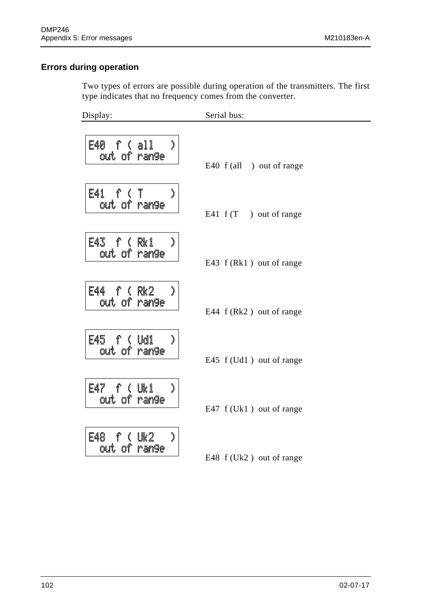## **Errors during operation**

Two types of errors are possible during operation of the transmitters. The first type indicates that no frequency comes from the converter.

| Display:                                                                         | Serial bus:                |
|----------------------------------------------------------------------------------|----------------------------|
| E40<br>╏<br>f<br>ť<br>all<br>of<br>out<br>ran9e                                  | E40 f (all ) out of range  |
| E41<br>T<br>f<br>f,<br>ť<br>out<br>of<br>range                                   | E41 $f(T)$ out of range    |
| E43<br>۹U.<br>f<br>Rk1<br>ť<br>of<br>out<br>range<br>E44<br>f<br>۹,<br>RK 2<br>ť | E43 f (Rk1) out of range   |
| of<br>out<br>range<br>E45<br>الله<br>f<br>ť<br>W                                 | E44 f (Rk2) out of range   |
| of<br>out<br>ran9e                                                               | E45 f (Ud1) out of range   |
| E47<br>f<br>۹u<br>ť<br>W<br>of<br>out<br>range                                   | E47 f (Uk1) out of range   |
| E48<br>ӈ<br>f<br>ť<br>W2<br>of<br>out<br>rar                                     | E48 $f$ (Uk2) out of range |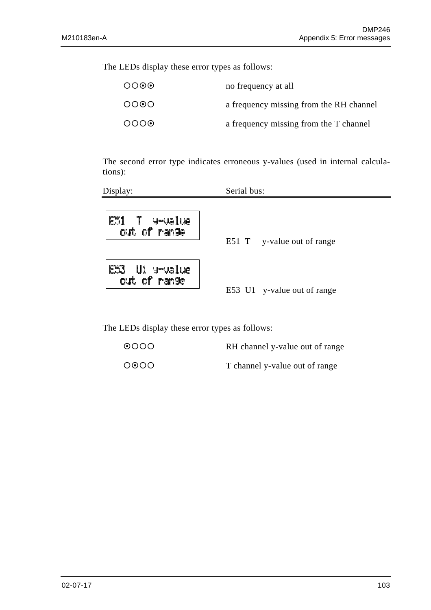The LEDs display these error types as follows:

| ೧೧೯೯ | no frequency at all                     |
|------|-----------------------------------------|
| 0000 | a frequency missing from the RH channel |
| 0000 | a frequency missing from the T channel  |

The second error type indicates erroneous y-values (used in internal calculations):

| Display:                                  | Serial bus:                 |  |  |
|-------------------------------------------|-----------------------------|--|--|
| E51<br>T<br>y-value<br>of<br>out<br>range | E51 T y-value out of range  |  |  |
| E53<br>u<br>y-value<br>of<br>out<br>range | E53 U1 y-value out of range |  |  |

The LEDs display these error types as follows:

§°°° RH channel y-value out of range °§°° T channel y-value out of range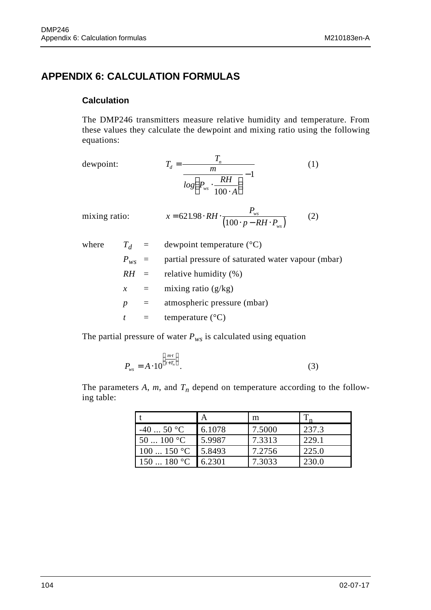# **APPENDIX 6: CALCULATION FORMULAS**

### **Calculation**

The DMP246 transmitters measure relative humidity and temperature. From these values they calculate the dewpoint and mixing ratio using the following equations:

dewpoint:

$$
T_d = \frac{T_n}{\frac{m}{log\left(P_{ws} \cdot \frac{RH}{100 \cdot A}\right)} - 1}
$$
(1)

mixing ratio:  $x = 621.98 \cdot RH \cdot \frac{P_{ws}}{(100 \cdot p - RH \cdot P_{ws})}$  $p - RH \cdot P$ *ws ws*  $= 621.98 \cdot RH$  $\cdot p - RH \cdot$ 62198 100  $.98 \cdot RH \cdot \frac{1_{ws}}{(1.00 \times 10^{-19} \text{ m})}$  (2)

|                  |                           | where $T_d$ = dewpoint temperature (°C)           |
|------------------|---------------------------|---------------------------------------------------|
|                  | $P_{ws}$ =                | partial pressure of saturated water vapour (mbar) |
|                  |                           | $RH$ = relative humidity (%)                      |
|                  | $x =$                     | mixing ratio $(g/kg)$                             |
| $\boldsymbol{D}$ | <b>Expertise</b>          | atmospheric pressure (mbar)                       |
| t                | $\mathbf{r} = \mathbf{r}$ | temperature $(^{\circ}C)$                         |

The partial pressure of water  $P_{ws}$  is calculated using equation

$$
P_{ws} = A \cdot 10^{\left(\frac{mt}{t + T_n}\right)}.
$$
\n(3)

The parameters  $A$ ,  $m$ , and  $T<sub>n</sub>$  depend on temperature according to the following table:

|             | A      | m      |       |
|-------------|--------|--------|-------|
| $-4050$ °C  | 6.1078 | 7.5000 | 237.3 |
| $50100$ °C  | 5.9987 | 7.3313 | 229.1 |
| $100150$ °C | 5.8493 | 7.2756 | 225.0 |
| 150180 °C   | 6.2301 | 7.3033 | 230.0 |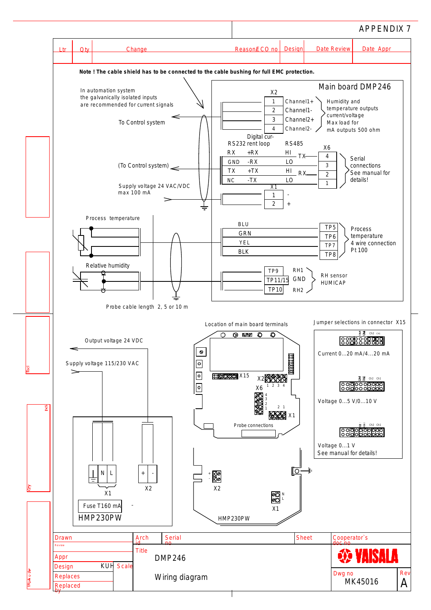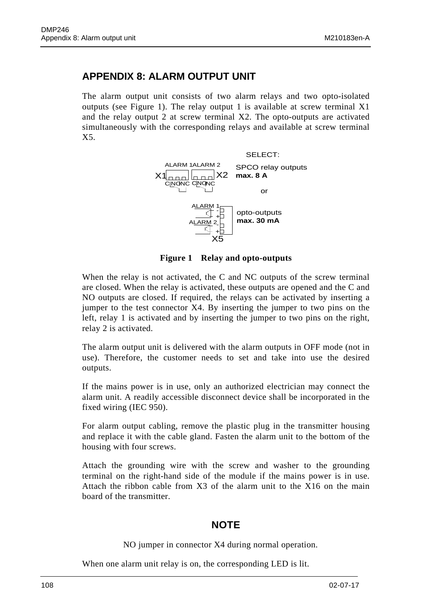# **APPENDIX 8: ALARM OUTPUT UNIT**

The alarm output unit consists of two alarm relays and two opto-isolated outputs (see Figure 1). The relay output 1 is available at screw terminal X1 and the relay output 2 at screw terminal X2. The opto-outputs are activated simultaneously with the corresponding relays and available at screw terminal X5.



**Figure 1 Relay and opto-outputs**

When the relay is not activated, the C and NC outputs of the screw terminal are closed. When the relay is activated, these outputs are opened and the C and NO outputs are closed. If required, the relays can be activated by inserting a jumper to the test connector X4. By inserting the jumper to two pins on the left, relay 1 is activated and by inserting the jumper to two pins on the right, relay 2 is activated.

The alarm output unit is delivered with the alarm outputs in OFF mode (not in use). Therefore, the customer needs to set and take into use the desired outputs.

If the mains power is in use, only an authorized electrician may connect the alarm unit. A readily accessible disconnect device shall be incorporated in the fixed wiring (IEC 950).

For alarm output cabling, remove the plastic plug in the transmitter housing and replace it with the cable gland. Fasten the alarm unit to the bottom of the housing with four screws.

Attach the grounding wire with the screw and washer to the grounding terminal on the right-hand side of the module if the mains power is in use. Attach the ribbon cable from X3 of the alarm unit to the X16 on the main board of the transmitter.

## **NOTE**

NO jumper in connector X4 during normal operation.

When one alarm unit relay is on, the corresponding LED is lit.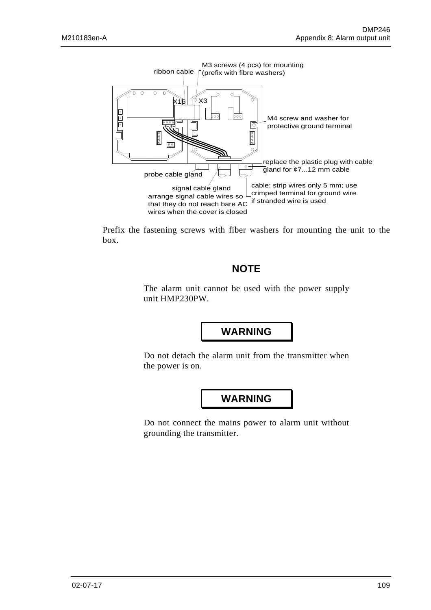

Prefix the fastening screws with fiber washers for mounting the unit to the box.

## **NOTE**

The alarm unit cannot be used with the power supply unit HMP230PW.

# **WARNING**

Do not detach the alarm unit from the transmitter when the power is on.

# **WARNING**

Do not connect the mains power to alarm unit without grounding the transmitter.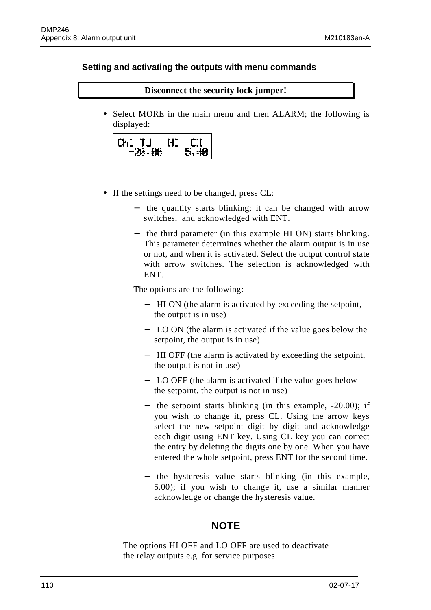### **Setting and activating the outputs with menu commands**

#### **Disconnect the security lock jumper!**

Select MORE in the main menu and then ALARM; the following is displayed:



- If the settings need to be changed, press CL:
	- − the quantity starts blinking; it can be changed with arrow switches, and acknowledged with ENT.
	- − the third parameter (in this example HI ON) starts blinking. This parameter determines whether the alarm output is in use or not, and when it is activated. Select the output control state with arrow switches. The selection is acknowledged with ENT.

The options are the following:

- − HI ON (the alarm is activated by exceeding the setpoint, the output is in use)
- − LO ON (the alarm is activated if the value goes below the setpoint, the output is in use)
- − HI OFF (the alarm is activated by exceeding the setpoint, the output is not in use)
- − LO OFF (the alarm is activated if the value goes below the setpoint, the output is not in use)
- − the setpoint starts blinking (in this example, -20.00); if you wish to change it, press CL. Using the arrow keys select the new setpoint digit by digit and acknowledge each digit using ENT key. Using CL key you can correct the entry by deleting the digits one by one. When you have entered the whole setpoint, press ENT for the second time.
- − the hysteresis value starts blinking (in this example, 5.00); if you wish to change it, use a similar manner acknowledge or change the hysteresis value.

## **NOTE**

The options HI OFF and LO OFF are used to deactivate the relay outputs e.g. for service purposes.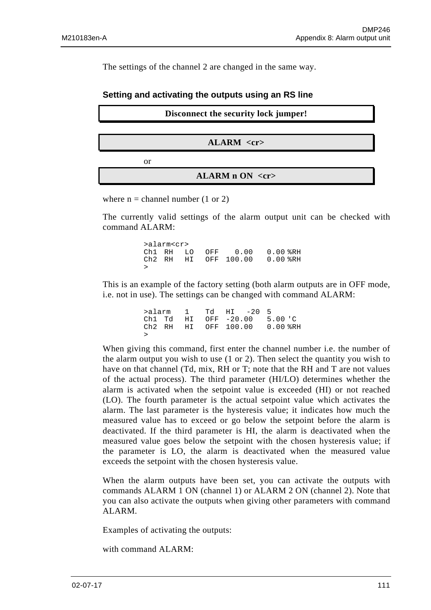The settings of the channel 2 are changed in the same way.

#### **Setting and activating the outputs using an RS line**

| Disconnect the security lock jumper! |                      |  |  |  |
|--------------------------------------|----------------------|--|--|--|
|                                      |                      |  |  |  |
|                                      | $ALARM < c$ r>       |  |  |  |
| or                                   |                      |  |  |  |
|                                      | $ALARM$ n $ON <$ cr> |  |  |  |

where  $n =$  channel number (1 or 2)

The currently valid settings of the alarm output unit can be checked with command ALARM:

> >alarm<cr> Ch1 RH LO OFF 0.00 0.00 %RH<br>Ch2 RH HI OFF 100.00 0.00 %RH OFF 100.00 >

This is an example of the factory setting (both alarm outputs are in OFF mode, i.e. not in use). The settings can be changed with command ALARM:

> >alarm 1 Td HI -20 5 Ch1 Td HI OFF -20.00<br>Ch2 RH HI OFF 100.00 Ch2 RH HI OFF 100.00 0.00 %RH  $\ddot{\phantom{1}}$

When giving this command, first enter the channel number i.e. the number of the alarm output you wish to use (1 or 2). Then select the quantity you wish to have on that channel (Td, mix, RH or T; note that the RH and T are not values of the actual process). The third parameter (HI/LO) determines whether the alarm is activated when the setpoint value is exceeded (HI) or not reached (LO). The fourth parameter is the actual setpoint value which activates the alarm. The last parameter is the hysteresis value; it indicates how much the measured value has to exceed or go below the setpoint before the alarm is deactivated. If the third parameter is HI, the alarm is deactivated when the measured value goes below the setpoint with the chosen hysteresis value; if the parameter is LO, the alarm is deactivated when the measured value exceeds the setpoint with the chosen hysteresis value.

When the alarm outputs have been set, you can activate the outputs with commands ALARM 1 ON (channel 1) or ALARM 2 ON (channel 2). Note that you can also activate the outputs when giving other parameters with command ALARM.

Examples of activating the outputs:

with command ALARM: